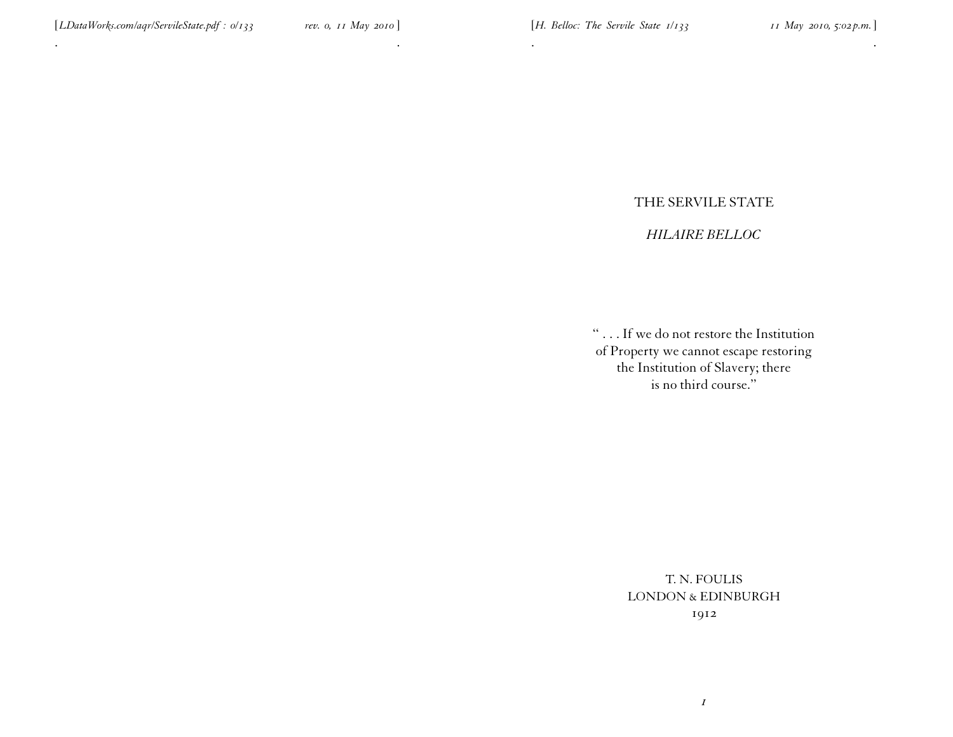. The contract of the contract of the contract of the contract of the contract of the contract of the contract of the contract of the contract of the contract of the contract of the contract of the contract of the contrac

# THE SERVILE STATE

. .

# *HILAIRE BELLOC*

'' . . . If we do not restore the Institution of Property we cannot escape restoring the Institution of Slavery; there is no third course.''

> T. N. FOULIS LONDON & EDINBURGH 1912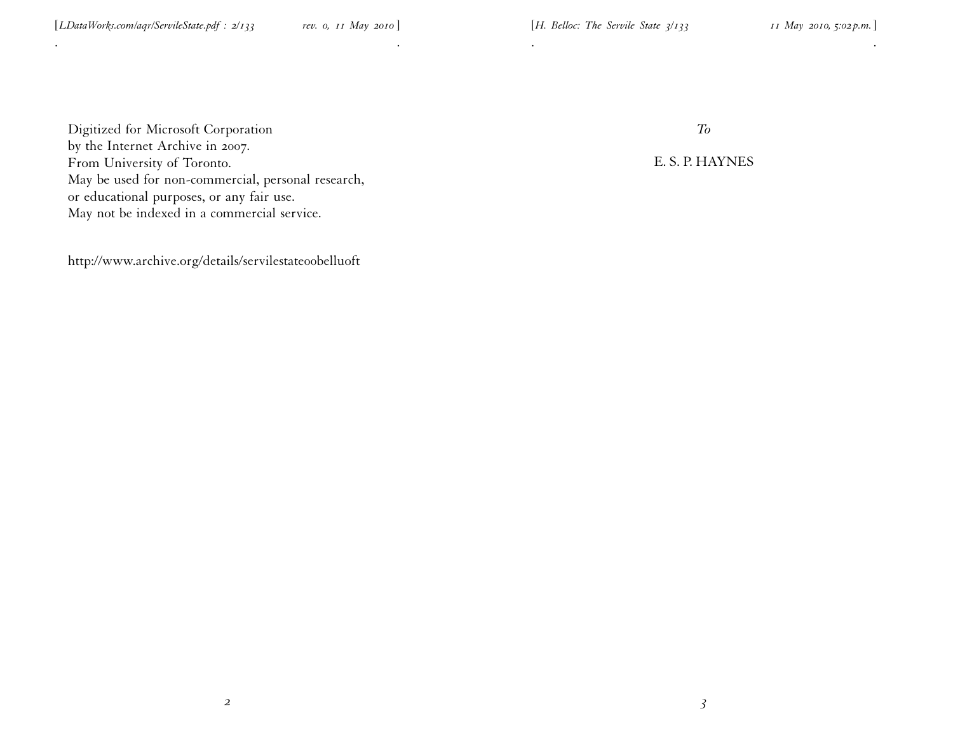Digitized for Microsoft Corporation by the Internet Archive in 2007. From University of Toronto. May be used for non-commercial, personal research, or educational purposes, or any fair use. May not be indexed in <sup>a</sup> commercial service.

. .

http://www.archive.org/details/servilestateoobelluoft

*To*

. .

E. S. P. HAYNES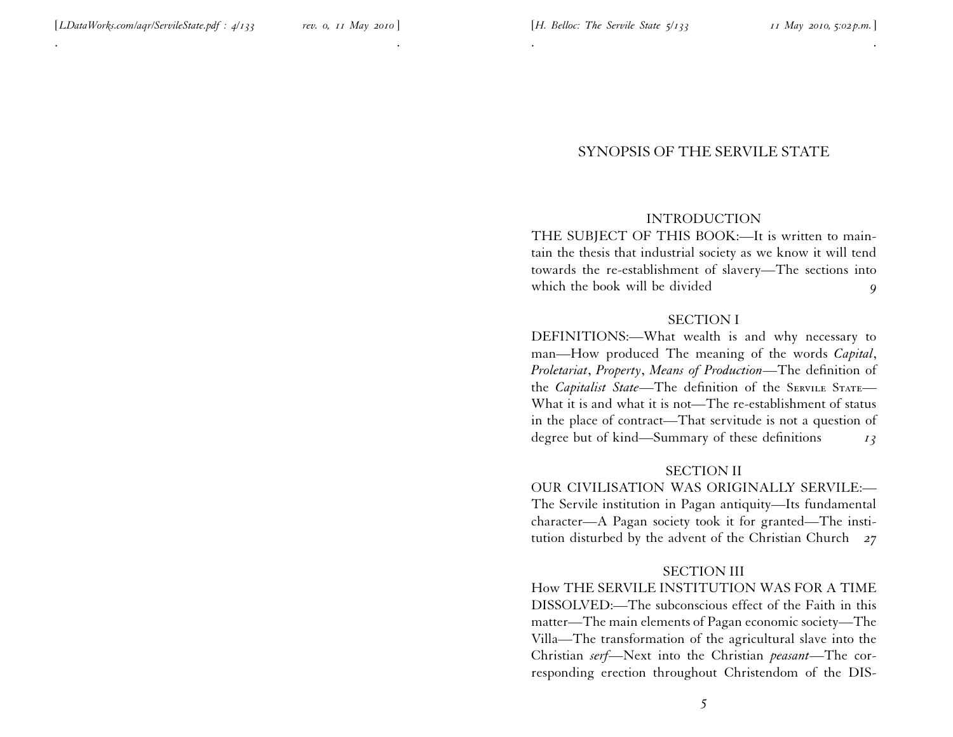. .

# SYNOPSIS OF THE SERVILE STATE

. .

#### INTRODUCTION

THE SUBJECT OF THIS BOOK:—It is written to maintain the thesis that industrial society as we know it will tend towards the re-establishment of slavery—The sections into which the book will be divided **9** 

#### SECTION I

DEFINITIONS:—What wealth is and why necessary to man—How produced The meaning of the words *Capital*, *Proletariat*, *Property*, *Means of Production*—The definition of the *Capitalist State*—The definition of the SERVILE STATE— What it is and what it is not—The re-establishment of status in the <sup>p</sup>lace of contract—That servitude is not <sup>a</sup> question of degree but of kind—Summary of these definitions *13*

#### SECTION II

OUR CIVILISATION WAS ORIGINALLY SERVILE:— The Servile institution in Pagan antiquity—Its fundamental character—A Pagan society took it for granted—The institution disturbed by the advent of the Christian Church *27*

#### SECTION III

How THE SERVILE INSTITUTION WAS FOR A TIME DISSOLVED:—The subconscious effect of the Faith in this matter—The main elements of Pagan economic society—The Villa—The transformation of the agricultural slave into the Christian *serf*—Next into the Christian *peasant*—The corresponding erection throughout Christendom of the DIS-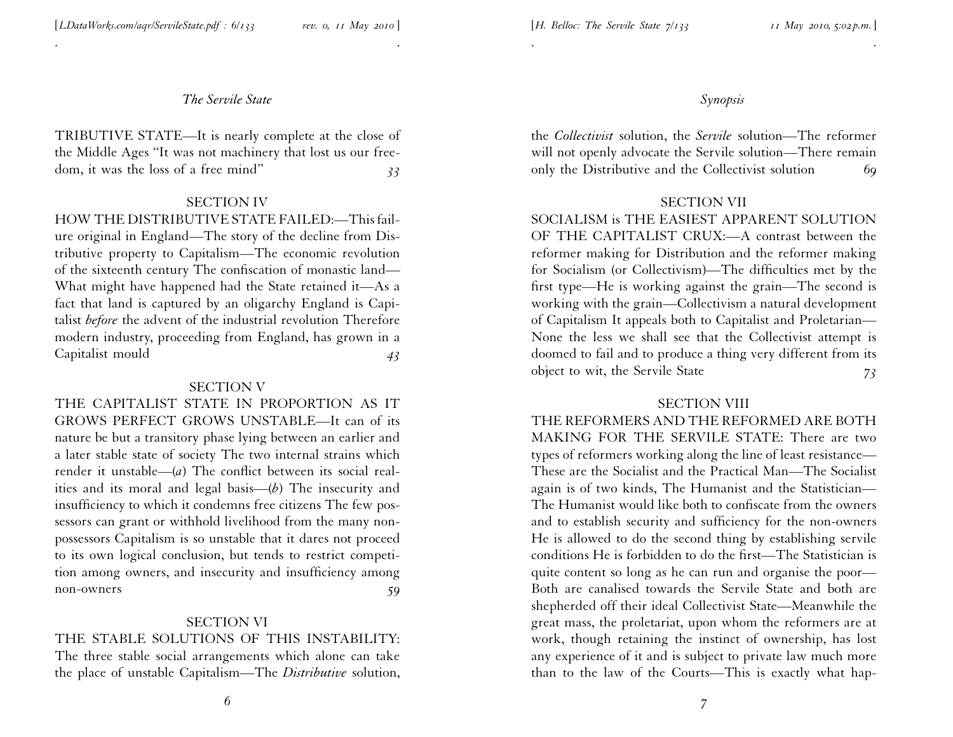. .

TRIBUTIVE STATE—It is nearly complete at the close of the Middle Ages ''It was not machinery that lost us our freedom, it was the loss of <sup>a</sup> free mind'' *33*

#### SECTION IV

HOW THE DISTRIBUTIVE STATE FAILED:—This failure original in England—The story of the decline from Distributive property to Capitalism—The economic revolution of the sixteenth century The confiscation of monastic land— What might have happened had the State retained it—As <sup>a</sup> fact that land is captured by an oligarchy England is Capitalist *before* the advent of the industrial revolution Therefore modern industry, proceeding from England, has grown in <sup>a</sup> Capitalist mould *43*

### SECTION V

THE CAPITALIST STATE IN PROPORTION AS IT GROWS PERFECT GROWS UNSTABLE—It can of its nature be but <sup>a</sup> transitory <sup>p</sup>hase lying between an earlier and <sup>a</sup> later stable state of society The two internal strains which render it unstable—(*a*) The conflict between its social realities and its moral and legal basis—(*b*) The insecurity and insufficiency to which it condemns free citizens The few possessors can gran<sup>t</sup> or withhold livelihood from the many nonpossessors Capitalism is so unstable that it dares not proceed to its own logical conclusion, but tends to restrict competi tion among owners, and insecurity and insufficiency among non-owners *59*

# SECTION VI

# THE STABLE SOLUTIONS OF THIS INSTABILITY:

The three stable social arrangements which alone can take the <sup>p</sup>lace of unstable Capitalism—The *Distributive* solution, *Synopsis*

the *Collectivist* solution, the *Servile* solution—The reformer will not openly advocate the Servile solution—There remain only the Distributive and the Collectivist solution *69*

. .

#### SECTION VII

SOCIALISM is THE EASIEST APPARENT SOLUTION OF THE CAPITALIST CRUX:—A contrast between the reformer making for Distribution and the reformer making for Socialism (or Collectivism)—The difficulties met by the first type—He is working against the grain—The second is working with the grain—Collectivism <sup>a</sup> natural development of Capitalism It appeals both to Capitalist and Proletarian— None the less we shall see that the Collectivist attempt is doomed to fail and to produce <sup>a</sup> thing very different from its object to wit, the Servile State *73*

#### SECTION VIII

THE REFORMERS AND THE REFORMED ARE BOTH MAKING FOR THE SERVILE STATE: There are two types of reformers working along the line of least resistance— These are the Socialist and the Practical Man—The Socialist again is of two kinds, The Humanist and the Statistician— The Humanist would like both to confiscate from the owners and to establish security and sufficiency for the non-owners He is allowed to do the second thing by establishing servile conditions He is forbidden to do the first—The Statistician is quite content so long as he can run and organise the poor— Both are canalised towards the Servile State and both are shepherded off their ideal Collectivist State—Meanwhile the grea<sup>t</sup> mass, the proletariat, upon whom the reformers are at work, though retaining the instinct of ownership, has lost any experience of it and is subject to private law much more than to the law of the Courts—This is exactly what hap-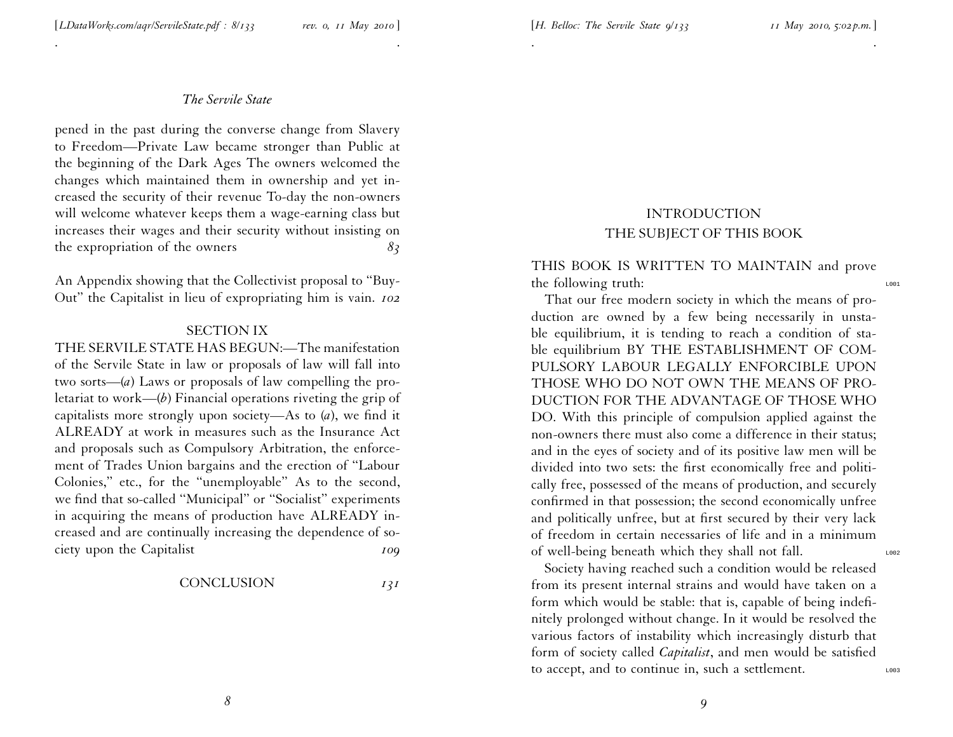. .

pened in the pas<sup>t</sup> during the converse change from Slavery to Freedom—Private Law became stronger than Public at the beginning of the Dark Ages The owners welcomed the changes which maintained them in ownership and ye<sup>t</sup> increased the security of their revenue To-day the non-owners will welcome whatever keeps them <sup>a</sup> wage-earning class but increases their wages and their security without insisting on the expropriation of the owners *83*

An Appendix showing that the Collectivist proposal to ''Buy- Out'' the Capitalist in lieu of expropriating him is vain. *<sup>102</sup>*

### SECTION IX

THE SERVILE STATE HAS BEGUN:—The manifestation of the Servile State in law or proposals of law will fall into two sorts—(*a*) Laws or proposals of law compelling the proletariat to work—(*b*) Financial operations riveting the grip of capitalists more strongly upon society—As to (*a*), we find it ALREADY at work in measures such as the Insurance Act and proposals such as Compulsory Arbitration, the enforcement of Trades Union bargains and the erection of ''Labour Colonies,'' etc., for the ''unemployable'' As to the second, we find that so-called ''Municipal'' or ''Socialist'' experiments in acquiring the means of production have ALREADY increased and are continually increasing the dependence of so ciety upon the Capitalist *109*

CONCLUSION *131*

$$
I3I
$$

# INTRODUCTION THE SUBJECT OF THIS BOOK

. .

# THIS BOOK IS WRITTEN TO MAINTAIN and prove the following truth:

That our free modern society in which the means of production are owned by <sup>a</sup> few being necessarily in unstable equilibrium, it is tending to reach <sup>a</sup> condition of stable equilibrium BY THE ESTABLISHMENT OF COM-PULSORY LABOUR LEGALLY ENFORCIBLE UPON THOSE WHO DO NOT OWN THE MEANS OF PRO-DUCTION FOR THE ADVANTAGE OF THOSE WHO DO. With this principle of compulsion applied against the non-owners there must also come <sup>a</sup> difference in their status; and in the eyes of society and of its positive law men will be divided into two sets: the first economically free and politi cally free, possessed of the means of production, and securely confirmed in that possession; the second economically unfree and politically unfree, but at first secured by their very lack of freedom in certain necessaries of life and in <sup>a</sup> minimum of well-being beneath which they shall not fall.

Society having reached such <sup>a</sup> condition would be released from its presen<sup>t</sup> internal strains and would have taken on <sup>a</sup> form which would be stable: that is, capable of being indefinitely prolonged without change. In it would be resolved the various factors of instability which increasingly disturb that form of society called *Capitalist*, and men would be satisfied to accept, and to continue in, such a settlement.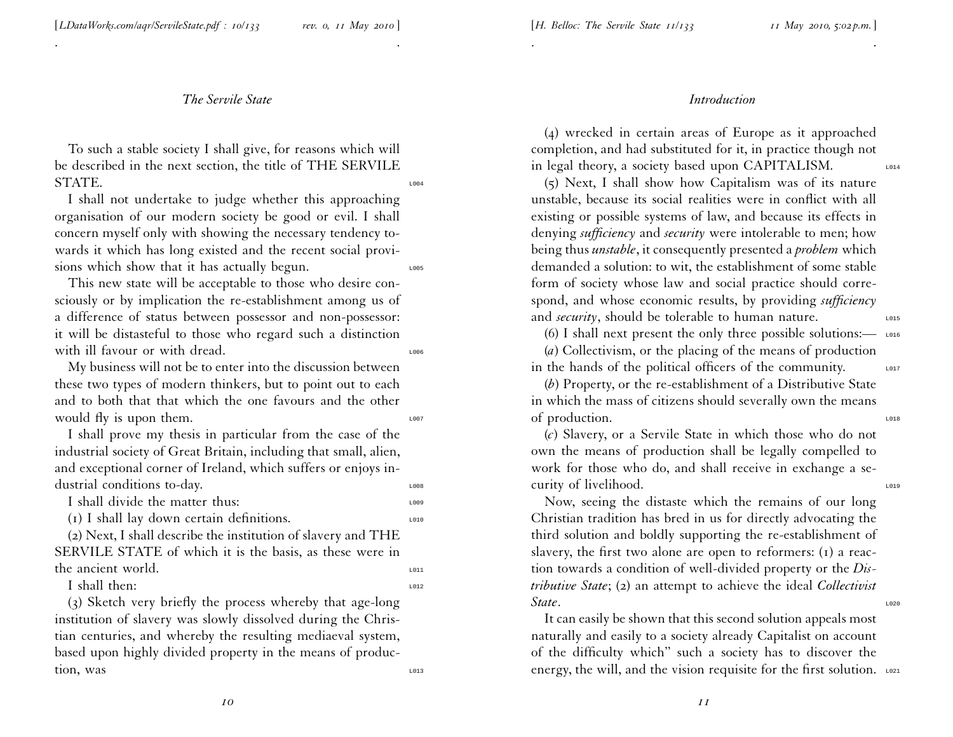[*LDataWorks.com/aqr/ServileState.pdf : 10/133 rev. 0, <sup>11</sup> May <sup>2010</sup>* ]

#### *The Servile State*

. .

To such <sup>a</sup> stable society <sup>I</sup> shall <sup>g</sup>ive, for reasons which will be described in the next section, the title of THE SERVILE STATE.

<sup>I</sup> shall not undertake to judge whether this approaching organisation of our modern society be good or evil. <sup>I</sup> shall concern myself only with showing the necessary tendency towards it which has long existed and the recent social provisions which show that it has actually begun.

This new state will be acceptable to those who desire consciously or by implication the re-establishment among us of <sup>a</sup> difference of status between possessor and non-possessor: it will be distasteful to those who regard such <sup>a</sup> distinction with ill favour or with dread.

My business will not be to enter into the discussion between these two types of modern thinkers, but to point out to each and to both that that which the one favours and the other would fly is upon them.

<sup>I</sup> shall prove my thesis in particular from the case of the industrial society of Great Britain, including that small, alien, and exceptional corner of Ireland, which suffers or enjoys industrial conditions to-day.

I shall divide the matter thus:

 $(I)$  I shall lay down certain definitions.

(2) Next, <sup>I</sup> shall describe the institution of slavery and THE SERVILE STATE of which it is the basis, as these were in the ancient world.

I shall then:  $\frac{1012}{200}$ 

(3) Sketch very briefly the process whereby that age-long institution of slavery was slowly dissolved during the Christian centuries, and whereby the resulting mediaeval system, based upon highly divided property in the means of produc- $\frac{1}{1013}$   $\frac{1}{1013}$ 

#### *Introduction*

(4) wrecked in certain areas of Europe as it approached completion, and had substituted for it, in practice though not in legal theory, a society based upon CAPITALISM.

. .

(5) Next, <sup>I</sup> shall show how Capitalism was of its nature unstable, because its social realities were in conflict with all existing or possible systems of law, and because its effects in denying *sufficiency* and *security* were intolerable to men; how being thus *unstable*, it consequently presented <sup>a</sup> *problem* which demanded <sup>a</sup> solution: to wit, the establishment of some stable form of society whose law and social practice should correspond, and whose economic results, by providing *sufficiency* and *security*, should be tolerable to human nature.

(6) I shall next present the only three possible solutions:— $\frac{1}{2}$  LO16

(*a*) Collectivism, or the <sup>p</sup>lacing of the means of production in the hands of the political officers of the community.

(*b*) Property, or the re-establishment of <sup>a</sup> Distributive State in which the mass of citizens should severally own the means of production.

(*c*) Slavery, or <sup>a</sup> Servile State in which those who do not own the means of production shall be legally compelled to work for those who do, and shall receive in exchange <sup>a</sup> security of livelihood.

Now, seeing the distaste which the remains of our long Christian tradition has bred in us for directly advocating the third solution and boldly supporting the re-establishment of slavery, the first two alone are open to reformers: (1) <sup>a</sup> reaction towards <sup>a</sup> condition of well-divided property or the *Distributive State*; (2) an attempt to achieve the ideal *Collectivist* **State**.

It can easily be shown that this second solution appeals most naturally and easily to <sup>a</sup> society already Capitalist on account of the difficulty which'' such <sup>a</sup> society has to discover the energy, the will, and the vision requisite for the first solution.  $\frac{1}{2}$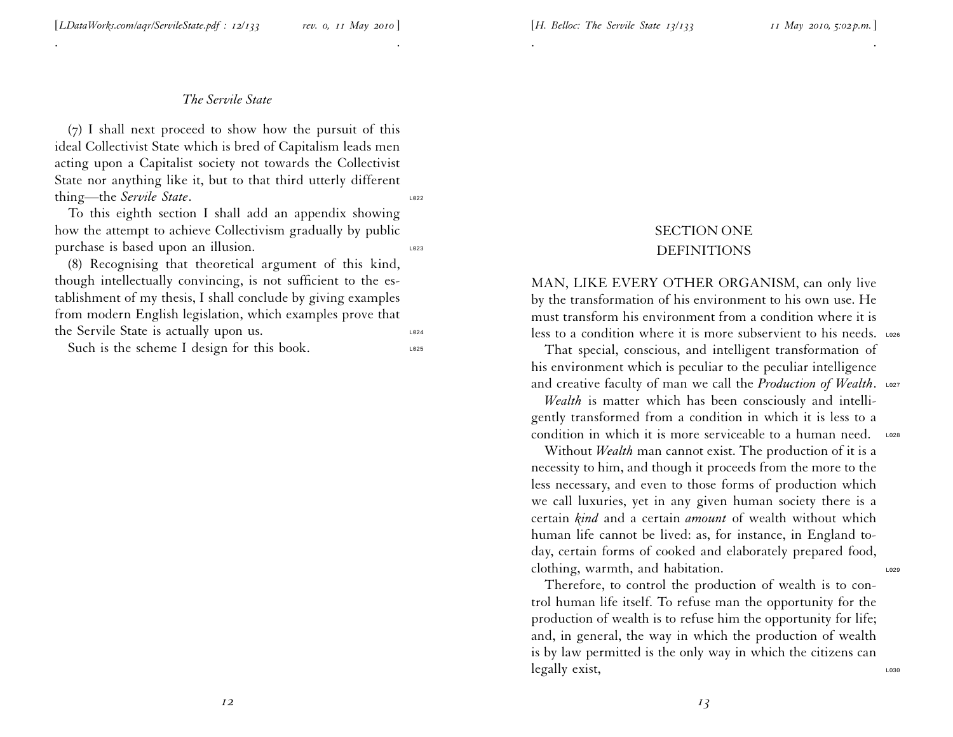#### [*H. Belloc: The Servile State <sup>13</sup>/133 <sup>11</sup> May 2010, 5:02 p.m.*]

#### *The Servile State*

. .

(7) <sup>I</sup> shall next proceed to show how the pursuit of this ideal Collectivist State which is bred of Capitalism leads men acting upon <sup>a</sup> Capitalist society not towards the Collectivist State nor anything like it, but to that third utterly different thing—the *Servile State*.

To this eighth section <sup>I</sup> shall add an appendix showing how the attempt to achieve Collectivism gradually by public purchase is based upon an illusion.

(8) Recognising that theoretical argumen<sup>t</sup> of this kind, though intellectually convincing, is not sufficient to the establishment of my thesis, <sup>I</sup> shall conclude by <sup>g</sup>iving examples from modern English legislation, which examples prove that the Servile State is actually upon us.

Such is the scheme I design for this book.

# SECTION ONE DEFINITIONS

. .

MAN, LIKE EVERY OTHER ORGANISM, can only live by the transformation of his environment to his own use. He must transform his environment from <sup>a</sup> condition where it is less to a condition where it is more subservient to his needs.  $\frac{1}{2}$ 

That special, conscious, and intelligent transformation of his environment which is peculiar to the peculiar intelligence and creative faculty of man we call the *Production of Wealth*. L027

*Wealth* is matter which has been consciously and intelligently transformed from <sup>a</sup> condition in which it is less to <sup>a</sup> condition in which it is more serviceable to a human need.  $\frac{1}{2}$ 

Without *Wealth* man cannot exist. The production of it is <sup>a</sup> necessity to him, and though it proceeds from the more to the less necessary, and even to those forms of production which we call luxuries, ye<sup>t</sup> in any <sup>g</sup>iven human society there is <sup>a</sup> certain *kind* and <sup>a</sup> certain *amount* of wealth without which human life cannot be lived: as, for instance, in England today, certain forms of cooked and elaborately prepared food, clothing, warmth, and habitation.

Therefore, to control the production of wealth is to control human life itself. To refuse man the opportunity for the production of wealth is to refuse him the opportunity for life; and, in general, the way in which the production of wealth is by law permitted is the only way in which the citizens can legally exist,

*12*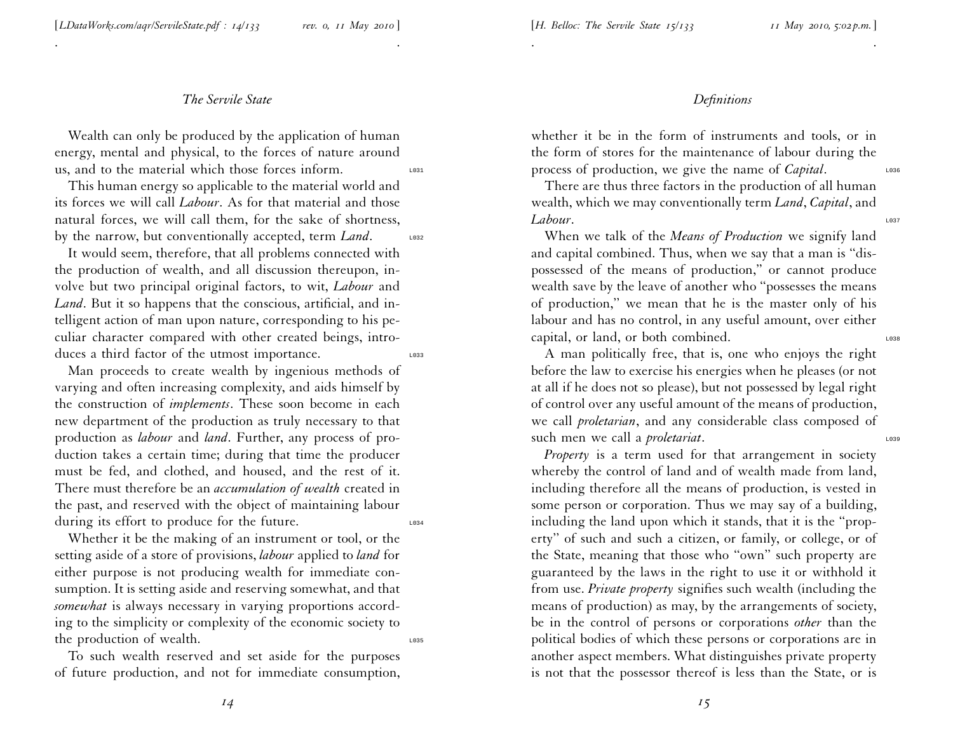. .

Wealth can only be produced by the application of human energy, mental and <sup>p</sup>hysical, to the forces of nature around us, and to the material which those forces inform.

This human energy so applicable to the material world and its forces we will call *Labour*. As for that material and those natural forces, we will call them, for the sake of shortness, by the narrow, but conventionally accepted, term *Land*. Loss

It would seem, therefore, that all problems connected with the production of wealth, and all discussion thereupon, involve but two principal original factors, to wit, *Labour* and *Land*. But it so happens that the conscious, artificial, and intelligent action of man upon nature, corresponding to his pe culiar character compared with other created beings, intro duces a third factor of the utmost importance.

Man proceeds to create wealth by ingenious methods of varying and often increasing complexity, and aids himself by the construction of *implements*. These soon become in each new department of the production as truly necessary to that production as *labour* and *land*. Further, any process of production takes <sup>a</sup> certain time; during that time the producer must be fed, and clothed, and housed, and the rest of it. There must therefore be an *accumulation of wealth* created in the past, and reserved with the object of maintaining labour during its effort to produce for the future.

Whether it be the making of an instrument or tool, or the setting aside of <sup>a</sup> store of provisions, *labour* applied to *land* for either purpose is not producing wealth for immediate consumption. It is setting aside and reserving somewhat, and that *somewhat* is always necessary in varying proportions according to the simplicity or complexity of the economic society to the production of wealth.  $\frac{1035}{2035}$ 

To such wealth reserved and set aside for the purposes of future production, and not for immediate consumption,

## *Definitions*

whether it be in the form of instruments and tools, or in the form of stores for the maintenance of labour during the process of production, we give the name of *Capital*.

. .

There are thus three factors in the production of all human wealth, which we may conventionally term *Land*, *Capital*, and *Labour*. Let us a set of the set of the set of the set of the set of the set of the set of the set of the set of the set of the set of the set of the set of the set of the set of the set of the set of the set of the set

When we talk of the *Means of Production* we signify land and capital combined. Thus, when we say that <sup>a</sup> man is ''dispossessed of the means of production,'' or cannot produce wealth save by the leave of another who ''possesses the means of production,'' we mean that he is the master only of his labour and has no control, in any useful amount, over either capital, or land, or both combined.

A man politically free, that is, one who enjoys the right before the law to exercise his energies when he <sup>p</sup>leases (or not at all if he does not so <sup>p</sup>lease), but not possessed by legal right of control over any useful amount of the means of production, we call *proletarian*, and any considerable class composed of such men we call a *proletariat*.

*Property* is <sup>a</sup> term used for that arrangemen<sup>t</sup> in society whereby the control of land and of wealth made from land, including therefore all the means of production, is vested in some person or corporation. Thus we may say of <sup>a</sup> building, including the land upon which it stands, that it is the ''prop erty'' of such and such <sup>a</sup> citizen, or family, or college, or of the State, meaning that those who ''own'' such property are guaranteed by the laws in the right to use it or withhold it from use. *Private property* signifies such wealth (including the means of production) as may, by the arrangements of society, be in the control of persons or corporations *other* than the political bodies of which these persons or corporations are in another aspec<sup>t</sup> members. What distinguishes private property is not that the possessor thereof is less than the State, or is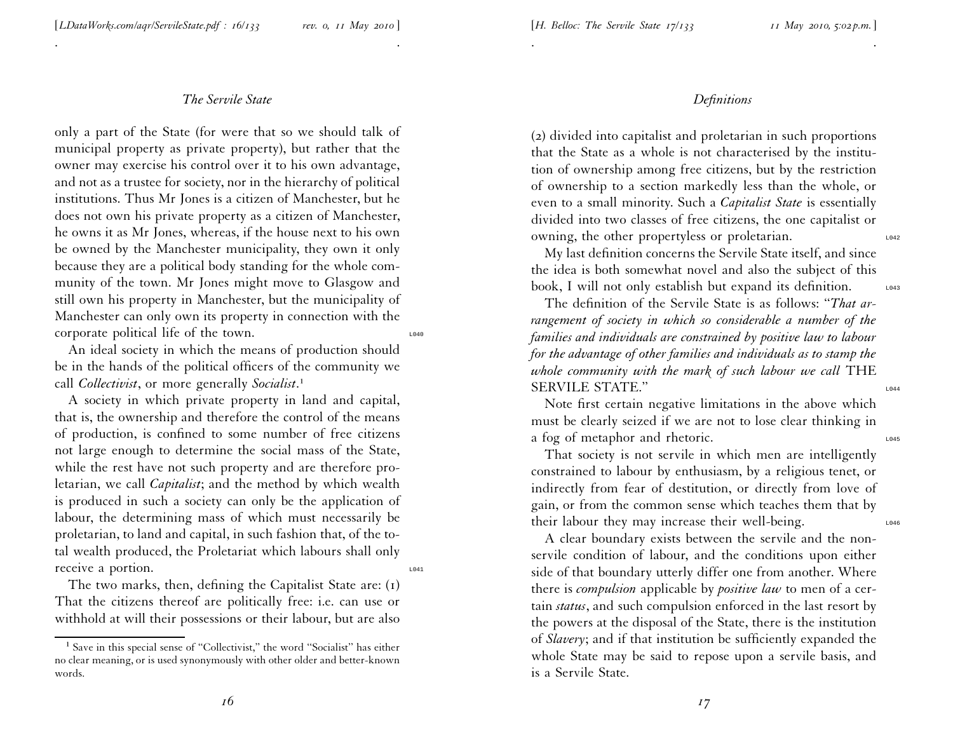. .

only <sup>a</sup> par<sup>t</sup> of the State (for were that so we should talk of municipal property as private property), but rather that the owner may exercise his control over it to his own advantage, and not as <sup>a</sup> trustee for society, nor in the hierarchy of political institutions. Thus Mr Jones is <sup>a</sup> citizen of Manchester, but he does not own his private property as <sup>a</sup> citizen of Manchester, he owns it as Mr Jones, whereas, if the house next to his own be owned by the Manchester municipality, they own it only because they are <sup>a</sup> political body standing for the whole community of the town. Mr Jones might move to Glasgow and still own his property in Manchester, but the municipality of Manchester can only own its property in connection with the corporate political life of the town.

An ideal society in which the means of production should be in the hands of the political officers of the community we call *Collectivist*, or more generally *Socialist*.<sup>1</sup>

A society in which private property in land and capital, that is, the ownership and therefore the control of the means of production, is confined to some number of free citizens not large enough to determine the social mass of the State, while the rest have not such property and are therefore proletarian, we call *Capitalist*; and the method by which wealth is produced in such <sup>a</sup> society can only be the application of labour, the determining mass of which must necessarily be proletarian, to land and capital, in such fashion that, of the total wealth produced, the Proletariat which labours shall only receive a portion.

The two marks, then, defining the Capitalist State are: (1) That the citizens thereof are politically free: i.e. can use or withhold at will their possessions or their labour, but are also

## *Definitions*

. The contract of the contract of the contract of the contract of the contract of the contract of the contract of the contract of the contract of the contract of the contract of the contract of the contract of the contrac

(2) divided into capitalist and proletarian in such proportions that the State as <sup>a</sup> whole is not characterised by the institution of ownership among free citizens, but by the restrictio n of ownership to <sup>a</sup> section markedly less than the whole, or even to <sup>a</sup> small minority. Such <sup>a</sup> *Capitalist State* is essentially divided into two classes of free citizens, the one capitalist or owning, the other propertyless or proletarian.

My last definition concerns the Servile State itself, and since the idea is both somewhat novel and also the subject of this book, I will not only establish but expand its definition.

The definition of the Servile State is as follows: ''*That arrangemen<sup>t</sup> of society in which so considerable <sup>a</sup> number of the families and individuals are constrained by positive law to labour* for the advantage of other families and individuals as to stamp the *whole community with the mark of such labour we call* THE SERVILE STATE."

Note first certain negative limitations in the above which must be clearly seized if we are not to lose clear thinking in a fog of metaphor and rhetoric.

That society is not servile in which men are intelligently constrained to labour by enthusiasm, by <sup>a</sup> religious tenet, or indirectly from fear of destitution, or directly from love of gain, or from the common sense which teaches them that by their labour they may increase their well-being.

A clear boundary exists between the servile and the nonservile condition of labour, and the conditions upon either side of that boundary utterly differ one from another. Where there is *compulsion* applicable by *positive law* to men of <sup>a</sup> certain *status*, and such compulsion enforced in the last resort by the powers at the disposal of the State, there is the institution of *Slavery*; and if that institution be sufficiently expanded the whole State may be said to repose upon <sup>a</sup> servile basis, and is <sup>a</sup> Servile State.

<sup>&</sup>lt;sup>1</sup> Save in this special sense of "Collectivist," the word "Socialist" has either no clear meaning, or is used synonymously with other older and better-known words.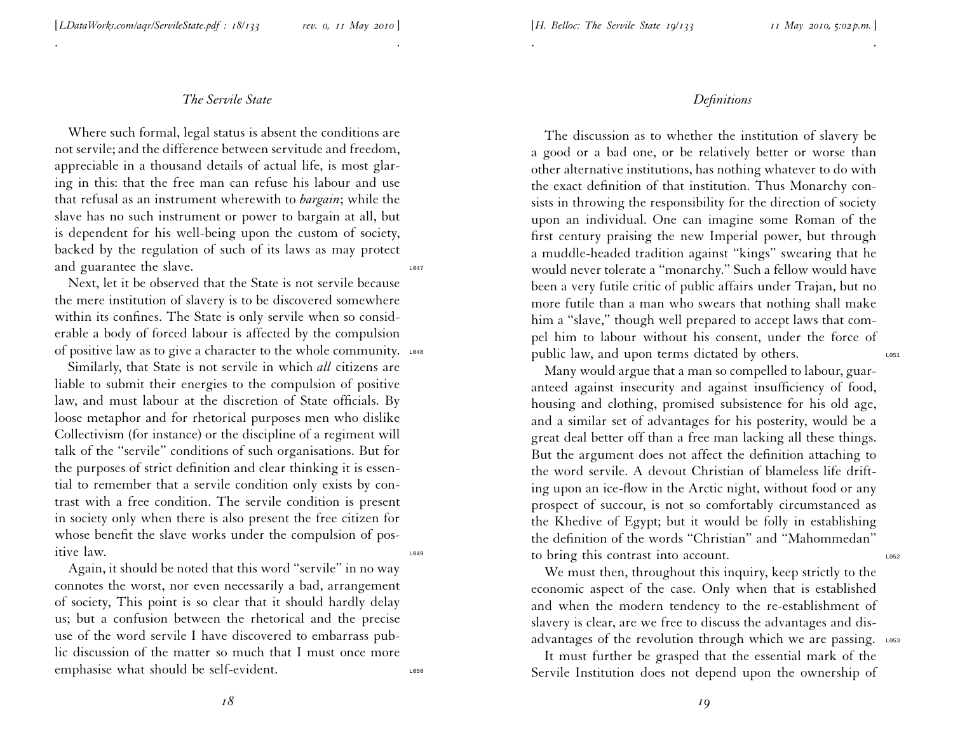. .

Where such formal, legal status is absent the conditions are not servile; and the difference between servitude and freedom, appreciable in <sup>a</sup> thousand details of actual life, is most <sup>g</sup>laring in this: that the free man can refuse his labour and use that refusal as an instrument wherewith to *bargain*; while the slave has no such instrument or power to bargain at all, but is dependent for his well-being upon the custom of society, backed by the regulation of such of its laws as may protect and guarantee the slave.  $\frac{1047}{2047}$ 

Next, let it be observed that the State is not servile because the mere institution of slavery is to be discovered somewhere within its confines. The State is only servile when so considerable <sup>a</sup> body of forced labour is affected by the compulsion of positive law as to give a character to the whole community.  $\frac{1048}{200}$ 

Similarly, that State is not servile in which *all* citizens are liable to submit their energies to the compulsion of positive law, and must labour at the discretion of State officials. By loose metaphor and for rhetorical purposes men who dislike Collectivism (for instance) or the discipline of <sup>a</sup> regiment will talk of the ''servile'' conditions of such organisations. But for the purposes of strict definition and clear thinking it is essential to remember that <sup>a</sup> servile condition only exists by contrast with <sup>a</sup> free condition. The servile condition is presen<sup>t</sup> in society only when there is also presen<sup>t</sup> the free citizen for whose benefit the slave works under the compulsion of positive law. L049

Again, it should be noted that this word ''servile'' in no way connotes the worst, nor even necessarily <sup>a</sup> bad, arrangemen<sup>t</sup> of society, This point is so clear that it should hardly delay us; but <sup>a</sup> confusion between the rhetorical and the precise use of the word servile <sup>I</sup> have discovered to embarrass public discussion of the matter so much that I must once more emphasise what should be self-evident.

## *Definitions*

. .

The discussion as to whether the institution of slavery be <sup>a</sup> good or <sup>a</sup> bad one, or be relatively better or worse than other alternative institutions, has nothing whatever to do with the exact definition of that institution. Thus Monarchy consists in throwing the responsibility for the direction of society upon an individual. One can imagine some Roman of the first century praising the new Imperial power, but through <sup>a</sup> muddle-headed tradition against ''kings'' swearing that he would never tolerate <sup>a</sup> ''monarchy.'' Such <sup>a</sup> fellow would have been <sup>a</sup> very futile critic of public affairs under Trajan, but no more futile than <sup>a</sup> man who swears that nothing shall make him a "slave," though well prepared to accept laws that compel him to labour without his consent, under the force of public law, and upon terms dictated by others.

Many would argue that <sup>a</sup> man so compelled to labour, guaranteed against insecurity and against insufficiency of food, housing and clothing, promised subsistence for his old age, and <sup>a</sup> similar set of advantages for his posterity, would be <sup>a</sup> grea<sup>t</sup> deal better off than <sup>a</sup> free man lacking all these things. But the argumen<sup>t</sup> does not affect the definition attaching to the word servile. A devout Christian of blameless life drift ing upon an ice-flow in the Arctic night, without food or any prospec<sup>t</sup> of succour, is not so comfortably circumstanced as the Khedive of Egypt; but it would be folly in establishing the definition of the words ''Christian'' and ''Mahommedan'' to bring this contrast into account.

We must then, throughout this inquiry, keep strictly to the economic aspec<sup>t</sup> of the case. Only when that is established and when the modern tendency to the re-establishment of slavery is clear, are we free to discuss the advantages and disadvantages of the revolution through which we are passing. Loss

It must further be grasped that the essential mark of the Servile Institution does not depend upon the ownership of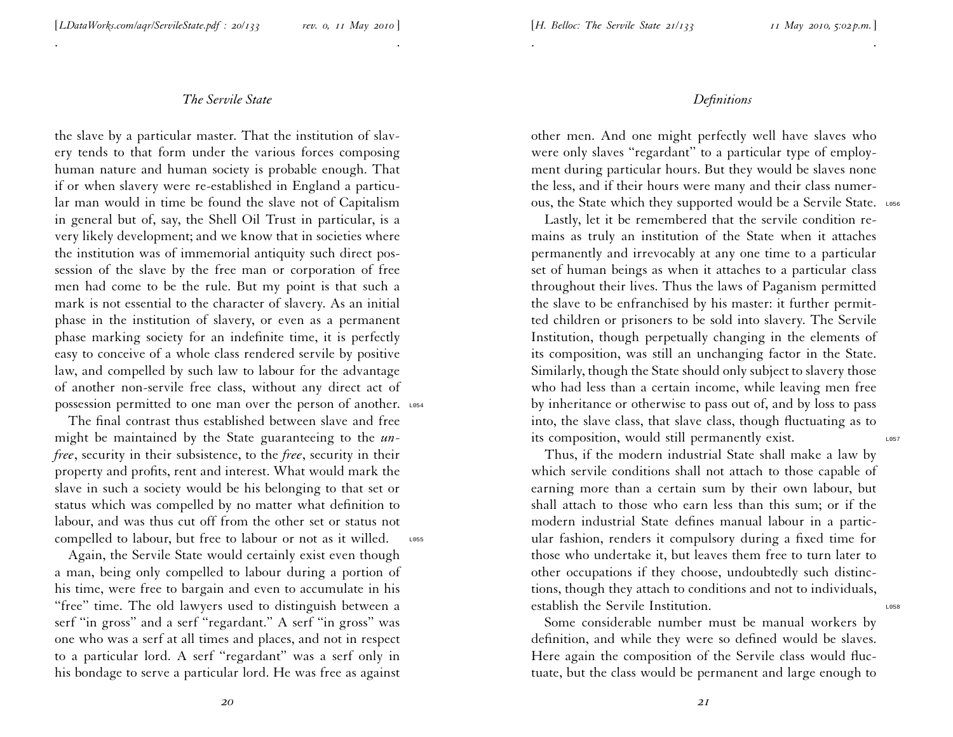. .

the slave by <sup>a</sup> particular master. That the institution of slavery tends to that form under the various forces composing human nature and human society is probable enough. That if or when slavery were re-established in England <sup>a</sup> particular man would in time be found the slave not of Capitalism in general but of, say, the Shell Oil Trust in particular, is <sup>a</sup> very likely development; and we know that in societies where the institution was of immemorial antiquity such direct pos session of the slave by the free man or corporation of free men had come to be the rule. But my point is that such <sup>a</sup> mark is not essential to the character of slavery. As an initial <sup>p</sup>hase in the institution of slavery, or even as <sup>a</sup> permanen<sup>t</sup> <sup>p</sup>hase marking society for an indefinite time, it is perfectly easy to conceive of <sup>a</sup> whole class rendered servile by positive law, and compelled by such law to labour for the advantage of another non-servile free class, without any direct act of possession permitted to one man over the person of another. L054

The final contrast thus established between slave and free might be maintained by the State guaranteeing to the *unfree*, security in their subsistence, to the *free*, security in their property and profits, rent and interest. What would mark the slave in such <sup>a</sup> society would be his belonging to that set or status which was compelled by no matter what definition to labour, and was thus cut off from the other set or status not compelled to labour, but free to labour or not as it willed. Loss

Again, the Servile State would certainly exist even though <sup>a</sup> man, being only compelled to labour during <sup>a</sup> portion of his time, were free to bargain and even to accumulate in his "free" time. The old lawyers used to distinguish between a serf ''in gross'' and <sup>a</sup> serf ''regardant.'' A serf ''in gross'' was one who was <sup>a</sup> serf at all times and <sup>p</sup>laces, and not in respec<sup>t</sup> to <sup>a</sup> particular lord. A serf ''regardant'' was <sup>a</sup> serf only in his bondage to serve <sup>a</sup> particular lord. He was free as against

### *Definitions*

other men. And one might perfectly well have slaves who were only slaves "regardant" to a particular type of employment during particular hours. But they would be slaves none the less, and if their hours were many and their class numerous, the State which they supported would be a Servile State. LOS6

. .

Lastly, let it be remembered that the servile condition remains as truly an institution of the State when it attaches permanently and irrevocably at any one time to <sup>a</sup> particular set of human beings as when it attaches to <sup>a</sup> particular class throughout their lives. Thus the laws of Paganism permitted the slave to be enfranchised by his master: it further permit ted children or prisoners to be sold into slavery. The Servile Institution, though perpetually changing in the elements of its composition, was still an unchanging factor in the State. Similarly, though the State should only subject to slavery those who had less than <sup>a</sup> certain income, while leaving men free by inheritance or otherwise to pass out of, and by loss to pass into, the slave class, that slave class, though fluctuating as to its composition, would still permanently exist.

Thus, if the modern industrial State shall make <sup>a</sup> law by which servile conditions shall not attach to those capable of earning more than <sup>a</sup> certain sum by their own labour, but shall attach to those who earn less than this sum; or if the modern industrial State defines manual labour in <sup>a</sup> particular fashion, renders it compulsory during <sup>a</sup> fixed time for those who undertake it, but leaves them free to turn later to other occupations if they choose, undoubtedly such distinc tions, though they attach to conditions and not to individuals, establish the Servile Institution.

Some considerable number must be manual workers by definition, and while they were so defined would be slaves. Here again the composition of the Servile class would fluctuate, but the class would be permanen<sup>t</sup> and large enough to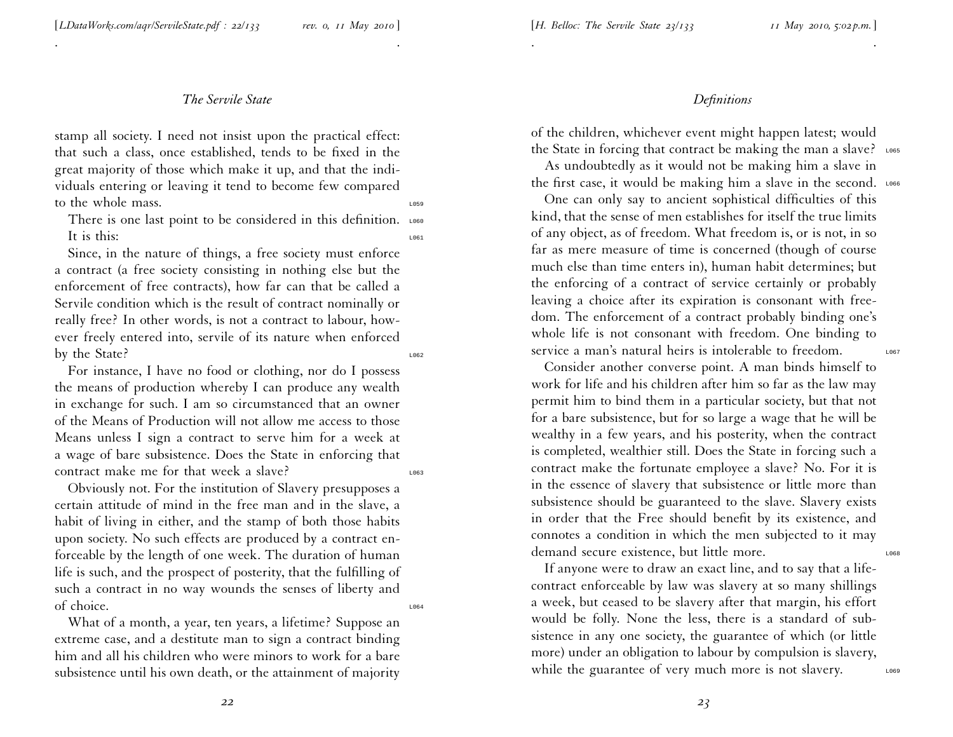. .

stamp all society. <sup>I</sup> need not insist upon the practical effect: that such <sup>a</sup> class, once established, tends to be fixed in the grea<sup>t</sup> majority of those which make it up, and that the individuals entering or leaving it tend to become few compared to the whole mass.

There is one last point to be considered in this definition. LOGO It is this:  $\frac{1061}{2061}$ 

Since, in the nature of things, <sup>a</sup> free society must enforce <sup>a</sup> contract (a free society consisting in nothing else but the enforcement of free contracts), how far can that be called <sup>a</sup> Servile condition which is the result of contract nominally or really free? In other words, is not <sup>a</sup> contract to labour, however freely entered into, servile of its nature when enforced by the State?

For instance, <sup>I</sup> have no food or clothing, nor do <sup>I</sup> possess the means of production whereby <sup>I</sup> can produce any wealth in exchange for such. <sup>I</sup> am so circumstanced that an owner of the Means of Production will not allow me access to those Means unless <sup>I</sup> sign <sup>a</sup> contract to serve him for <sup>a</sup> week at <sup>a</sup> wage of bare subsistence. Does the State in enforcing that contract make me for that week a slave?

Obviously not. For the institution of Slavery presupposes <sup>a</sup> certain attitude of mind in the free man and in the slave, <sup>a</sup> habit of living in either, and the stamp of both those habits upon society. No such effects are produced by <sup>a</sup> contract enforceable by the length of one week. The duration of human life is such, and the prospec<sup>t</sup> of posterity, that the fulfilling of such <sup>a</sup> contract in no way wounds the senses of liberty and of choice.

What of <sup>a</sup> month, <sup>a</sup> year, ten years, <sup>a</sup> lifetime? Suppose an extreme case, and <sup>a</sup> destitute man to sign <sup>a</sup> contract binding him and all his children who were minors to work for <sup>a</sup> bare subsistence until his own death, or the attainment of majority

# *Definitions*

of the children, whichever event might happen latest; would the State in forcing that contract be making the man a slave? LO65

. .

As undoubtedly as it would not be making him <sup>a</sup> slave in the first case, it would be making him a slave in the second. LO66

One can only say to ancient sophistical difficulties of this kind, that the sense of men establishes for itself the true limits of any object, as of freedom. What freedom is, or is not, in so far as mere measure of time is concerned (though of course much else than time enters in), human habit determines; but the enforcing of <sup>a</sup> contract of service certainly or probably leaving <sup>a</sup> choice after its expiration is consonant with free dom. The enforcement of <sup>a</sup> contract probably binding one's whole life is not consonant with freedom. One binding to service a man's natural heirs is intolerable to freedom.

Consider another converse point. A man binds himself to work for life and his children after him so far as the law may permit him to bind them in <sup>a</sup> particular society, but that not for <sup>a</sup> bare subsistence, but for so large <sup>a</sup> wage that he will be wealthy in <sup>a</sup> few years, and his posterity, when the contract is completed, wealthier still. Does the State in forcing such <sup>a</sup> contract make the fortunate employee <sup>a</sup> slave? No. For it is in the essence of slavery that subsistence or little more than subsistence should be guaranteed to the slave. Slavery exists in order that the Free should benefit by its existence, and connotes <sup>a</sup> condition in which the men subjected to it may demand secure existence, but little more.

If anyone were to draw an exact line, and to say that <sup>a</sup> lifecontract enforceable by law was slavery at so many shillings <sup>a</sup> week, but ceased to be slavery after that margin, his effort would be folly. None the less, there is <sup>a</sup> standard of subsistence in any one society, the guarantee of which (or little more) under an obligation to labour by compulsion is slavery, while the guarantee of very much more is not slavery.  $\frac{1069}{2069}$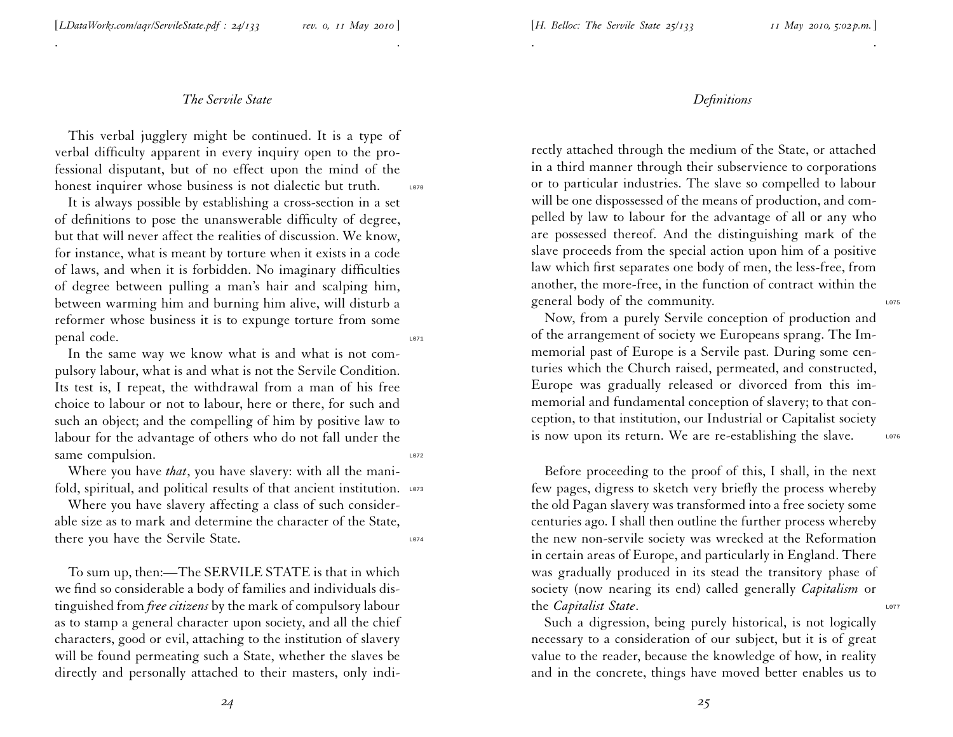. .

This verbal jugglery might be continued. It is <sup>a</sup> type of verbal difficulty apparen<sup>t</sup> in every inquiry open to the professional disputant, but of no effect upon the mind of the honest inquirer whose business is not dialectic but truth. Love

It is always possible by establishing <sup>a</sup> cross-section in <sup>a</sup> set of definitions to pose the unanswerable difficulty of degree, but that will never affect the realities of discussion. We know, for instance, what is meant by torture when it exists in <sup>a</sup> code of laws, and when it is forbidden. No imaginary difficulties of degree between pulling <sup>a</sup> man's hair and scalping him, between warming him and burning him alive, will disturb <sup>a</sup> reformer whose business it is to expunge torture from some penal code.

In the same way we know what is and what is not compulsory labour, what is and what is not the Servile Condition. Its test is, <sup>I</sup> repeat, the withdrawal from <sup>a</sup> man of his free choice to labour or not to labour, here or there, for such and such an object; and the compelling of him by positive law to labour for the advantage of others who do not fall under the same compulsion.

Where you have *that*, you have slavery: with all the manifold, spiritual, and political results of that ancient institution.  $\frac{1073}{200}$ 

Where you have slavery affecting <sup>a</sup> class of such considerable size as to mark and determine the character of the State, there you have the Servile State.

To sum up, then:—The SERVILE STATE is that in which we find so considerable <sup>a</sup> body of families and individuals dis tinguished from *free citizens* by the mark of compulsory labour as to stamp <sup>a</sup> general character upon society, and all the chief characters, good or evil, attaching to the institution of slavery will be found permeating such <sup>a</sup> State, whether the slaves be directly and personally attached to their masters, only indi-

#### *Definitions*

. .

rectly attached through the medium of the State, or attached in <sup>a</sup> third manner through their subservience to corporations or to particular industries. The slave so compelled to labour will be one dispossessed of the means of production, and compelled by law to labour for the advantage of all or any who are possessed thereof. And the distinguishing mark of the slave proceeds from the special action upon him of <sup>a</sup> positive law which first separates one body of men, the less-free, from another, the more-free, in the function of contract within the general body of the community.

Now, from <sup>a</sup> purely Servile conception of production and of the arrangemen<sup>t</sup> of society we Europeans sprang. The Immemorial pas<sup>t</sup> of Europe is <sup>a</sup> Servile past. During some centuries which the Church raised, permeated, and constructed, Europe was gradually released or divorced from this immemorial and fundamental conception of slavery; to that con ception, to that institution, our Industrial or Capitalist society is now upon its return. We are re-establishing the slave.  $\frac{1076}{2076}$ 

Before proceeding to the proof of this, <sup>I</sup> shall, in the next few pages, digress to sketch very briefly the process whereby the old Pagan slavery was transformed into <sup>a</sup> free society some centuries ago. <sup>I</sup> shall then outline the further process whereby the new non-servile society was wrecked at the Reformation in certain areas of Europe, and particularly in England. There was gradually produced in its stead the transitory <sup>p</sup>hase of society (now nearing its end) called generally *Capitalism* or the *Capitalist* State.

Such <sup>a</sup> digression, being purely historical, is not logically necessary to <sup>a</sup> consideration of our subject, but it is of grea<sup>t</sup> value to the reader, because the knowledge of how, in reality and in the concrete, things have moved better enables us to

*24*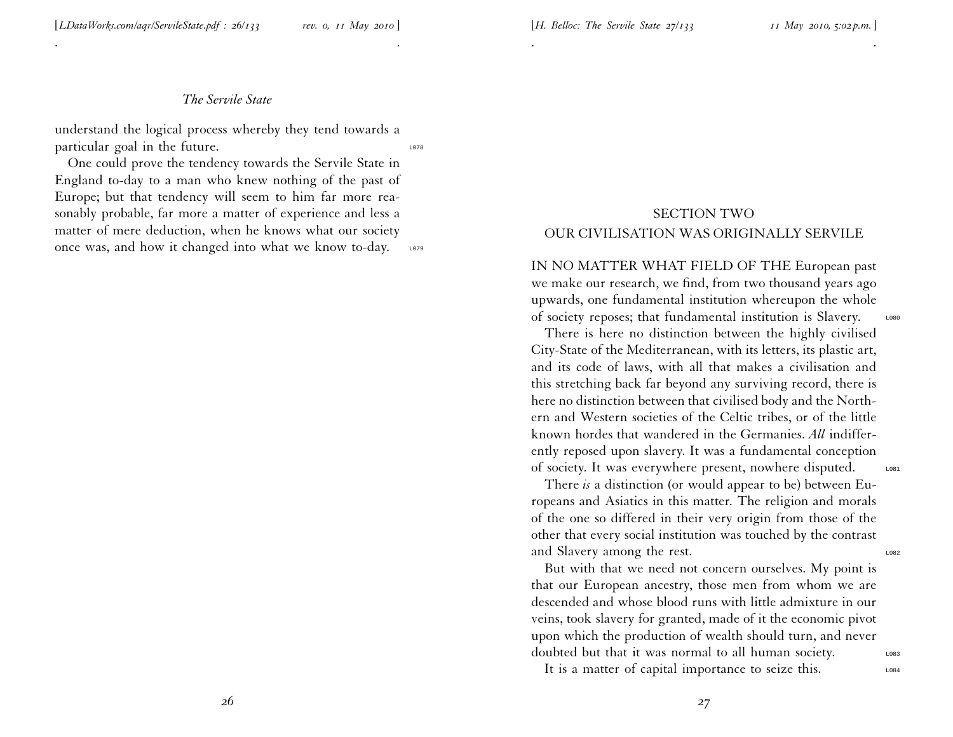. .

understand the logical process whereby they tend towards <sup>a</sup> particular goal in the future.

One could prove the tendency towards the Servile State in England to-day to <sup>a</sup> man who knew nothing of the pas<sup>t</sup> of Europe; but that tendency will seem to him far more reasonably probable, far more <sup>a</sup> matter of experience and less <sup>a</sup> matter of mere deduction, when he knows what our society once was, and how it changed into what we know to-day. Lo79

# SECTION TWO OUR CIVILISATION WAS ORIGINALLY SERVILE

. .

IN NO MATTER WHAT FIELD OF THE European pas<sup>t</sup> we make our research, we find, from two thousand years ago upwards, one fundamental institution whereupon the whole of society reposes; that fundamental institution is Slavery. LO80

There is here no distinction between the highly civilised City-State of the Mediterranean, with its letters, its <sup>p</sup>lastic art, and its code of laws, with all that makes <sup>a</sup> civilisation and this stretching back far beyond any surviving record, there is here no distinction between that civilised body and the Northern and Western societies of the Celtic tribes, or of the little known hordes that wandered in the Germanies. *All* indifferently reposed upon slavery. It was <sup>a</sup> fundamental conception of society. It was everywhere present, nowhere disputed. Loss

There *is* <sup>a</sup> distinction (or would appear to be) between Europeans and Asiatics in this matter. The religion and morals of the one so differed in their very origin from those of the other that every social institution was touched by the contrast and Slavery among the rest.

But with that we need not concern ourselves. My point is that our European ancestry, those men from whom we are descended and whose blood runs with little admixture in our veins, took slavery for granted, made of it the economic <sup>p</sup>ivot upon which the production of wealth should turn, and never doubted but that it was normal to all human society.

It is a matter of capital importance to seize this.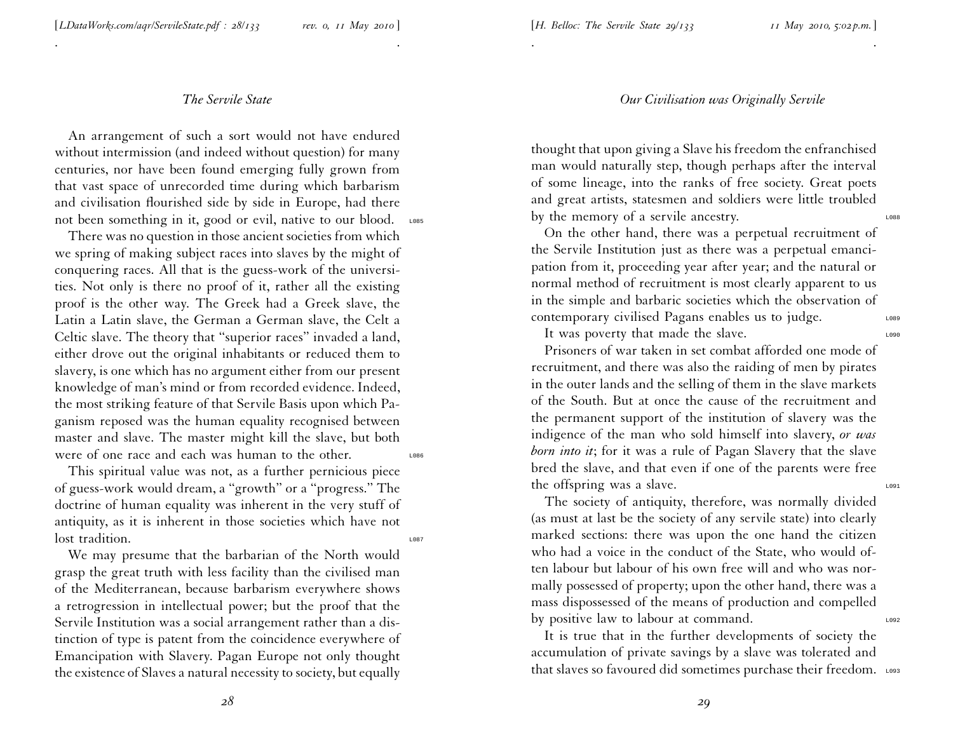. .

An arrangemen<sup>t</sup> of such <sup>a</sup> sort would not have endured without intermission (and indeed without question) for man y centuries, nor have been found emerging fully grown from that vast space of unrecorded time during which barbarism and civilisation flourished side by side in Europe, had there not been something in it, good or evil, native to our blood. LORES

There was no question in those ancient societies from which we spring of making subject races into slaves by the might of conquering races. All that is the guess-work of the universi ties. Not only is there no proof of it, rather all the existing proof is the other way. The Greek had <sup>a</sup> Greek slave, the Latin <sup>a</sup> Latin slave, the German <sup>a</sup> German slave, the Celt <sup>a</sup> Celtic slave. The theory that ''superior races'' invaded <sup>a</sup> land, either drove out the original inhabitants or reduced them to slavery, is one which has no argumen<sup>t</sup> either from our presen<sup>t</sup> knowledge of man's mind or from recorded evidence. Indeed, the most striking feature of that Servile Basis upon which Pa ganism reposed was the human equality recognised between master and slave. The master might kill the slave, but both were of one race and each was human to the other.

This spiritual value was not, as <sup>a</sup> further pernicious <sup>p</sup>iece of guess-work would dream, <sup>a</sup> ''growth'' or <sup>a</sup> ''progress.'' The doctrine of human equality was inherent in the very stuff of antiquity, as it is inherent in those societies which have not lost tradition.

We may presume that the barbarian of the North would grasp the grea<sup>t</sup> truth with less facility than the civilised man of the Mediterranean, because barbarism everywhere shows <sup>a</sup> retrogression in intellectual power; but the proof that the Servile Institution was <sup>a</sup> social arrangemen<sup>t</sup> rather than <sup>a</sup> distinction of type is patent from the coincidence everywhere of Emancipation with Slavery. Pagan Europe not only thought the existence of Slaves <sup>a</sup> natural necessity to society, but equally

#### *Our Civilisation was Originally Servile*

. .

thought that upon <sup>g</sup>iving <sup>a</sup> Slave his freedom the enfranchise d man would naturally step, though perhaps after the interval of some lineage, into the ranks of free society. Great poets and grea<sup>t</sup> artists, statesmen and soldiers were little troubled by the memory of a servile ancestry.

On the other hand, there was <sup>a</sup> perpetual recruitment of the Servile Institution just as there was <sup>a</sup> perpetual emanci pation from it, proceeding year after year; and the natural or normal method of recruitment is most clearly apparen<sup>t</sup> to us in the simple and barbaric societies which the observation of contemporary civilised Pagans enables us to judge. L089

It was poverty that made the slave.

Prisoners of war taken in set combat afforded one mode of recruitment, and there was also the raiding of men by <sup>p</sup>irates in the outer lands and the selling of them in the slave markets of the South. But at once the cause of the recruitment and the permanen<sup>t</sup> suppor<sup>t</sup> of the institution of slavery was the indigence of the man who sold himself into slavery, *or was born into it*; for it was <sup>a</sup> rule of Pagan Slavery that the slave bred the slave, and that even if one of the parents were free the offspring was a slave.  $\frac{1091}{2091}$ 

The society of antiquity, therefore, was normally divided (as must at last be the society of any servile state) into clearly marked sections: there was upon the one hand the citizen who had <sup>a</sup> voice in the conduct of the State, who would often labour but labour of his own free will and who was normally possessed of property; upon the other hand, there was <sup>a</sup> mass dispossessed of the means of production and compelled by positive law to labour at command.

It is true that in the further developments of society the accumulation of private savings by <sup>a</sup> slave was tolerated and that slaves so favoured did sometimes purchase their freedom. Lo93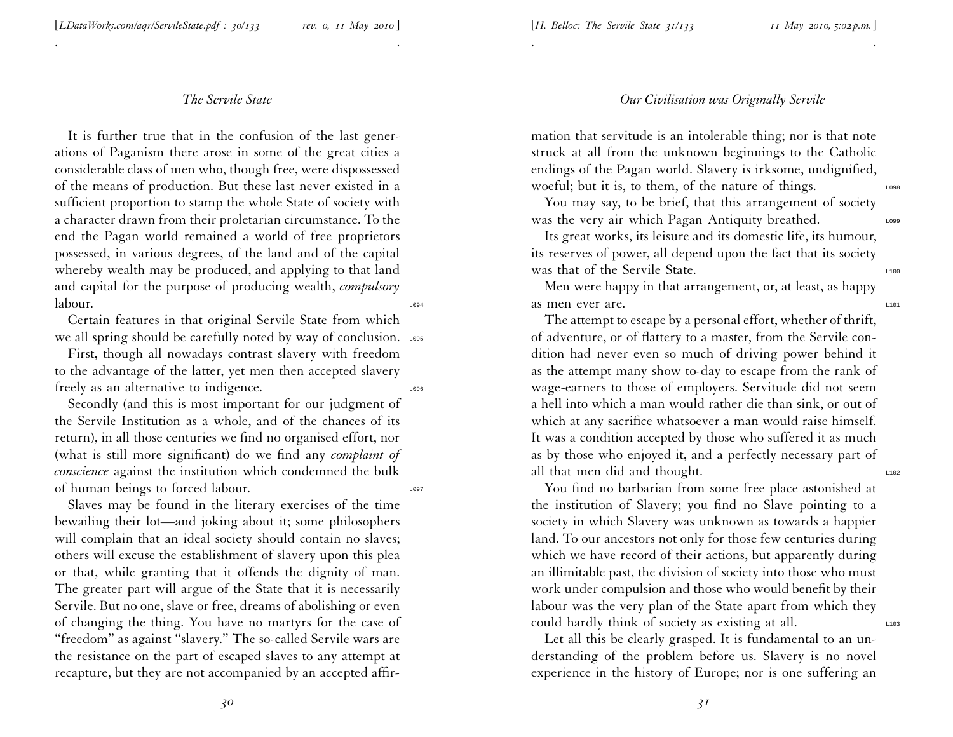. .

It is further true that in the confusion of the last generations of Paganism there arose in some of the grea<sup>t</sup> cities <sup>a</sup> considerable class of men who, though free, were dispossessed of the means of production. But these last never existed in <sup>a</sup> sufficient proportion to stamp the whole State of society with <sup>a</sup> character drawn from their proletarian circumstance. To the end the Pagan world remained <sup>a</sup> world of free proprietors possessed, in various degrees, of the land and of the capital whereby wealth may be produced, and applying to that land and capital for the purpose of producing wealth, *compulsory*  $labor.$ 

Certain features in that original Servile State from which we all spring should be carefully noted by way of conclusion. Lo95

First, though all nowadays contrast slavery with freedom to the advantage of the latter, ye<sup>t</sup> men then accepted slavery freely as an alternative to indigence.

Secondly (and this is most important for our judgment of the Servile Institution as <sup>a</sup> whole, and of the chances of its return), in all those centuries we find no organised effort, nor (what is still more significant) do we find any *complaint of conscience* against the institution which condemned the bulk of human beings to forced labour.

Slaves may be found in the literary exercises of the time bewailing their lot—and joking about it; some <sup>p</sup>hilosophers will complain that an ideal society should contain no slaves; others will excuse the establishment of slavery upon this <sup>p</sup>lea or that, while granting that it offends the dignity of man. The greater par<sup>t</sup> will argue of the State that it is necessarily Servile. But no one, slave or free, dreams of abolishing or even of changing the thing. You have no martyrs for the case of ''freedom'' as against ''slavery.'' The so-called Servile wars are the resistance on the par<sup>t</sup> of escaped slaves to any attempt at recapture, but they are not accompanied by an accepted affir-

#### *Our Civilisation was Originally Servile*

mation that servitude is an intolerable thing; nor is that note struck at all from the unknown beginnings to the Catholic endings of the Pagan world. Slavery is irksome, undignified, woeful; but it is, to them, of the nature of things.

. .

You may say, to be brief, that this arrangemen<sup>t</sup> of society was the very air which Pagan Antiquity breathed.

Its grea<sup>t</sup> works, its leisure and its domestic life, its humour, its reserves of power, all depend upon the fact that its society Was that of the Servile State.

Men were happy in that arrangement, or, at least, as happy as men ever are.

The attempt to escape by <sup>a</sup> personal effort, whether of thrift, of adventure, or of flattery to <sup>a</sup> master, from the Servile condition had never even so much of driving power behind it as the attempt many show to-day to escape from the rank of wage-earners to those of employers. Servitude did not seem <sup>a</sup> hell into which <sup>a</sup> man would rather die than sink, or out of which at any sacrifice whatsoever <sup>a</sup> man would raise himself. It was <sup>a</sup> condition accepted by those who suffered it as much as by those who enjoyed it, and <sup>a</sup> perfectly necessary par<sup>t</sup> of all that men did and thought.

You find no barbarian from some free <sup>p</sup>lace astonished at the institution of Slavery; you find no Slave pointing to <sup>a</sup> society in which Slavery was unknown as towards <sup>a</sup> happier land. To our ancestors not only for those few centuries during which we have record of their actions, but apparently during an illimitable past, the division of society into those who must work under compulsion and those who would benefit by their labour was the very <sup>p</sup>lan of the State apar<sup>t</sup> from which they could hardly think of society as existing at all.

Let all this be clearly grasped. It is fundamental to an understanding of the problem before us. Slavery is no novel experience in the history of Europe; nor is one suffering an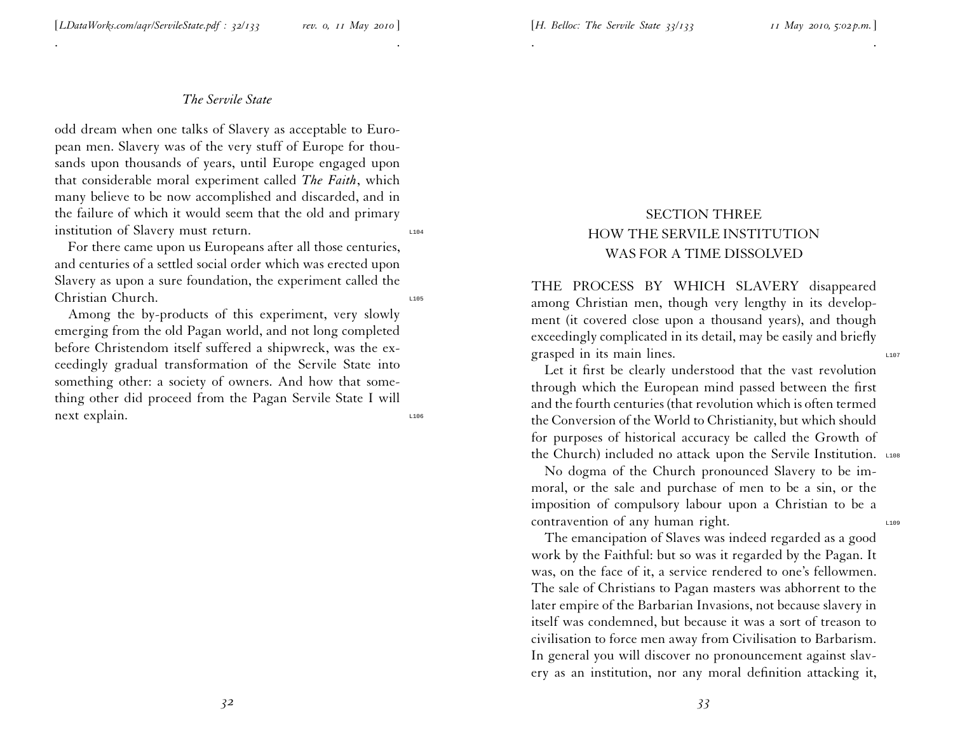. .

odd dream when one talks of Slavery as acceptable to European men. Slavery was of the very stuff of Europe for thousands upon thousands of years, until Europe engaged upon that considerable moral experiment called *The Faith*, which many believe to be now accomplished and discarded, and in the failure of which it would seem that the old and primary institution of Slavery must return.

For there came upon us Europeans after all those centuries, and centuries of <sup>a</sup> settled social order which was erected upon Slavery as upon <sup>a</sup> sure foundation, the experiment called the Christian Church. Law

Among the by-products of this experiment, very slowly emerging from the old Pagan world, and not long completed before Christendom itself suffered <sup>a</sup> shipwreck, was the exceedingly gradual transformation of the Servile State into something other: <sup>a</sup> society of owners. And how that something other did proceed from the Pagan Servile State <sup>I</sup> will next explain.

# SECTION THREE HOW THE SERVILE INSTITUTION WAS FOR A TIME DISSOLVED

. .

THE PROCESS BY WHICH SLAVERY disappeared among Christian men, though very lengthy in its development (it covered close upon <sup>a</sup> thousand years), and though exceedingly complicated in its detail, may be easily and briefly grasped in its main lines.

Let it first be clearly understood that the vast revolution through which the European mind passed between the first and the fourth centuries (that revolution which is often termed the Conversion of the World to Christianity, but which should for purposes of historical accuracy be called the Growth of the Church) included no attack upon the Servile Institution. L108

No dogma of the Church pronounced Slavery to be immoral, or the sale and purchase of men to be <sup>a</sup> sin, or the imposition of compulsory labour upon <sup>a</sup> Christian to be <sup>a</sup> contravention of any human right.

The emancipation of Slaves was indeed regarded as <sup>a</sup> good work by the Faithful: but so was it regarded by the Pagan. It was, on the face of it, <sup>a</sup> service rendered to one's fellowmen. The sale of Christians to Pagan masters was abhorrent to the later empire of the Barbarian Invasions, not because slavery in itself was condemned, but because it was <sup>a</sup> sort of treason to civilisation to force men away from Civilisation to Barbarism. In general you will discover no pronouncemen<sup>t</sup> against slavery as an institution, nor any moral definition attacking it,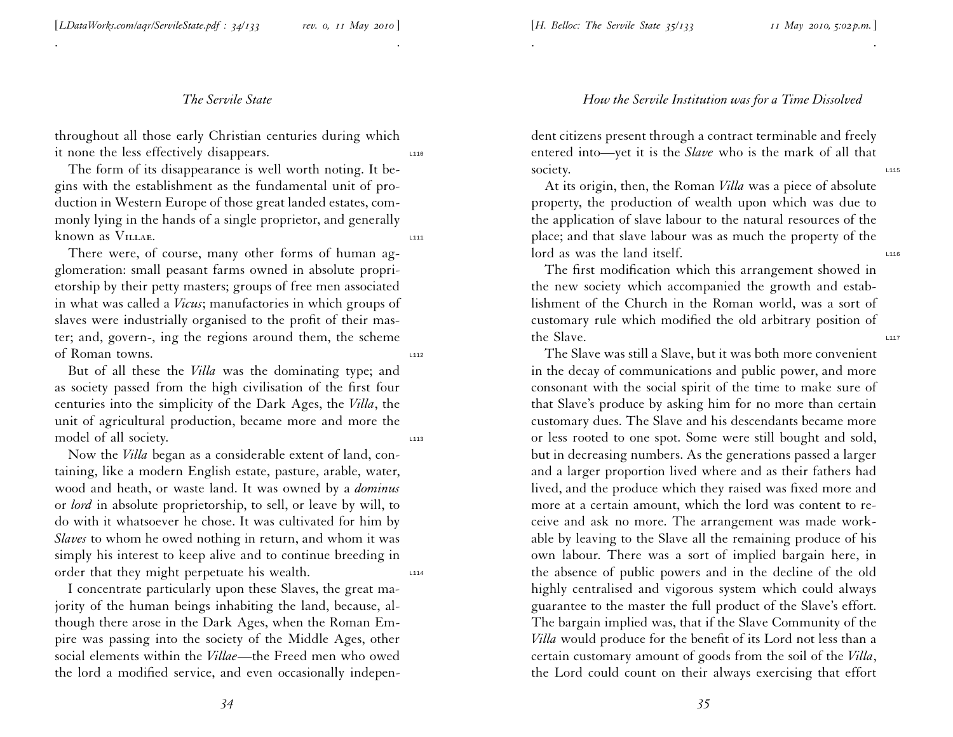#### [*H. Belloc: The Servile State <sup>35</sup>/133 <sup>11</sup> May 2010, 5:02 p.m.*]

### *The Servile State*

. .

throughout all those early Christian centuries during which it none the less effectively disappears.

The form of its disappearance is well worth noting. It be<sup>g</sup>ins with the establishment as the fundamental unit of production in Western Europe of those grea<sup>t</sup> landed estates, com monly lying in the hands of <sup>a</sup> single proprietor, and generally known as VILLAE.

There were, of course, many other forms of human ag<sup>g</sup>lomeration: small peasan<sup>t</sup> farms owned in absolute proprietorship by their petty masters; groups of free men associated in what was called <sup>a</sup> *Vicus*; manufactories in which groups of slaves were industrially organised to the profit of their mas ter; and, govern-, ing the regions around them, the scheme of Roman towns.

But of all these the *Villa* was the dominating type; and as society passed from the high civilisation of the first four centuries into the simplicity of the Dark Ages, the *Villa*, the unit of agricultural production, became more and more the model of all society.

Now the *Villa* began as <sup>a</sup> considerable extent of land, containing, like <sup>a</sup> modern English estate, pasture, arable, water, wood and heath, or waste land. It was owned by <sup>a</sup> *dominus* or *lord* in absolute proprietorship, to sell, or leave by will, to do with it whatsoever he chose. It was cultivated for him by *Slaves* to whom he owed nothing in return, and whom it was simply his interest to keep alive and to continue breeding in order that they might perpetuate his wealth.

<sup>I</sup> concentrate particularly upon these Slaves, the grea<sup>t</sup> majority of the human beings inhabiting the land, because, although there arose in the Dark Ages, when the Roman Em<sup>p</sup>ire was passing into the society of the Middle Ages, other social elements within the *Villae*—the Freed men who owed the lord <sup>a</sup> modified service, and even occasionally indepen-

#### *How the Servile Institution was for <sup>a</sup> Time Dissolved*

dent citizens presen<sup>t</sup> through <sup>a</sup> contract terminable and freely entered into—yet it is the *Slave* who is the mark of all that society.

. .

At its origin, then, the Roman *Villa* was <sup>a</sup> <sup>p</sup>iece of absolute property, the production of wealth upon which was due to the application of slave labour to the natural resources of the <sup>p</sup>lace; and that slave labour was as much the property of the  $\log$  lord as was the land itself.

The first modification which this arrangemen<sup>t</sup> showed in the new society which accompanied the growth and establishment of the Church in the Roman world, was <sup>a</sup> sort of customary rule which modified the old arbitrary position of the Slave.  $\frac{1}{2}$ 

The Slave was still <sup>a</sup> Slave, but it was both more convenient in the decay of communications and public power, and more consonant with the social spirit of the time to make sure of that Slave's produce by asking him for no more than certain customary dues. The Slave and his descendants became more or less rooted to one spot. Some were still bought and sold, but in decreasing numbers. As the generations passed <sup>a</sup> larger and <sup>a</sup> larger proportion lived where and as their fathers had lived, and the produce which they raised was fixed more and more at <sup>a</sup> certain amount, which the lord was content to receive and ask no more. The arrangemen<sup>t</sup> was made workable by leaving to the Slave all the remaining produce of his own labour. There was <sup>a</sup> sort of implied bargain here, in the absence of public powers and in the decline of the old highly centralised and vigorous system which could always guarantee to the master the full product of the Slave's effort. The bargain implied was, that if the Slave Community of the *Villa* would produce for the benefit of its Lord not less than <sup>a</sup> certain customary amount of goods from the soil of the *Villa*, the Lord could count on their always exercising that effort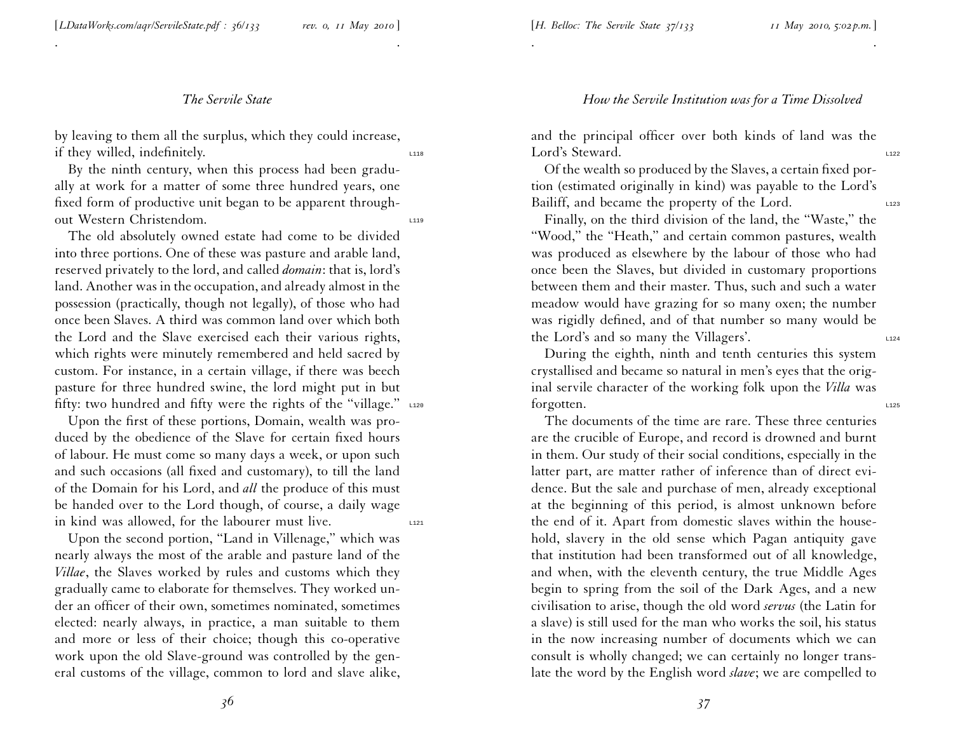[*LDataWorks.com/aqr/ServileState.pdf : <sup>3</sup>6/133 rev. 0, <sup>11</sup> May <sup>2010</sup>* ]

## *The Servile State*

. .

by leaving to them all the surplus, which they could increase, if they willed, indefinitely.

By the ninth century, when this process had been gradually at work for <sup>a</sup> matter of some three hundred years, one fixed form of productive unit began to be apparen<sup>t</sup> throughout Western Christendom.

The old absolutely owned estate had come to be divided into three portions. One of these was pasture and arable land, reserved privately to the lord, and called *domain*: that is, lord's land. Another was in the occupation, and already almost in the possession (practically, though not legally), of those who had once been Slaves. A third was common land over which both the Lord and the Slave exercised each their various rights, which rights were minutely remembered and held sacred by custom. For instance, in <sup>a</sup> certain village, if there was beech pasture for three hundred swine, the lord might pu<sup>t</sup> in but fifty: two hundred and fifty were the rights of the "village." L120

Upon the first of these portions, Domain, wealth was produced by the obedience of the Slave for certain fixed hours of labour. He must come so many days <sup>a</sup> week, or upon such and such occasions (all fixed and customary), to till the land of the Domain for his Lord, and *all* the produce of this must be handed over to the Lord though, of course, <sup>a</sup> daily wage in kind was allowed, for the labourer must live.  $\qquad \qquad \text{L121}$ 

Upon the second portion, ''Land in Villenage,'' which was nearly always the most of the arable and pasture land of the *Villae*, the Slaves worked by rules and customs which they gradually came to elaborate for themselves. They worked under an officer of their own, sometimes nominated, sometimes elected: nearly always, in practice, <sup>a</sup> man suitable to them and more or less of their choice; though this co-operative work upon the old Slave-ground was controlled by the general customs of the village, common to lord and slave alike,

and the principal officer over both kinds of land was the Lord's Steward.

. .

Of the wealth so produced by the Slaves, <sup>a</sup> certain fixed portion (estimated originally in kind) was payable to the Lord's Bailiff, and became the property of the Lord.

Finally, on the third division of the land, the "Waste," the ''Wood,'' the ''Heath,'' and certain common pastures, wealth was produced as elsewhere by the labour of those who had once been the Slaves, but divided in customary proportions between them and their master. Thus, such and such <sup>a</sup> water meadow would have grazing for so many oxen; the number was rigidly defined, and of that number so many would be the Lord's and so many the Villagers'.

During the eighth, ninth and tenth centuries this system crystallised and became so natural in men's eyes that the original servile character of the working folk upon the *Villa* was forgotten.

The documents of the time are rare. These three centuries are the crucible of Europe, and record is drowned and burnt in them. Our study of their social conditions, especially in the latter part, are matter rather of inference than of direct evidence. But the sale and purchase of men, already exceptional at the beginning of this period, is almost unknown before the end of it. Apart from domestic slaves within the household, slavery in the old sense which Pagan antiquity gave that institution had been transformed out of all knowledge, and when, with the eleventh century, the true Middle Ages begin to spring from the soil of the Dark Ages, and <sup>a</sup> new civilisation to arise, though the old word *servus* (the Latin for <sup>a</sup> slave) is still used for the man who works the soil, his status in the now increasing number of documents which we can consult is wholly changed; we can certainly no longer translate the word by the English word *slave*; we are compelled to

# *How the Servile Institution was for <sup>a</sup> Time Dissolved*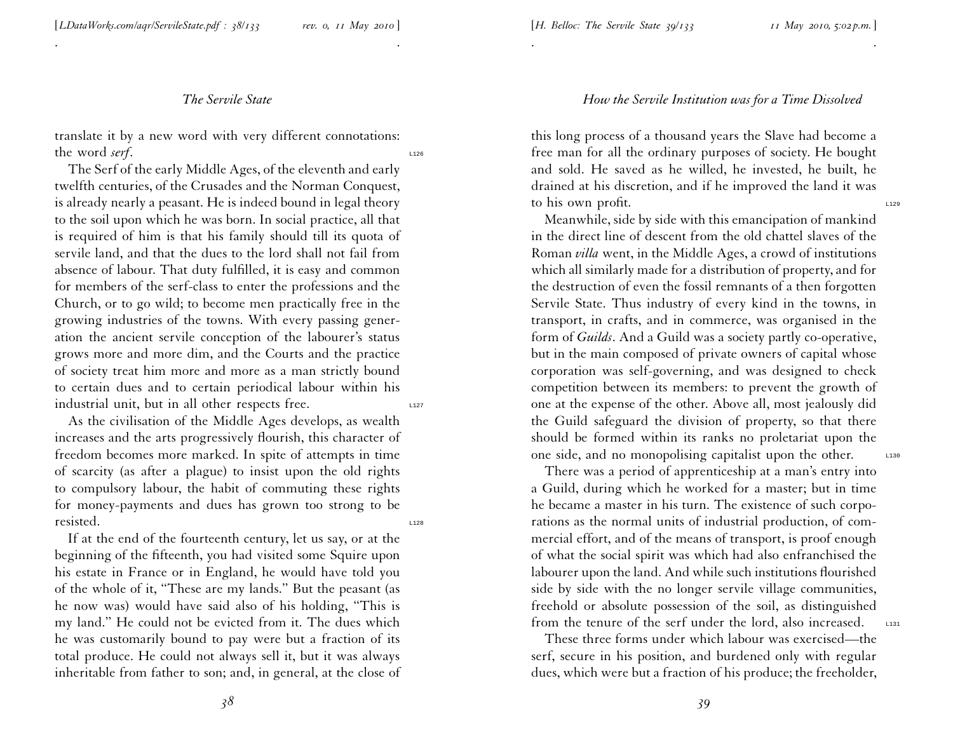[*LDataWorks.com/aqr/ServileState.pdf : <sup>3</sup>8/133 rev. 0, <sup>11</sup> May <sup>2010</sup>* ]

## *The Servile State*

. .

translate it by <sup>a</sup> new word with very different connotations: the word *serf*.

The Serf of the early Middle Ages, of the eleventh and early twelfth centuries, of the Crusades and the Norman Conquest, is already nearly <sup>a</sup> peasant. He is indeed bound in legal theory to the soil upon which he was born. In social practice, all that is required of him is that his family should till its quota of servile land, and that the dues to the lord shall not fail from absence of labour. That duty fulfilled, it is easy and common for members of the serf-class to enter the professions and the Church, or to go wild; to become men practically free in the growing industries of the towns. With every passing generation the ancient servile conception of the labourer's status grows more and more dim, and the Courts and the practice of society treat him more and more as <sup>a</sup> man strictly bound to certain dues and to certain periodical labour within his industrial unit, but in all other respects free.  $\frac{1}{2}$ 

As the civilisation of the Middle Ages develops, as wealth increases and the arts progressively flourish, this character of freedom becomes more marked. In spite of attempts in time of scarcity (as after <sup>a</sup> <sup>p</sup>lague) to insist upon the old rights to compulsory labour, the habit of commuting these rights for money-payments and dues has grown too strong to be resisted.

If at the end of the fourteenth century, let us say, or at the beginning of the fifteenth, you had visited some Squire upon his estate in France or in England, he would have told you of the whole of it, ''These are my lands.'' But the peasan<sup>t</sup> (as he now was) would have said also of his holding, ''This is my land.'' He could not be evicted from it. The dues which he was customarily bound to pay were but <sup>a</sup> fraction of its total produce. He could not always sell it, but it was always inheritable from father to son; and, in general, at the close of

*How the Servile Institution was for <sup>a</sup> Time Dissolved*

this long process of <sup>a</sup> thousand years the Slave had become <sup>a</sup> free man for all the ordinary purposes of society. He bought and sold. He saved as he willed, he invested, he built, he drained at his discretion, and if he improved the land it was to his own profit.  $\frac{1}{2}$ 

. .

Meanwhile, side by side with this emancipation of mankind in the direct line of descent from the old chattel slaves of the Roman *villa* went, in the Middle Ages, <sup>a</sup> crowd of institutions which all similarly made for <sup>a</sup> distribution of property, and for the destruction of even the fossil remnants of <sup>a</sup> then forgotten Servile State. Thus industry of every kind in the towns, in transport, in crafts, and in commerce, was organised in the form of *Guilds*. And <sup>a</sup> Guild was <sup>a</sup> society partly co-operative, but in the main composed of private owners of capital whose corporation was self-governing, and was designed to check competition between its members: to preven<sup>t</sup> the growth of one at the expense of the other. Above all, most jealously did the Guild safeguard the division of property, so that there should be formed within its ranks no proletariat upon the one side, and no monopolising capitalist upon the other. L130

There was <sup>a</sup> period of apprenticeship at <sup>a</sup> man's entry into <sup>a</sup> Guild, during which he worked for <sup>a</sup> master; but in time he became <sup>a</sup> master in his turn. The existence of such corporations as the normal units of industrial production, of com mercial effort, and of the means of transport, is proof enough of what the social spirit was which had also enfranchised the labourer upon the land. And while such institutions flourished side by side with the no longer servile village communities, freehold or absolute possession of the soil, as distinguished from the tenure of the serf under the lord, also increased.  $\Box$ 

These three forms under which labour was exercised—the serf, secure in his position, and burdened only with regular dues, which were but <sup>a</sup> fraction of his produce; the freeholder,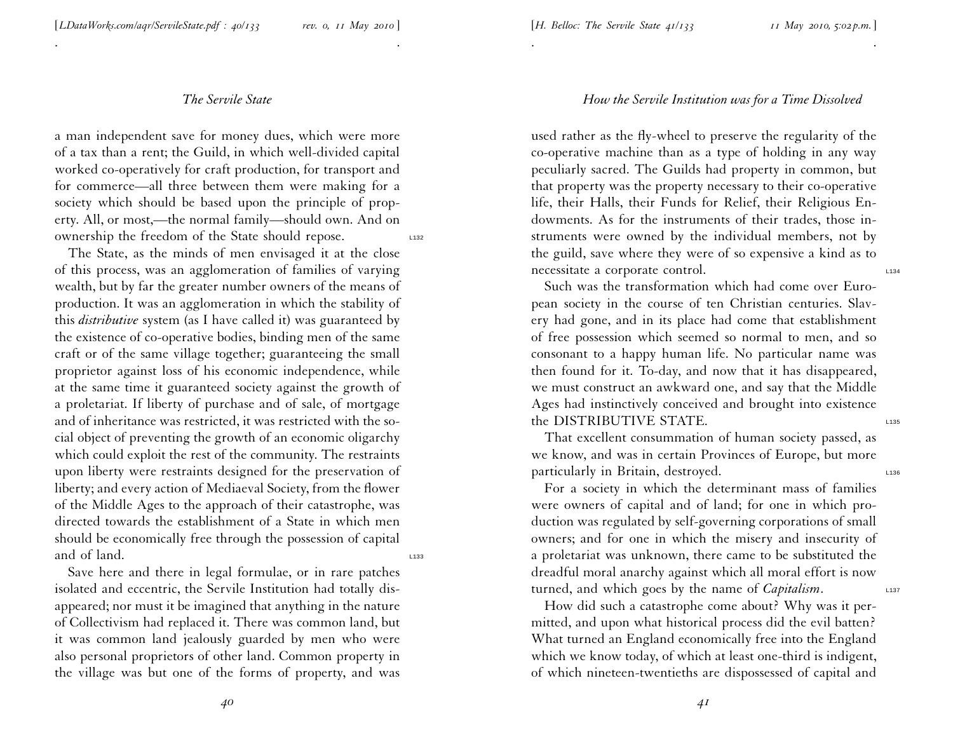. .

<sup>a</sup> man independent save for money dues, which were more of <sup>a</sup> tax than <sup>a</sup> rent; the Guild, in which well-divided capital worked co-operatively for craft production, for transport and for commerce—all three between them were making for <sup>a</sup> society which should be based upon the principle of property. All, or most,—the normal family—should own. And on ownership the freedom of the State should repose.

The State, as the minds of men envisaged it at the close of this process, was an agglomeration of families of varying wealth, but by far the greater number owners of the means of production. It was an agglomeration in which the stability of this *distributive* system (as <sup>I</sup> have called it) was guaranteed by the existence of co-operative bodies, binding men of the same craft or of the same village together; guaranteeing the small proprietor against loss of his economic independence, while at the same time it guaranteed society against the growth of <sup>a</sup> proletariat. If liberty of purchase and of sale, of mortgage and of inheritance was restricted, it was restricted with the social object of preventing the growth of an economic oligarchy which could exploit the rest of the community. The restraints upon liberty were restraints designed for the preservation of liberty; and every action of Mediaeval Society, from the flower of the Middle Ages to the approach of their catastrophe, was directed towards the establishment of <sup>a</sup> State in which men should be economically free through the possession of capital and of land.

Save here and there in legal formulae, or in rare patches isolated and eccentric, the Servile Institution had totally disappeared; nor must it be imagined that anything in the nature of Collectivism had replaced it. There was common land, but it was common land jealously guarded by men who were also personal proprietors of other land. Common property in the village was but one of the forms of property, and was

# *How the Servile Institution was for <sup>a</sup> Time Dissolved*

. .

used rather as the fly-wheel to preserve the regularity of the co-operative machine than as <sup>a</sup> type of holding in any way peculiarly sacred. The Guilds had property in common, but that property was the property necessary to their co-operative life, their Halls, their Funds for Relief, their Religious Endowments. As for the instruments of their trades, those instruments were owned by the individual members, not by the guild, save where they were of so expensive <sup>a</sup> kind as to necessitate a corporate control.

Such was the transformation which had come over European society in the course of ten Christian centuries. Slavery had gone, and in its <sup>p</sup>lace had come that establishment of free possession which seemed so normal to men, and so consonant to <sup>a</sup> happy human life. No particular name was then found for it. To-day, and now that it has disappeared, we must construct an awkward one, and say that the Middle Ages had instinctively conceived and brought into existence the DISTRIBUTIVE STATE.

That excellent consummation of human society passed, as we know, and was in certain Provinces of Europe, but more particularly in Britain, destroyed.

For <sup>a</sup> society in which the determinant mass of families were owners of capital and of land; for one in which production was regulated by self-governing corporations of small owners; and for one in which the misery and insecurity of <sup>a</sup> proletariat was unknown, there came to be substituted the dreadful moral anarchy against which all moral effort is now turned, and which goes by the name of *Capitalism*.

How did such <sup>a</sup> catastrophe come about? Why was it permitted, and upon what historical process did the evil batten? What turned an England economically free into the England which we know today, of which at least one-third is indigent, of which nineteen-twentieths are dispossessed of capital and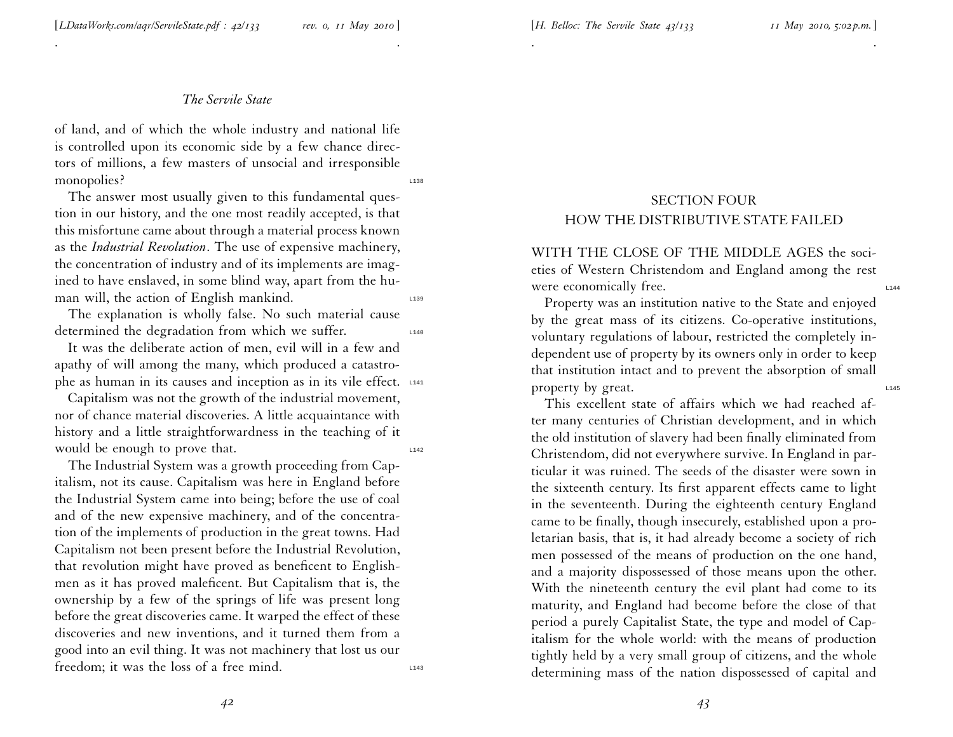. .

of land, and of which the whole industry and national life is controlled upon its economic side by <sup>a</sup> few chance directors of millions, <sup>a</sup> few masters of unsocial and irresponsible monopolies?

The answer most usually <sup>g</sup>iven to this fundamental question in our history, and the one most readily accepted, is that this misfortune came about through <sup>a</sup> material process known as the *Industrial Revolution*. The use of expensive machinery, the concentration of industry and of its implements are imag ined to have enslaved, in some blind way, apar<sup>t</sup> from the human will, the action of English mankind.  $\Box$ 

The explanation is wholly false. No such material cause determined the degradation from which we suffer.

It was the deliberate action of men, evil will in <sup>a</sup> few and apathy of will among the many, which produced <sup>a</sup> catastrophe as human in its causes and inception as in its vile effect. L141

Capitalism was not the growth of the industrial movement, nor of chance material discoveries. A little acquaintance with history and <sup>a</sup> little straightforwardness in the teaching of it would be enough to prove that.

The Industrial System was <sup>a</sup> growth proceeding from Capitalism, not its cause. Capitalism was here in England before the Industrial System came into being; before the use of coal and of the new expensive machinery, and of the concentration of the implements of production in the grea<sup>t</sup> towns. Had Capitalism not been presen<sup>t</sup> before the Industrial Revolution, that revolution might have proved as beneficent to Englishmen as it has proved maleficent. But Capitalism that is, the ownership by <sup>a</sup> few of the springs of life was presen<sup>t</sup> long before the grea<sup>t</sup> discoveries came. It warped the effect of these discoveries and new inventions, and it turned them from <sup>a</sup> good into an evil thing. It was not machinery that lost us our freedom; it was the loss of a free mind.

# SECTION FOUR HOW THE DISTRIBUTIVE STATE FAILED

. .

WITH THE CLOSE OF THE MIDDLE AGES the societies of Western Christendom and England among the rest were economically free.

Property was an institution native to the State and enjoyed by the grea<sup>t</sup> mass of its citizens. Co-operative institutions, voluntary regulations of labour, restricted the completely independent use of property by its owners only in order to keep that institution intact and to preven<sup>t</sup> the absorption of small property by great.

This excellent state of affairs which we had reached after many centuries of Christian development, and in which the old institution of slavery had been finally eliminated from Christendom, did not everywhere survive. In England in particular it was ruined. The seeds of the disaster were sown in the sixteenth century. Its first apparen<sup>t</sup> effects came to light in the seventeenth. During the eighteenth century England came to be finally, though insecurely, established upon <sup>a</sup> pro letarian basis, that is, it had already become <sup>a</sup> society of rich men possessed of the means of production on the one hand, and <sup>a</sup> majority dispossessed of those means upon the other. With the nineteenth century the evil <sup>p</sup>lant had come to its maturity, and England had become before the close of that period <sup>a</sup> purely Capitalist State, the type and model of Capitalism for the whole world: with the means of production tightly held by <sup>a</sup> very small group of citizens, and the whole determining mass of the nation dispossessed of capital and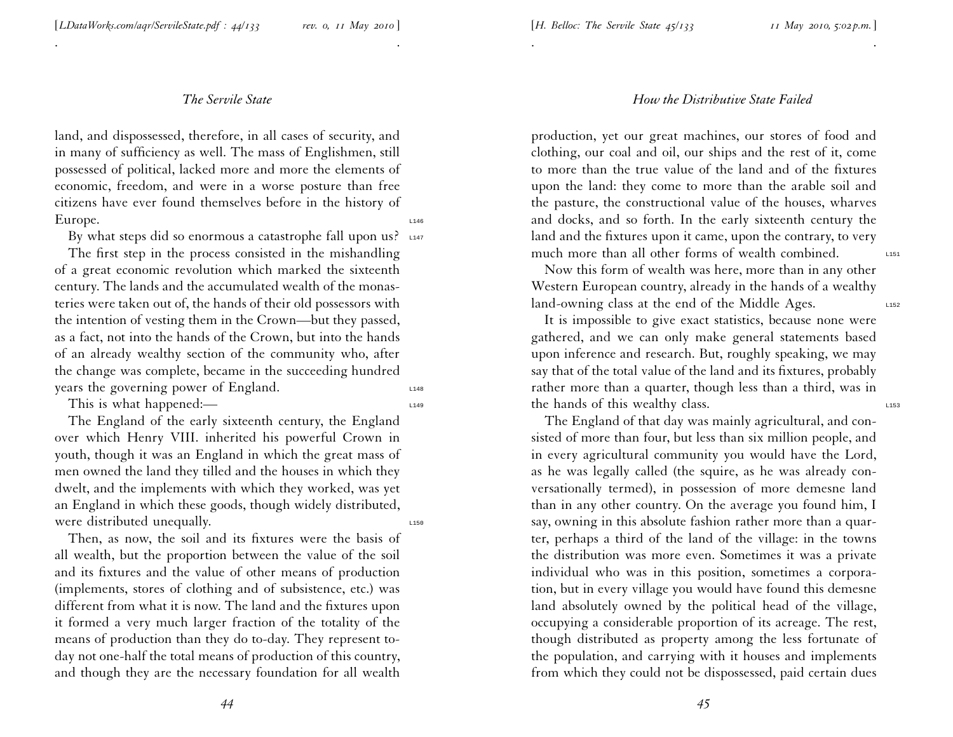. .

land, and dispossessed, therefore, in all cases of security, and in many of sufficiency as well. The mass of Englishmen, still possessed of political, lacked more and more the elements of economic, freedom, and were in <sup>a</sup> worse posture than free citizens have ever found themselves before in the history of Europe. 1146

By what steps did so enormous a catastrophe fall upon us?  $\mu$ 147

The first step in the process consisted in the mishandling of <sup>a</sup> grea<sup>t</sup> economic revolution which marked the sixteenth century. The lands and the accumulated wealth of the monasteries were taken out of, the hands of their old possessors with the intention of vesting them in the Crown—but they passed, as <sup>a</sup> fact, not into the hands of the Crown, but into the hands of an already wealthy section of the community who, after the change was complete, became in the succeeding hundred years the governing power of England.

This is what happened:— $\frac{1}{1149}$ 

The England of the early sixteenth century, the England over which Henry VIII. inherited his powerful Crown in youth, though it was an England in which the grea<sup>t</sup> mass of men owned the land they tilled and the houses in which they dwelt, and the implements with which they worked, was ye<sup>t</sup> an England in which these goods, though widely distributed, were distributed unequally.

Then, as now, the soil and its fixtures were the basis of all wealth, but the proportion between the value of the soil and its fixtures and the value of other means of production (implements, stores of clothing and of subsistence, etc.) was different from what it is now. The land and the fixtures upon it formed <sup>a</sup> very much larger fraction of the totality of the means of production than they do to-day. They represen<sup>t</sup> today not one-half the total means of production of this country, and though they are the necessary foundation for all wealth

#### *How the Distributive State Failed*

. .

production, ye<sup>t</sup> our grea<sup>t</sup> machines, our stores of food and clothing, our coal and oil, our ships and the rest of it, come to more than the true value of the land and of the fixtures upon the land: they come to more than the arable soil and the pasture, the constructional value of the houses, wharves and docks, and so forth. In the early sixteenth century the land and the fixtures upon it came, upon the contrary, to very much more than all other forms of wealth combined.  $\qquad \qquad \text{L151}$ 

Now this form of wealth was here, more than in any other Western European country, already in the hands of <sup>a</sup> wealthy land-owning class at the end of the Middle Ages.

It is impossible to <sup>g</sup>ive exact statistics, because none were gathered, and we can only make general statements based upon inference and research. But, roughly speaking, we may say that of the total value of the land and its fixtures, probably rather more than <sup>a</sup> quarter, though less than <sup>a</sup> third, was in the hands of this wealthy class.

The England of that day was mainly agricultural, and consisted of more than four, but less than six million people, and in every agricultural community you would have the Lord, as he was legally called (the squire, as he was already conversationally termed), in possession of more demesne land than in any other country. On the average you found him, <sup>I</sup> say, owning in this absolute fashion rather more than <sup>a</sup> quarter, perhaps <sup>a</sup> third of the land of the village: in the towns the distribution was more even. Sometimes it was <sup>a</sup> private individual who was in this position, sometimes <sup>a</sup> corporation, but in every village you would have found this demesne land absolutely owned by the political head of the village, occupying <sup>a</sup> considerable proportion of its acreage. The rest, though distributed as property among the less fortunate of the population, and carrying with it houses and implements from which they could not be dispossessed, paid certain dues

*44*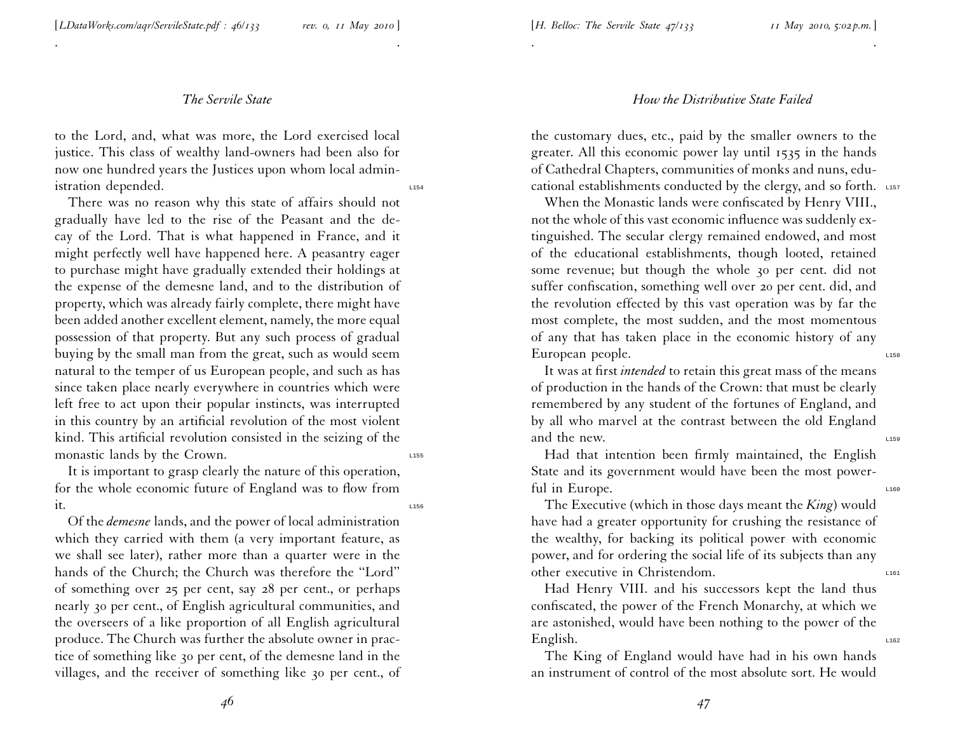. .

to the Lord, and, what was more, the Lord exercised local justice. This class of wealthy land-owners had been also for now one hundred years the Justices upon whom local administration depended.

There was no reason why this state of affairs should not gradually have led to the rise of the Peasant and the decay of the Lord. That is what happened in France, and it might perfectly well have happened here. A peasantry eager to purchase might have gradually extended their holdings at the expense of the demesne land, and to the distribution of property, which was already fairly complete, there might have been added another excellent element, namely, the more equal possession of that property. But any such process of gradual buying by the small man from the great, such as would seem natural to the temper of us European people, and such as has since taken <sup>p</sup>lace nearly everywhere in countries which were left free to act upon their popular instincts, was interrupted in this country by an artificial revolution of the most violent kind. This artificial revolution consisted in the seizing of the monastic lands by the Crown.

It is important to grasp clearly the nature of this operation, for the whole economic future of England was to flow from it.  $\frac{1}{2}$  is the contract of  $\frac{1}{2}$  is the contract of  $\frac{1}{2}$  is the contract of  $\frac{1}{2}$  is the contract of  $\frac{1}{2}$  is the contract of  $\frac{1}{2}$  is the contract of  $\frac{1}{2}$  is the contract of  $\frac{1}{2}$  is t

Of the *demesne* lands, and the power of local administration which they carried with them (a very important feature, as we shall see later), rather more than <sup>a</sup> quarter were in the hands of the Church; the Church was therefore the ''Lord'' of something over 25 per cent, say 28 per cent., or perhaps nearly <sup>30</sup> per cent., of English agricultural communities, and the overseers of <sup>a</sup> like proportion of all English agricultural produce. The Church was further the absolute owner in practice of something like <sup>30</sup> per cent, of the demesne land in the villages, and the receiver of something like <sup>30</sup> per cent., of

#### *How the Distributive State Failed*

. The contract of the contract of the contract of the contract of the contract of the contract of the contract of the contract of the contract of the contract of the contract of the contract of the contract of the contrac

the customary dues, etc., paid by the smaller owners to the greater. All this economic power lay until 1535 in the hands of Cathedral Chapters, communities of monks and nuns, educational establishments conducted by the clergy, and so forth. L157

When the Monastic lands were confiscated by Henry VIII., not the whole of this vast economic influence was suddenly extinguished. The secular clergy remained endowed, and most of the educational establishments, though looted, retained some revenue; but though the whole <sup>30</sup> per cent. did not suffer confiscation, something well over <sup>20</sup> per cent. did, and the revolution effected by this vast operation was by far the most complete, the most sudden, and the most momentous of any that has taken <sup>p</sup>lace in the economic history of any European people.

It was at first *intended* to retain this grea<sup>t</sup> mass of the means of production in the hands of the Crown: that must be clearly remembered by any student of the fortunes of England, and by all who marvel at the contrast between the old England and the new.

Had that intention been firmly maintained, the English State and its governmen<sup>t</sup> would have been the most powerful in Europe.

The Executive (which in those days meant the *King*) would have had <sup>a</sup> greater opportunity for crushing the resistance of the wealthy, for backing its political power with economic power, and for ordering the social life of its subjects than any other executive in Christendom.

Had Henry VIII. and his successors kept the land thus confiscated, the power of the French Monarchy, at which we are astonished, would have been nothing to the power of the  $English.$ 

The King of England would have had in his own hands an instrument of control of the most absolute sort. He would

*46*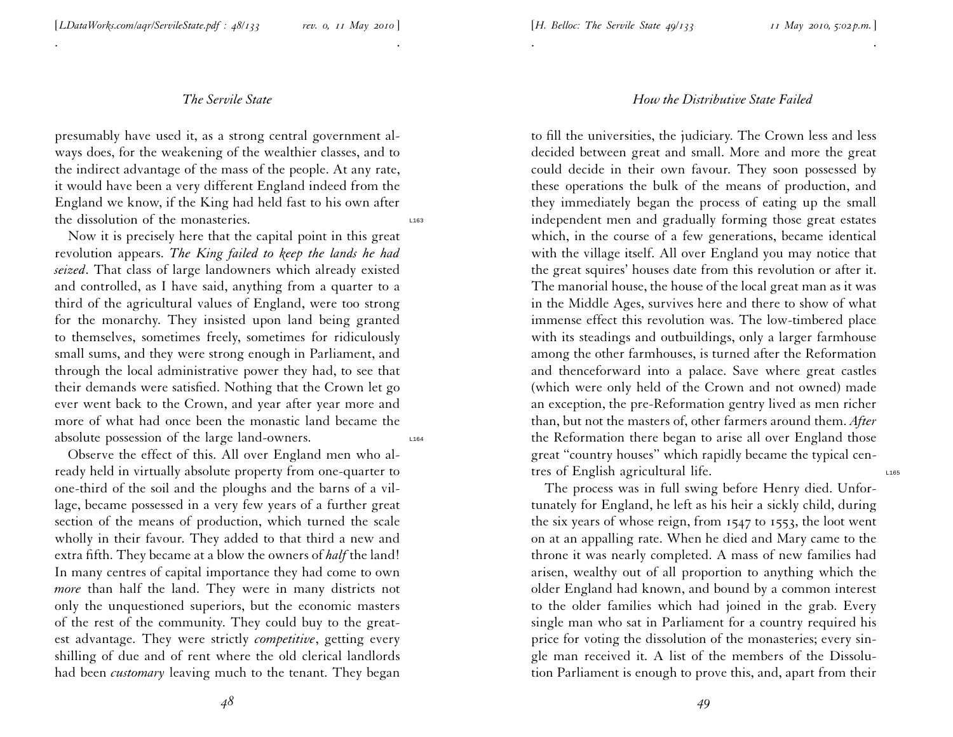. .

presumably have used it, as <sup>a</sup> strong central governmen<sup>t</sup> always does, for the weakening of the wealthier classes, and to the indirect advantage of the mass of the people. At any rate, it would have been <sup>a</sup> very different England indeed from the England we know, if the King had held fast to his own after the dissolution of the monasteries.

Now it is precisely here that the capital point in this grea<sup>t</sup> revolution appears. *The King failed to keep the lands he had seized*. That class of large landowners which already existed and controlled, as <sup>I</sup> have said, anything from <sup>a</sup> quarter to <sup>a</sup> third of the agricultural values of England, were too strong for the monarchy. They insisted upon land being granted to themselves, sometimes freely, sometimes for ridiculously small sums, and they were strong enough in Parliament, and through the local administrative power they had, to see that their demands were satisfied. Nothing that the Crown let go ever went back to the Crown, and year after year more and more of what had once been the monastic land became the absolute possession of the large land-owners.

Observe the effect of this. All over England men who already held in virtually absolute property from one-quarter to one-third of the soil and the <sup>p</sup>loughs and the barns of <sup>a</sup> village, became possessed in <sup>a</sup> very few years of <sup>a</sup> further grea<sup>t</sup> section of the means of production, which turned the scale wholly in their favour. They added to that third <sup>a</sup> new and extra fifth. They became at <sup>a</sup> blow the owners of *half* the land! In many centres of capital importance they had come to own *more* than half the land. They were in many districts not only the unquestioned superiors, but the economic masters of the rest of the community. They could buy to the greatest advantage. They were strictly *competitive*, getting every shilling of due and of rent where the old clerical landlords had been *customary* leaving much to the tenant. They began

## *How the Distributive State Failed*

. The contract of the contract of the contract of the contract of the contract of the contract of the contract of the contract of the contract of the contract of the contract of the contract of the contract of the contrac

to fill the universities, the judiciary. The Crown less and less decided between grea<sup>t</sup> and small. More and more the grea<sup>t</sup> could decide in their own favour. They soon possessed by these operations the bulk of the means of production, and they immediately began the process of eating up the small independent men and gradually forming those grea<sup>t</sup> estates which, in the course of <sup>a</sup> few generations, became identical with the village itself. All over England you may notice that the grea<sup>t</sup> squires' houses date from this revolution or after it. The manorial house, the house of the local grea<sup>t</sup> man as it was in the Middle Ages, survives here and there to show of what immense effect this revolution was. The low-timbered <sup>p</sup>lace with its steadings and outbuildings, only <sup>a</sup> larger farmhouse among the other farmhouses, is turned after the Reformation and thenceforward into <sup>a</sup> palace. Save where grea<sup>t</sup> castles (which were only held of the Crown and not owned) made an exception, the pre-Reformation gentry lived as men richer than, but not the masters of, other farmers around them. *After* the Reformation there began to arise all over England those grea<sup>t</sup> ''country houses'' which rapidly became the typical centres of English agricultural life.

The process was in full swing before Henry died. Unfortunately for England, he left as his heir <sup>a</sup> sickly child, during the six years of whose reign, from <sup>1547</sup> to <sup>1553</sup>, the loot went on at an appalling rate. When he died and Mary came to the throne it was nearly completed. A mass of new families had arisen, wealthy out of all proportion to anything which the older England had known, and bound by <sup>a</sup> common interest to the older families which had joined in the grab. Every single man who sat in Parliament for <sup>a</sup> country required his price for voting the dissolution of the monasteries; every sin<sup>g</sup>le man received it. A list of the members of the Dissolution Parliament is enough to prove this, and, apar<sup>t</sup> from their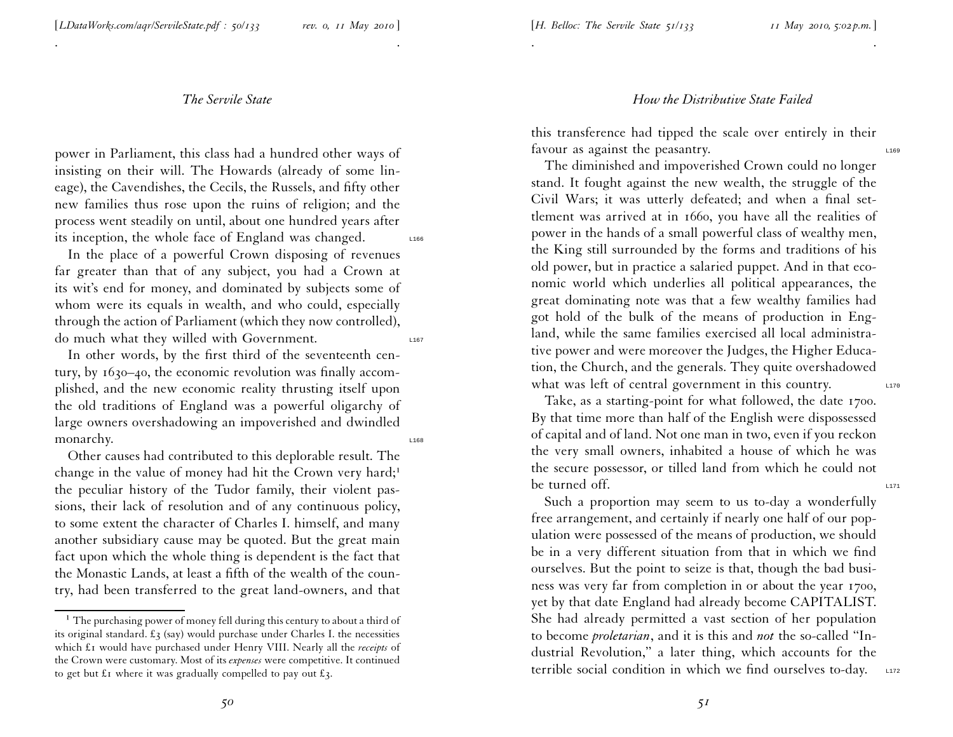. .

power in Parliament, this class had <sup>a</sup> hundred other ways of insisting on their will. The Howards (already of some lineage), the Cavendishes, the Cecils, the Russels, and fifty other new families thus rose upon the ruins of religion; and the process went steadily on until, about one hundred years after its inception, the whole face of England was changed. L166

In the <sup>p</sup>lace of <sup>a</sup> powerful Crown disposing of revenues far greater than that of any subject, you had <sup>a</sup> Crown at its wit's end for money, and dominated by subjects some of whom were its equals in wealth, and who could, especially through the action of Parliament (which they now controlled), do much what they willed with Government.

In other words, by the first third of the seventeenth century, by 1630 –40, the economic revolution was finally accom<sup>p</sup>lished, and the new economic reality thrusting itself upon the old traditions of England was <sup>a</sup> powerful oligarchy of large owners overshadowing an impoverished and dwindled monarchy.

Other causes had contributed to this deplorable result. The change in the value of money had hit the Crown very hard;<sup>1</sup> the peculiar history of the Tudor family, their violent passions, their lack of resolution and of any continuous policy, to some extent the character of Charles I. himself, and many another subsidiary cause may be quoted. But the grea<sup>t</sup> main fact upon which the whole thing is dependent is the fact that the Monastic Lands, at least <sup>a</sup> fifth of the wealth of the country, had been transferred to the grea<sup>t</sup> land-owners, and that

#### *How the Distributive State Failed*

this transference had tipped the scale over entirely in their favour as against the peasantry.

. The contract of the contract of the contract of the contract of the contract of the contract of the contract of the contract of the contract of the contract of the contract of the contract of the contract of the contrac

The diminished and impoverished Crown could no longer stand. It fought against the new wealth, the struggle of the Civil Wars; it was utterly defeated; and when <sup>a</sup> final settlement was arrived at in 1660, you have all the realities of power in the hands of <sup>a</sup> small powerful class of wealthy men, the King still surrounded by the forms and traditions of his old power, but in practice <sup>a</sup> salaried puppet. And in that economic world which underlies all political appearances, the grea<sup>t</sup> dominating note was that <sup>a</sup> few wealthy families had go<sup>t</sup> hold of the bulk of the means of production in England, while the same families exercised all local administrative power and were moreover the Judges, the Higher Education, the Church, and the generals. They quite overshadowed what was left of central government in this country.

Take, as <sup>a</sup> starting-point for what followed, the date 1700. By that time more than half of the English were dispossessed of capital and of land. Not one man in two, even if you reckon the very small owners, inhabited <sup>a</sup> house of which he was the secure possessor, or tilled land from which he could not be turned off.

Such <sup>a</sup> proportion may seem to us to-day <sup>a</sup> wonderfully free arrangement, and certainly if nearly one half of our pop ulation were possessed of the means of production, we should be in <sup>a</sup> very different situation from that in which we find ourselves. But the point to seize is that, though the bad busi ness was very far from completion in or about the year 1700, ye<sup>t</sup> by that date England had already become CAPITALIST. She had already permitted <sup>a</sup> vast section of her population to become *proletarian*, and it is this and *not* the so-called ''Industrial Revolution,'' <sup>a</sup> later thing, which accounts for the terrible social condition in which we find ourselves to-day. L172

 $^1$  The purchasing power of money fell during this century to about a third of its original standard.  $\pounds_3$  (say) would purchase under Charles I. the necessities which £<sup>1</sup> would have purchased under Henry VIII. Nearly all the *receipts* of the Crown were customary. Most of its *expenses* were competitive. It continued to get but  $\pounds$ 1 where it was gradually compelled to pay out  $\pounds$ 3.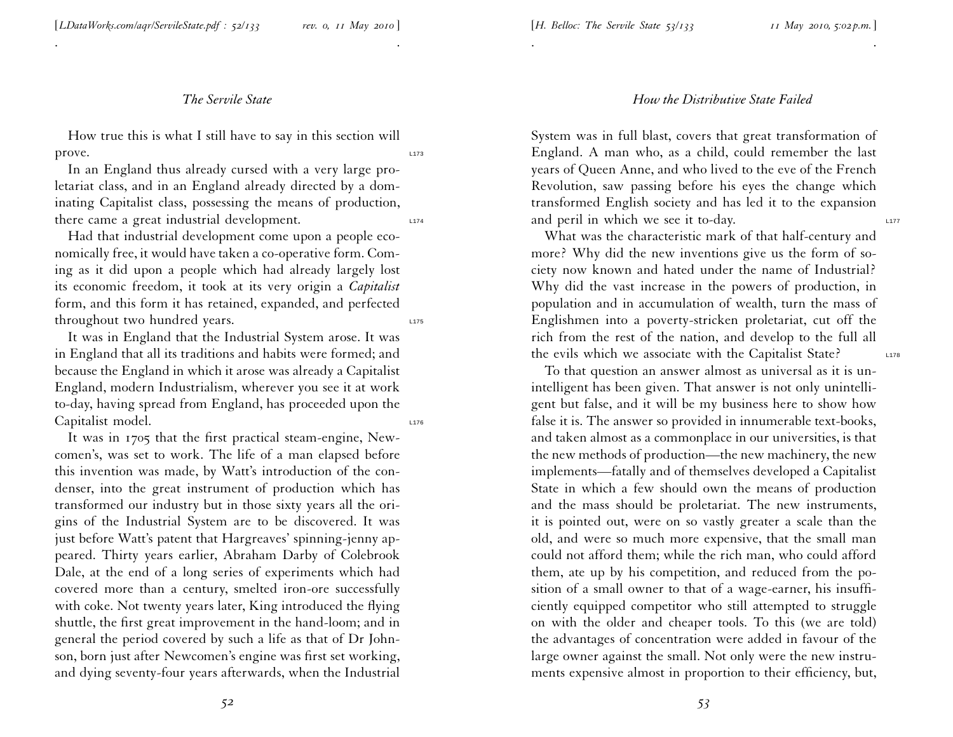[*LDataWorks.com/aqr/ServileState.pdf : <sup>52</sup>/133 rev. 0, <sup>11</sup> May <sup>2010</sup>* ]

## *The Servile State*

. .

How true this is what <sup>I</sup> still have to say in this section will  $\mathsf{prove.}$  Linearly  $\mathsf{prove.}$ 

In an England thus already cursed with <sup>a</sup> very large proletariat class, and in an England already directed by <sup>a</sup> dominating Capitalist class, possessing the means of production, there came a great industrial development.

Had that industrial development come upon <sup>a</sup> people economically free, it would have taken <sup>a</sup> co-operative form. Com ing as it did upon <sup>a</sup> people which had already largely lost its economic freedom, it took at its very origin <sup>a</sup> *Capitalist* form, and this form it has retained, expanded, and perfected throughout two hundred years.

It was in England that the Industrial System arose. It was in England that all its traditions and habits were formed; and because the England in which it arose was already <sup>a</sup> Capitalist England, modern Industrialism, wherever you see it at work to-day, having spread from England, has proceeded upon the Capitalist model.

It was in 1705 that the first practical steam-engine, Newcomen's, was set to work. The life of <sup>a</sup> man elapsed before this invention was made, by Watt's introduction of the condenser, into the grea<sup>t</sup> instrument of production which has transformed our industry but in those sixty years all the ori <sup>g</sup>ins of the Industrial System are to be discovered. It was just before Watt's patent that Hargreaves' spinning-jenny appeared. Thirty years earlier, Abraham Darby of Colebrook Dale, at the end of <sup>a</sup> long series of experiments which had covered more than <sup>a</sup> century, smelted iron-ore successfully with coke. Not twenty years later, King introduced the flying shuttle, the first grea<sup>t</sup> improvement in the hand-loom; and in general the period covered by such <sup>a</sup> life as that of Dr Johnson, born just after Newcomen's engine was first set working, and dying seventy-four years afterwards, when the Industrial

. The contract of the contract of the contract of the contract of the contract of the contract of the contract of the contract of the contract of the contract of the contract of the contract of the contract of the contrac

System was in full blast, covers that grea<sup>t</sup> transformation of England. A man who, as <sup>a</sup> child, could remember the last years of Queen Anne, and who lived to the eve of the French Revolution, saw passing before his eyes the change which transformed English society and has led it to the expansion and peril in which we see it to-day.

What was the characteristic mark of that half-century and more? Why did the new inventions <sup>g</sup>ive us the form of society now known and hated under the name of Industrial? Why did the vast increase in the powers of production, in population and in accumulation of wealth, turn the mass of Englishmen into <sup>a</sup> poverty-stricken proletariat, cut off the rich from the rest of the nation, and develop to the full all the evils which we associate with the Capitalist State?

To that question an answer almost as universal as it is unintelligent has been <sup>g</sup>iven. That answer is not only unintelligen<sup>t</sup> but false, and it will be my business here to show how false it is. The answer so provided in innumerable text-books, and taken almost as <sup>a</sup> commonplace in our universities, is that the new methods of production—the new machinery, the new implements—fatally and of themselves developed <sup>a</sup> Capitalist State in which <sup>a</sup> few should own the means of production and the mass should be proletariat. The new instruments, it is pointed out, were on so vastly greater <sup>a</sup> scale than the old, and were so much more expensive, that the small man could not afford them; while the rich man, who could afford them, ate up by his competition, and reduced from the position of <sup>a</sup> small owner to that of <sup>a</sup> wage-earner, his insufficiently equipped competitor who still attempted to struggle on with the older and cheaper tools. To this (we are told) the advantages of concentration were added in favour of the large owner against the small. Not only were the new instruments expensive almost in proportion to their efficiency, but,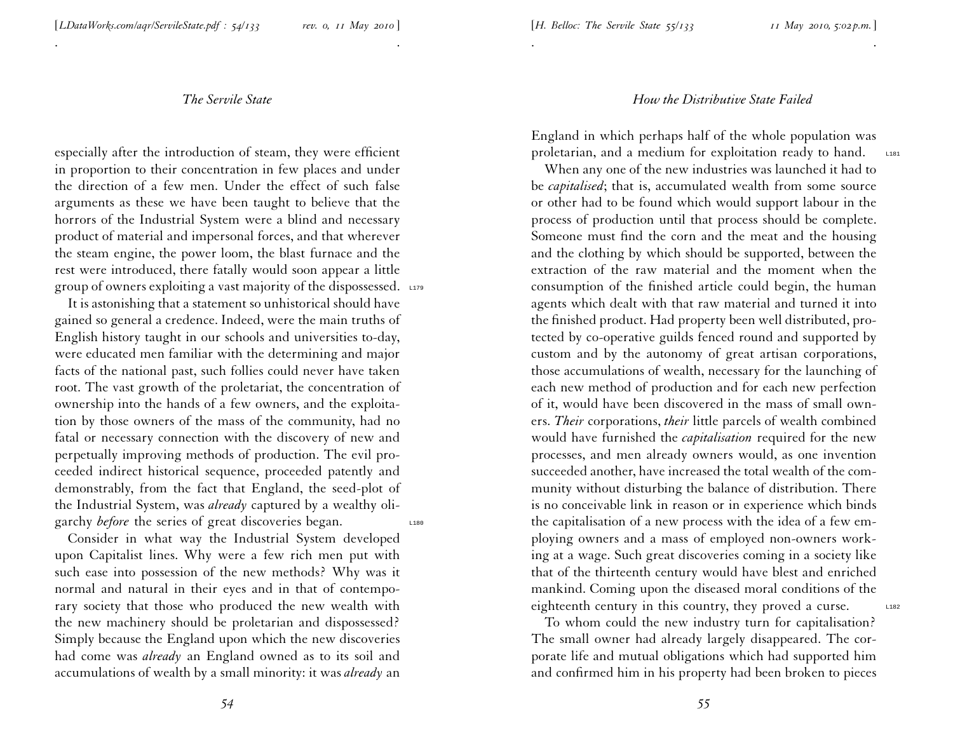. .

especially after the introduction of steam, they were efficient in proportion to their concentration in few <sup>p</sup>laces and under the direction of <sup>a</sup> few men. Under the effect of such false arguments as these we have been taught to believe that the horrors of the Industrial System were <sup>a</sup> blind and necessary product of material and impersonal forces, and that wherever the steam engine, the power loom, the blast furnace and the rest were introduced, there fatally would soon appear <sup>a</sup> little group of owners exploiting a vast majority of the dispossessed. L179

It is astonishing that <sup>a</sup> statement so unhistorical should have gained so general <sup>a</sup> credence. Indeed, were the main truths of English history taught in our schools and universities to-day, were educated men familiar with the determining and major facts of the national past, such follies could never have taken root. The vast growth of the proletariat, the concentration of ownership into the hands of <sup>a</sup> few owners, and the exploitation by those owners of the mass of the community, had no fatal or necessary connection with the discovery of new and perpetually improving methods of production. The evil proceeded indirect historical sequence, proceeded patently and demonstrably, from the fact that England, the seed-plot of the Industrial System, was *already* captured by <sup>a</sup> wealthy oligarchy *before* the series of great discoveries began.

Consider in what way the Industrial System developed upon Capitalist lines. Why were <sup>a</sup> few rich men pu<sup>t</sup> with such ease into possession of the new methods? Why was it normal and natural in their eyes and in that of contemporary society that those who produced the new wealth with the new machinery should be proletarian and dispossessed? Simply because the England upon which the new discoveries had come was *already* an England owned as to its soil and accumulations of wealth by <sup>a</sup> small minority: it was *already* an

### *How the Distributive State Failed*

England in which perhaps half of the whole population was proletarian, and a medium for exploitation ready to hand. L181

. .

When any one of the new industries was launched it had to be *capitalised*; that is, accumulated wealth from some source or other had to be found which would suppor<sup>t</sup> labour in the process of production until that process should be complete. Someone must find the corn and the meat and the housing and the clothing by which should be supported, between the extraction of the raw material and the moment when the consumption of the finished article could begin, the human agents which dealt with that raw material and turned it into the finished product. Had property been well distributed, protected by co-operative guilds fenced round and supported by custom and by the autonomy of grea<sup>t</sup> artisan corporations, those accumulations of wealth, necessary for the launching of each new method of production and for each new perfection of it, would have been discovered in the mass of small owners. *Their* corporations, *their* little parcels of wealth combined would have furnished the *capitalisation* required for the new processes, and men already owners would, as one invention succeeded another, have increased the total wealth of the community without disturbing the balance of distribution. There is no conceivable link in reason or in experience which binds the capitalisation of <sup>a</sup> new process with the idea of <sup>a</sup> few em<sup>p</sup>loying owners and <sup>a</sup> mass of employed non-owners working at <sup>a</sup> wage. Such grea<sup>t</sup> discoveries coming in <sup>a</sup> society like that of the thirteenth century would have blest and enriched mankind. Coming upon the diseased moral conditions of the eighteenth century in this country, they proved a curse. L182

To whom could the new industry turn for capitalisation? The small owner had already largely disappeared. The corporate life and mutual obligations which had supported him and confirmed him in his property had been broken to <sup>p</sup>ieces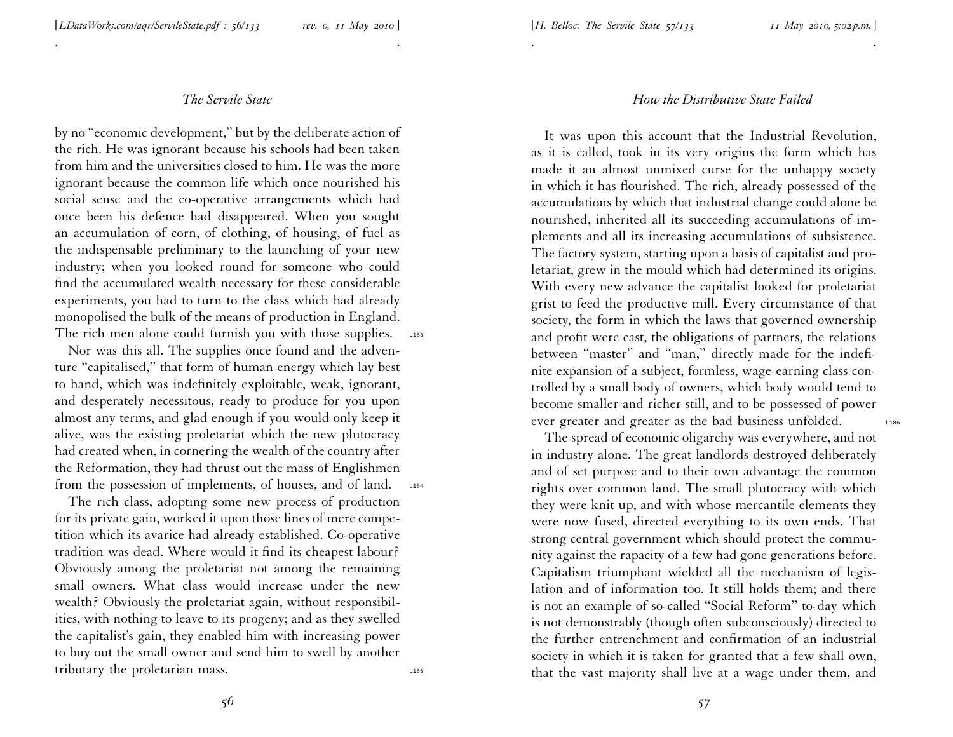. .

by no ''economic development,'' but by the deliberate action of the rich. He was ignorant because his schools had been taken from him and the universities closed to him. He was the more ignorant because the common life which once nourished his social sense and the co-operative arrangements which had once been his defence had disappeared. When you sought an accumulation of corn, of clothing, of housing, of fuel as the indispensable preliminary to the launching of your new industry; when you looked round for someone who could find the accumulated wealth necessary for these considerable experiments, you had to turn to the class which had already monopolised the bulk of the means of production in England. The rich men alone could furnish you with those supplies.  $\Box$ 183

Nor was this all. The supplies once found and the adventure "capitalised," that form of human energy which lay best to hand, which was indefinitely exploitable, weak, ignorant, and desperately necessitous, ready to produce for you upon almost any terms, and <sup>g</sup>lad enough if you would only keep it alive, was the existing proletariat which the new <sup>p</sup>lutocrac y had created when, in cornering the wealth of the country after the Reformation, they had thrust out the mass of Englishmen from the possession of implements, of houses, and of land. L184

The rich class, adopting some new process of production for its private gain, worked it upon those lines of mere compe tition which its avarice had already established. Co-operative tradition was dead. Where would it find its cheapest labour? Obviously among the proletariat not among the remaining small owners. What class would increase under the new wealth? Obviously the proletariat again, without responsibilities, with nothing to leave to its progeny; and as they swelled the capitalist's gain, they enabled him with increasing power to buy out the small owner and send him to swell by another tributary the proletarian mass.

#### *How the Distributive State Failed*

. .

It was upon this account that the Industrial Revolution, as it is called, took in its very origins the form which has made it an almost unmixed curse for the unhappy society in which it has flourished. The rich, already possessed of the accumulations by which that industrial change could alone be nourished, inherited all its succeeding accumulations of im<sup>p</sup>lements and all its increasing accumulations of subsistence. The factory system, starting upon <sup>a</sup> basis of capitalist and proletariat, grew in the mould which had determined its origins. With every new advance the capitalist looked for proletariat grist to feed the productive mill. Every circumstance of that society, the form in which the laws that governed ownership and profit were cast, the obligations of partners, the relations between "master" and "man," directly made for the indefinite expansion of <sup>a</sup> subject, formless, wage-earning class controlled by <sup>a</sup> small body of owners, which body would tend to become smaller and richer still, and to be possessed of power ever greater and greater as the bad business unfolded. L186

The spread of economic oligarchy was everywhere, and not in industry alone. The grea<sup>t</sup> landlords destroyed deliberately and of set purpose and to their own advantage the common rights over common land. The small <sup>p</sup>lutocracy with which they were knit up, and with whose mercantile elements they were now fused, directed everything to its own ends. That strong central governmen<sup>t</sup> which should protect the community against the rapacity of <sup>a</sup> few had gone generations before. Capitalism triumphant wielded all the mechanism of legislation and of information too. It still holds them; and there is not an example of so-called ''Social Reform'' to-day whic h is not demonstrably (though often subconsciously) directed to the further entrenchment and confirmation of an industrial society in which it is taken for granted that <sup>a</sup> few shall own, that the vast majority shall live at <sup>a</sup> wage under them, and

*56*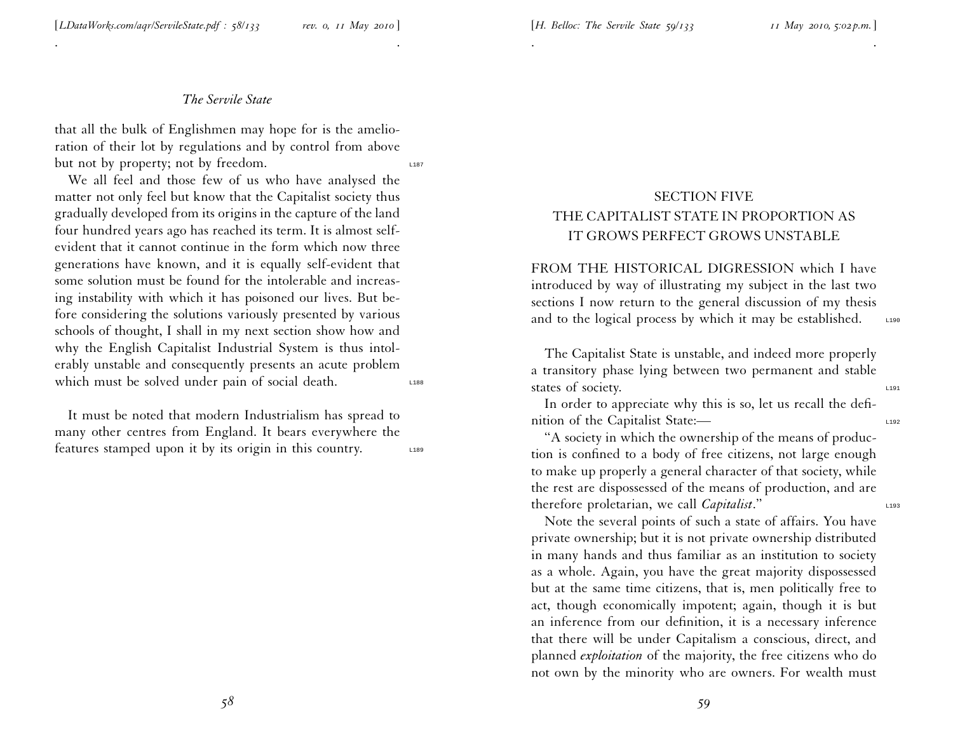. .

that all the bulk of Englishmen may hope for is the amelioration of their lot by regulations and by control from above but not by property; not by freedom.

We all feel and those few of us who have analysed the matter not only feel but know that the Capitalist society thus gradually developed from its origins in the capture of the land four hundred years ago has reached its term. It is almost self evident that it cannot continue in the form which now three generations have known, and it is equally self-evident that some solution must be found for the intolerable and increasing instability with which it has poisoned our lives. But before considering the solutions variously presented by various schools of thought, <sup>I</sup> shall in my next section show how and why the English Capitalist Industrial System is thus intolerably unstable and consequently presents an acute problem which must be solved under pain of social death.

It must be noted that modern Industrialism has spread to many other centres from England. It bears everywhere the features stamped upon it by its origin in this country. L189

# SECTION FIVE THE CAPITALIST STATE IN PROPORTION AS IT GROWS PERFECT GROWS UNSTABLE

. .

FROM THE HISTORICAL DIGRESSION which I have introduced by way of illustrating my subject in the last two sections <sup>I</sup> now return to the general discussion of my thesis and to the logical process by which it may be established.  $\Box$ 

The Capitalist State is unstable, and indeed more properly <sup>a</sup> transitory <sup>p</sup>hase lying between two permanen<sup>t</sup> and stable states of society.

In order to appreciate why this is so, let us recall the definition of the Capitalist State:—

''A society in which the ownership of the means of production is confined to <sup>a</sup> body of free citizens, not large enough to make up properly <sup>a</sup> general character of that society, while the rest are dispossessed of the means of production, and are therefore proletarian, we call *Capitalist*."

Note the several points of such <sup>a</sup> state of affairs. You have private ownership; but it is not private ownership distributed in many hands and thus familiar as an institution to society as <sup>a</sup> whole. Again, you have the grea<sup>t</sup> majority dispossessed but at the same time citizens, that is, men politically free to act, though economically impotent; again, though it is but an inference from our definition, it is <sup>a</sup> necessary inference that there will be under Capitalism <sup>a</sup> conscious, direct, and <sup>p</sup>lanned *exploitation* of the majority, the free citizens who do not own by the minority who are owners. For wealth must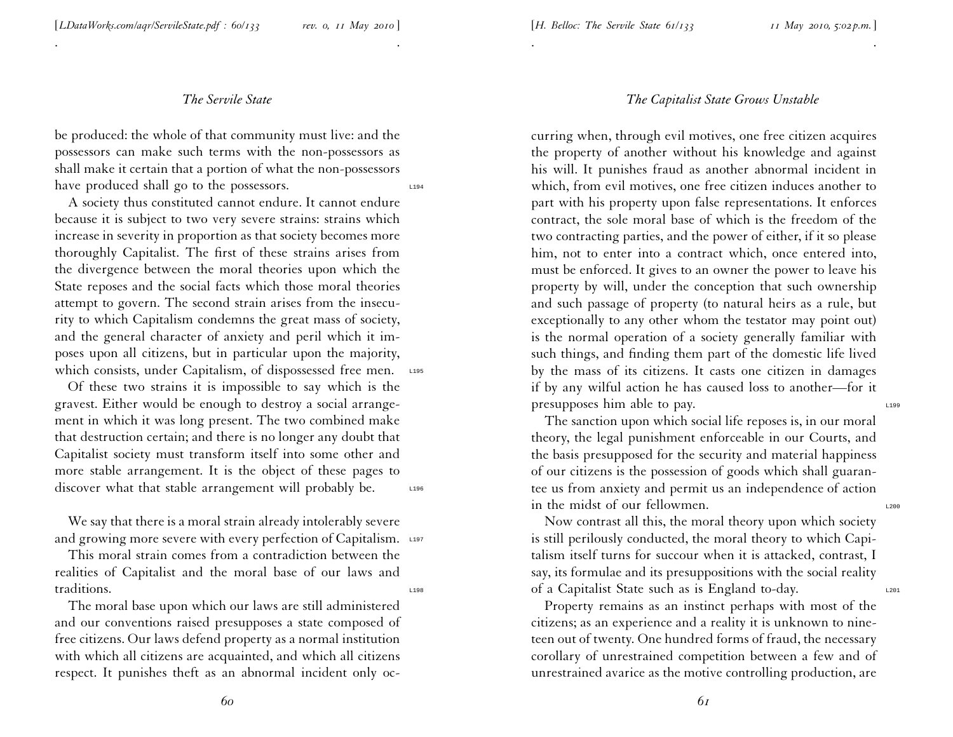. .

be produced: the whole of that community must live: and the possessors can make such terms with the non-possessors as shall make it certain that <sup>a</sup> portion of what the non-possessors have produced shall go to the possessors.  $\Box$ 194

A society thus constituted cannot endure. It cannot endure because it is subject to two very severe strains: strains which increase in severity in proportion as that society becomes more thoroughly Capitalist. The first of these strains arises from the divergence between the moral theories upon which the State reposes and the social facts which those moral theories attempt to govern. The second strain arises from the insecurity to which Capitalism condemns the grea<sup>t</sup> mass of society, and the general character of anxiety and peril which it imposes upon all citizens, but in particular upon the majority, which consists, under Capitalism, of dispossessed free men. L195

Of these two strains it is impossible to say which is the gravest. Either would be enough to destroy <sup>a</sup> social arrangement in which it was long present. The two combined make that destruction certain; and there is no longer any doubt that Capitalist society must transform itself into some other and more stable arrangement. It is the object of these pages to discover what that stable arrangement will probably be. L196

We say that there is <sup>a</sup> moral strain already intolerably severe and growing more severe with every perfection of Capitalism. L197

This moral strain comes from <sup>a</sup> contradiction between the realities of Capitalist and the moral base of our laws and traditions.

The moral base upon which our laws are still administered and our conventions raised presupposes <sup>a</sup> state composed of free citizens. Our laws defend property as <sup>a</sup> normal institution with which all citizens are acquainted, and which all citizens respect. It punishes theft as an abnormal incident only oc-

#### *The Capitalist State Grows Unstable*

. .

curring when, through evil motives, one free citizen acquires the property of another without his knowledge and against his will. It punishes fraud as another abnormal incident in which, from evil motives, one free citizen induces another to par<sup>t</sup> with his property upon false representations. It enforces contract, the sole moral base of which is the freedom of the two contracting parties, and the power of either, if it so <sup>p</sup>lease him, not to enter into <sup>a</sup> contract which, once entered into, must be enforced. It <sup>g</sup>ives to an owner the power to leave his property by will, under the conception that such ownership and such passage of property (to natural heirs as <sup>a</sup> rule, but exceptionally to any other whom the testator may point out) is the normal operation of <sup>a</sup> society generally familiar with such things, and finding them par<sup>t</sup> of the domestic life lived by the mass of its citizens. It casts one citizen in damages if by any wilful action he has caused loss to another—for it presupposes him able to pay.

The sanction upon which social life reposes is, in our moral theory, the legal punishment enforceable in our Courts, and the basis presupposed for the security and material happiness of our citizens is the possession of goods which shall guaran tee us from anxiety and permit us an independence of action in the midst of our fellowmen.

Now contrast all this, the moral theory upon which society is still perilously conducted, the moral theory to which Capitalism itself turns for succour when it is attacked, contrast, I say, its formulae and its presuppositions with the social reality of <sup>a</sup> Capitalist State such as is England to-day. L201

Property remains as an instinct perhaps with most of the citizens; as an experience and <sup>a</sup> reality it is unknown to nine teen out of twenty. One hundred forms of fraud, the necessary corollary of unrestrained competition between <sup>a</sup> few and of unrestrained avarice as the motive controlling production, are

*60*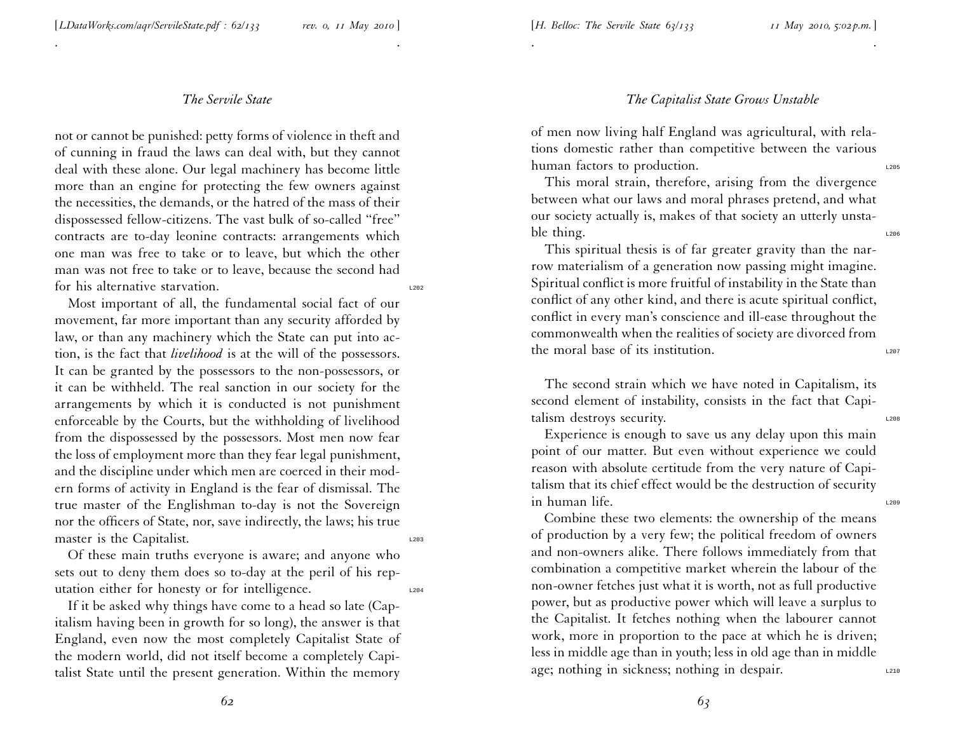. .

not or cannot be punished: petty forms of violence in theft an d of cunning in fraud the laws can deal with, but they cannot deal with these alone. Our legal machinery has become little more than an engine for protecting the few owners against the necessities, the demands, or the hatred of the mass of their dispossessed fellow-citizens. The vast bulk of so-called ''free'' contracts are to-day leonine contracts: arrangements whic h one man was free to take or to leave, but which the other man was not free to take or to leave, because the second had for his alternative starvation.

Most important of all, the fundamental social fact of our movement, far more important than any security afforded by law, or than any machinery which the State can pu<sup>t</sup> into action, is the fact that *livelihood* is at the will of the possessors. It can be granted by the possessors to the non-possessors, or it can be withheld. The real sanction in our society for the arrangements by which it is conducted is not punishment enforceable by the Courts, but the withholding of livelihoo d from the dispossessed by the possessors. Most men now fear the loss of employment more than they fear legal punishment, and the discipline under which men are coerced in their modern forms of activity in England is the fear of dismissal. The true master of the Englishman to-day is not the Sovereign nor the officers of State, nor, save indirectly, the laws; his true master is the Capitalist.

Of these main truths everyone is aware; and anyone who sets out to deny them does so to-day at the peril of his reputation either for honesty or for intelligence.

If it be asked why things have come to <sup>a</sup> head so late (Capitalism having been in growth for so long), the answer is that England, even now the most completely Capitalist State of the modern world, did not itself become <sup>a</sup> completely Capitalist State until the presen<sup>t</sup> generation. Within the memor y

## *The Capitalist State Grows Unstable*

of men now living half England was agricultural, with relations domestic rather than competitive between the various human factors to production.

. .

This moral strain, therefore, arising from the divergence between what our laws and moral <sup>p</sup>hrases pretend, and what our society actually is, makes of that society an utterly unstable thing.  $\frac{1206}{200}$ 

This spiritual thesis is of far greater gravity than the narrow materialism of <sup>a</sup> generation now passing might imagine. Spiritual conflict is more fruitful of instability in the State than conflict of any other kind, and there is acute spiritual conflict, conflict in every man's conscience and ill-ease throughout the commonwealth when the realities of society are divorced fro m the moral base of its institution.

The second strain which we have noted in Capitalism, its second element of instability, consists in the fact that Capitalism destroys security.

Experience is enough to save us any delay upon this main point of our matter. But even without experience we could reason with absolute certitude from the very nature of Capitalism that its chief effect would be the destruction of security in human life.

Combine these two elements: the ownership of the means of production by <sup>a</sup> very few; the political freedom of owners and non-owners alike. There follows immediately from that combination <sup>a</sup> competitive market wherein the labour of the non-owner fetches just what it is worth, not as full productive power, but as productive power which will leave <sup>a</sup> surplus to the Capitalist. It fetches nothing when the labourer cannot work, more in proportion to the pace at which he is driven; less in middle age than in youth; less in old age than in middle age; nothing in sickness; nothing in despair.

*62*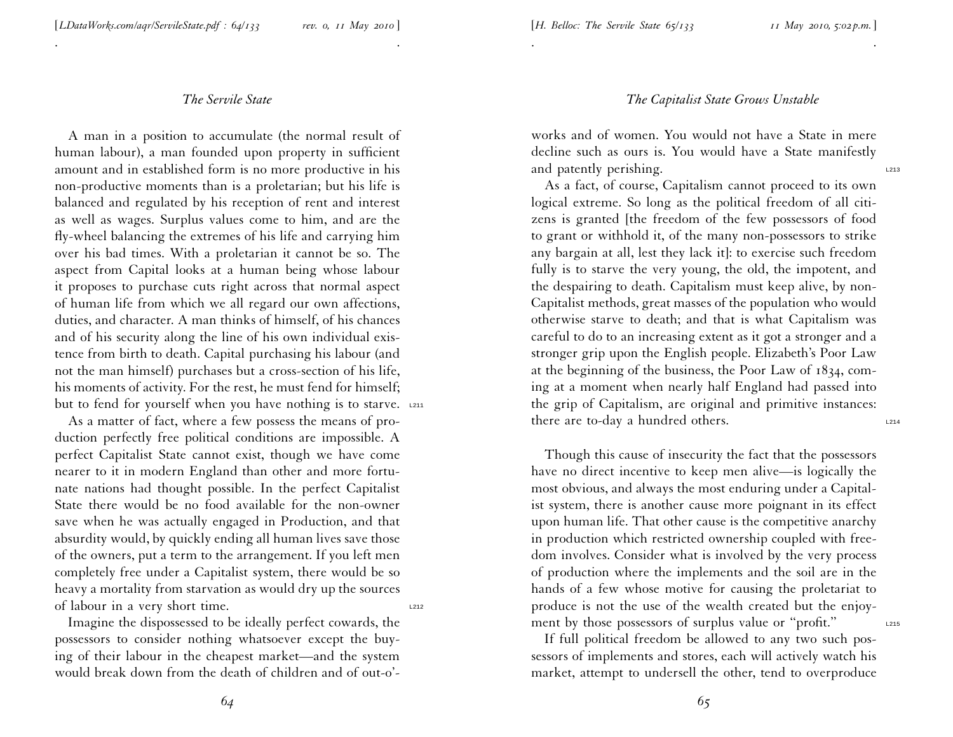. .

A man in <sup>a</sup> position to accumulate (the normal result of human labour), <sup>a</sup> man founded upon property in sufficient amount and in established form is no more productive in his non-productive moments than is <sup>a</sup> proletarian; but his life is balanced and regulated by his reception of rent and interest as well as wages. Surplus values come to him, and are the fly-wheel balancing the extremes of his life and carrying him over his bad times. With <sup>a</sup> proletarian it cannot be so. The aspec<sup>t</sup> from Capital looks at <sup>a</sup> human being whose labour it proposes to purchase cuts right across that normal aspec<sup>t</sup> of human life from which we all regard our own affections, duties, and character. A man thinks of himself, of his chances and of his security along the line of his own individual existence from birth to death. Capital purchasing his labour (and not the man himself) purchases but <sup>a</sup> cross-section of his life, his moments of activity. For the rest, he must fend for himself; but to fend for yourself when you have nothing is to starve. L211

As <sup>a</sup> matter of fact, where <sup>a</sup> few possess the means of production perfectly free political conditions are impossible. <sup>A</sup> perfect Capitalist State cannot exist, though we have come nearer to it in modern England than other and more fortunate nations had thought possible. In the perfect Capitalist State there would be no food available for the non-owner save when he was actually engaged in Production, and that absurdity would, by quickly ending all human lives save those of the owners, pu<sup>t</sup> <sup>a</sup> term to the arrangement. If you left men completely free under <sup>a</sup> Capitalist system, there would be so heavy <sup>a</sup> mortality from starvation as would dry up the sources of labour in a very short time.

Imagine the dispossessed to be ideally perfect cowards, the possessors to consider nothing whatsoever excep<sup>t</sup> the buying of their labour in the cheapest market—and the system would break down from the death of children and of out-o'-

### *The Capitalist State Grows Unstable*

works and of women. You would not have <sup>a</sup> State in mere decline such as ours is. You would have <sup>a</sup> State manifestly and patently perishing.

. .

As <sup>a</sup> fact, of course, Capitalism cannot proceed to its own logical extreme. So long as the political freedom of all citi zens is granted [the freedom of the few possessors of food to gran<sup>t</sup> or withhold it, of the many non-possessors to strike any bargain at all, lest they lack it]: to exercise such freedom fully is to starve the very young, the old, the impotent, and the despairing to death. Capitalism must keep alive, by non-Capitalist methods, grea<sup>t</sup> masses of the population who would otherwise starve to death; and that is what Capitalism was careful to do to an increasing extent as it go<sup>t</sup> <sup>a</sup> stronger and <sup>a</sup> stronger grip upon the English people. Elizabeth's Poor Law at the beginning of the business, the Poor Law of 1834, coming at <sup>a</sup> moment when nearly half England had passed into the grip of Capitalism, are original and primitive instances: there are to-day a hundred others.  $L_{214}$ 

Though this cause of insecurity the fact that the possessors have no direct incentive to keep men alive—is logically the most obvious, and always the most enduring under <sup>a</sup> Capitalist system, there is another cause more poignant in its effect upon human life. That other cause is the competitive anarchy in production which restricted ownership coupled with free dom involves. Consider what is involved by the very process of production where the implements and the soil are in the hands of <sup>a</sup> few whose motive for causing the proletariat to produce is not the use of the wealth created but the enjoyment by those possessors of surplus value or "profit."

If full political freedom be allowed to any two such possessors of implements and stores, each will actively watch his market, attempt to undersell the other, tend to overproduce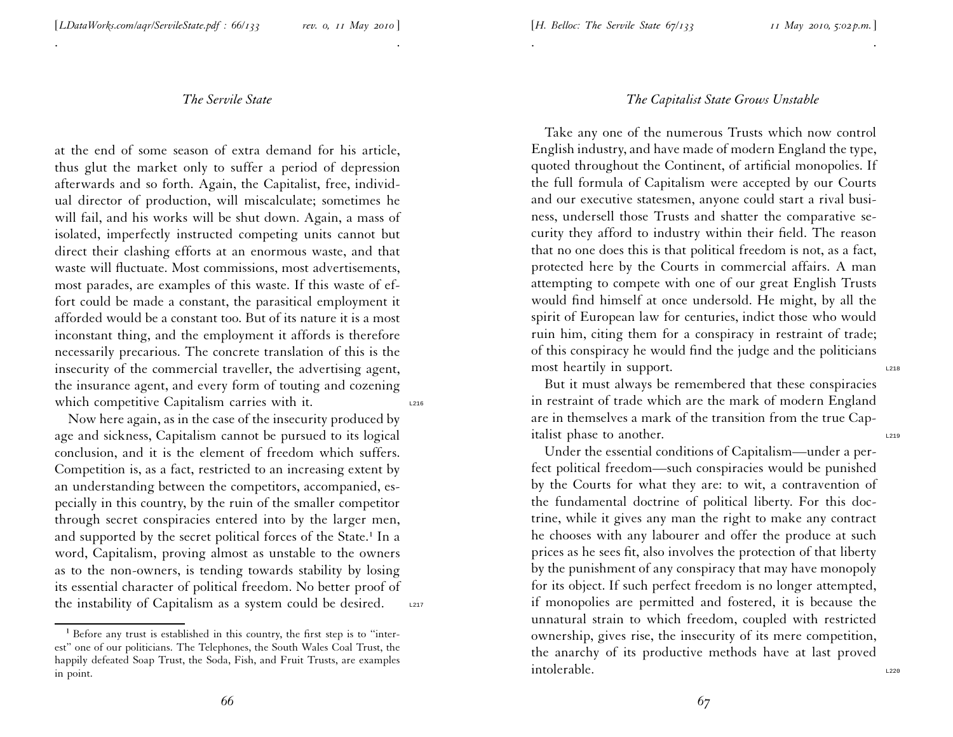. .

at the end of some season of extra demand for his article, thus <sup>g</sup>lut the market only to suffer <sup>a</sup> period of depression afterwards and so forth. Again, the Capitalist, free, individual director of production, will miscalculate; sometimes he will fail, and his works will be shut down. Again, <sup>a</sup> mass of isolated, imperfectly instructed competing units cannot but direct their clashing efforts at an enormous waste, and that waste will fluctuate. Most commissions, most advertisements, most parades, are examples of this waste. If this waste of effort could be made <sup>a</sup> constant, the parasitical employment it afforded would be <sup>a</sup> constant too. But of its nature it is <sup>a</sup> most inconstant thing, and the employment it affords is therefore necessarily precarious. The concrete translation of this is the insecurity of the commercial traveller, the advertising agent, the insurance agent, and every form of touting and cozening which competitive Capitalism carries with it.

Now here again, as in the case of the insecurity produced by age and sickness, Capitalism cannot be pursued to its logical conclusion, and it is the element of freedom which suffers. Competition is, as <sup>a</sup> fact, restricted to an increasing extent by an understanding between the competitors, accompanied, es pecially in this country, by the ruin of the smaller competitor through secret conspiracies entered into by the larger men, and supported by the secret political forces of the State.<sup>1</sup> In a word, Capitalism, proving almost as unstable to the owners as to the non-owners, is tending towards stability by losing its essential character of political freedom. No better proof of the instability of Capitalism as a system could be desired. L2217

#### *The Capitalist State Grows Unstable*

. The contract of the contract of the contract of the contract of the contract of the contract of the contract of the contract of the contract of the contract of the contract of the contract of the contract of the contrac

Take any one of the numerous Trusts which now control English industry, and have made of modern England the type, quoted throughout the Continent, of artificial monopolies. If the full formula of Capitalism were accepted by our Courts and our executive statesmen, anyone could start <sup>a</sup> rival busi ness, undersell those Trusts and shatter the comparative se curity they afford to industry within their field. The reason that no one does this is that political freedom is not, as <sup>a</sup> fact, protected here by the Courts in commercial affairs. A man attempting to compete with one of our grea<sup>t</sup> English Trusts would find himself at once undersold. He might, by all the spirit of European law for centuries, indict those who would ruin him, citing them for <sup>a</sup> conspiracy in restraint of trade; of this conspiracy he would find the judge and the politicians most heartily in support.

But it must always be remembered that these conspiracies in restraint of trade which are the mark of modern England are in themselves <sup>a</sup> mark of the transition from the true Capitalist phase to another.

Under the essential conditions of Capitalism—under <sup>a</sup> perfect political freedom—such conspiracies would be punished by the Courts for what they are: to wit, <sup>a</sup> contravention of the fundamental doctrine of political liberty. For this doc trine, while it <sup>g</sup>ives any man the right to make any contract he chooses with any labourer and offer the produce at such prices as he sees fit, also involves the protection of that liberty by the punishment of any conspiracy that may have monopoly for its object. If such perfect freedom is no longer attempted, if monopolies are permitted and fostered, it is because the unnatural strain to which freedom, coupled with restricted ownership, <sup>g</sup>ives rise, the insecurity of its mere competition, the anarchy of its productive methods have at last proved intolerable.

 $1$  Before any trust is established in this country, the first step is to "interest'' one of our politicians. The Telephones, the South Wales Coal Trust, the happily defeated Soap Trust, the Soda, Fish, and Fruit Trusts, are examples in point.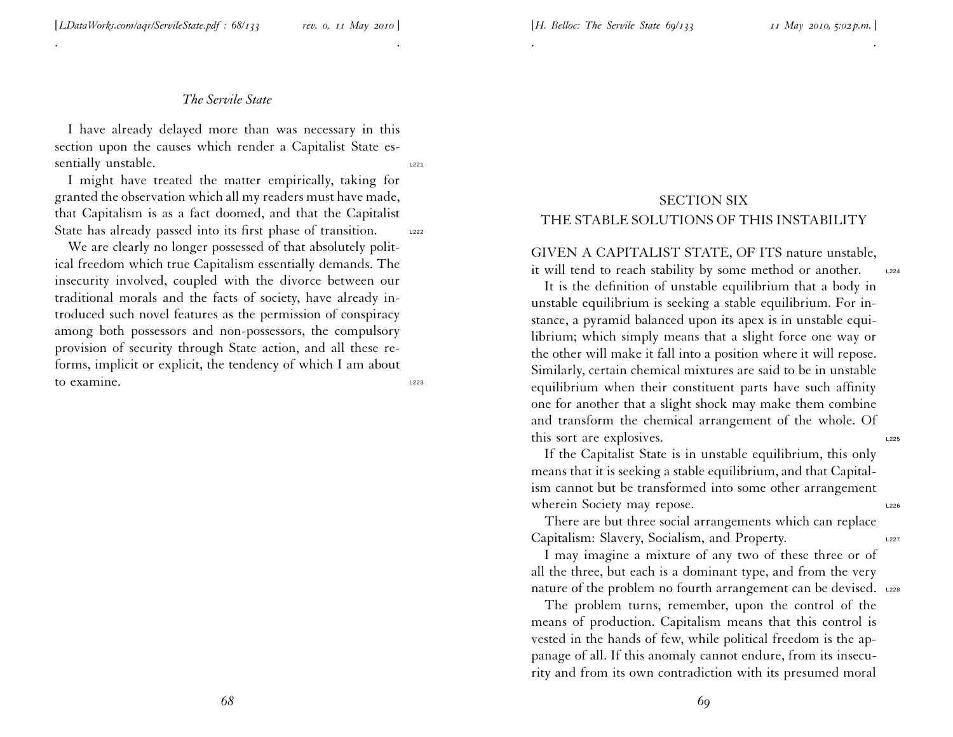. .

<sup>I</sup> have already delayed more than was necessary in this section upon the causes which render <sup>a</sup> Capitalist State essentially unstable.

<sup>I</sup> might have treated the matter empirically, taking for granted the observation which all my readers must have made, that Capitalism is as <sup>a</sup> fact doomed, and that the Capitalist State has already passed into its first phase of transition. L222

We are clearly no longer possessed of that absolutely political freedom which true Capitalism essentially demands. The insecurity involved, coupled with the divorce between our traditional morals and the facts of society, have already in troduced such novel features as the permission of conspiracy among both possessors and non-possessors, the compulsory provision of security through State action, and all these re forms, implicit or explicit, the tendency of which <sup>I</sup> am about to examine.  $\frac{1223}{2}$ 

# SECTION SIX THE STABLE SOLUTIONS OF THIS INSTABILITY

. .

GIVEN A CAPITALIST STATE, OF ITS nature unstable, it will tend to reach stability by some method or another. L224

It is the definition of unstable equilibrium that <sup>a</sup> body in unstable equilibrium is seeking <sup>a</sup> stable equilibrium. For instance, <sup>a</sup> pyramid balanced upon its apex is in unstable equilibrium; which simply means that <sup>a</sup> slight force one way or the other will make it fall into <sup>a</sup> position where it will repose. Similarly, certain chemical mixtures are said to be in unstable equilibrium when their constituent parts have such affinity one for another that <sup>a</sup> slight shock may make them combine and transform the chemical arrangemen<sup>t</sup> of the whole. Of this sort are explosives.

If the Capitalist State is in unstable equilibrium, this only means that it is seeking <sup>a</sup> stable equilibrium, and that Capitalism cannot but be transformed into some other arrangemen<sup>t</sup> wherein Society may repose.

There are but three social arrangements which can replace Capitalism: Slavery, Socialism, and Property.

<sup>I</sup> may imagine <sup>a</sup> mixture of any two of these three or of all the three, but each is <sup>a</sup> dominant type, and from the very nature of the problem no fourth arrangement can be devised. L228

The problem turns, remember, upon the control of the means of production. Capitalism means that this control is vested in the hands of few, while political freedom is the appanage of all. If this anomaly cannot endure, from its insecu rity and from its own contradiction with its presumed moral

*68*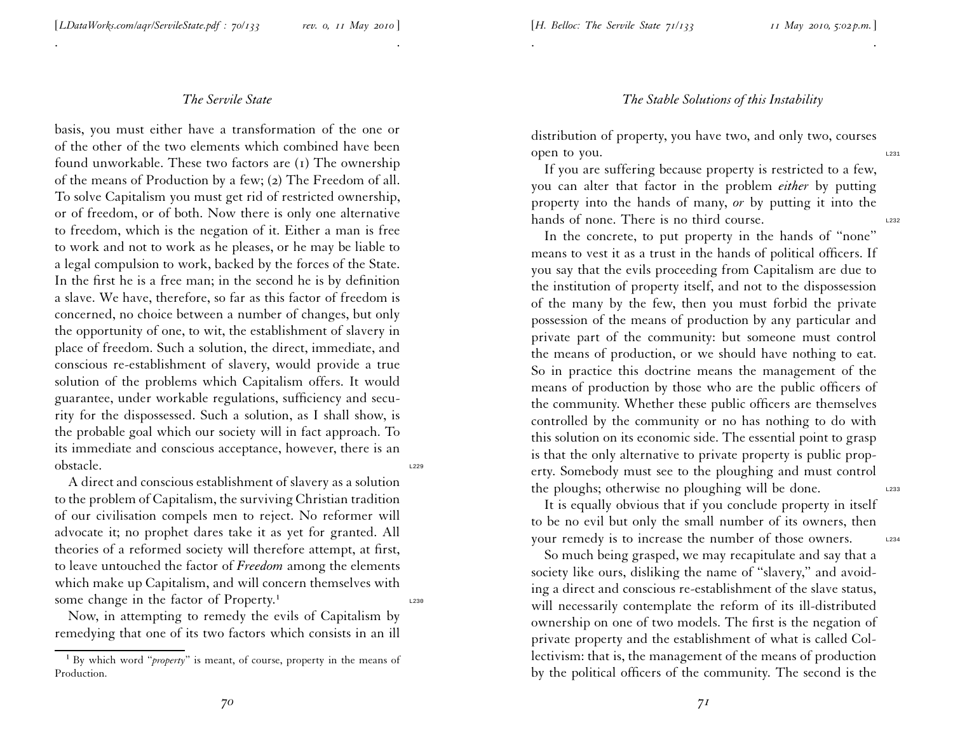. .

basis, you must either have <sup>a</sup> transformation of the one or of the other of the two elements which combined have been found unworkable. These two factors are (1) The ownership of the means of Production by <sup>a</sup> few; ( <sup>2</sup>) The Freedom of all. To solve Capitalism you must ge<sup>t</sup> rid of restricted ownership, or of freedom, or of both. Now there is only one alternative to freedom, which is the negation of it. Either <sup>a</sup> man is free to work and not to work as he <sup>p</sup>leases, or he may be liable to <sup>a</sup> legal compulsion to work, backed by the forces of the State. In the first he is <sup>a</sup> free man; in the second he is by definition <sup>a</sup> slave. We have, therefore, so far as this factor of freedom is concerned, no choice between <sup>a</sup> number of changes, but only the opportunity of one, to wit, the establishment of slavery in <sup>p</sup>lace of freedom. Such <sup>a</sup> solution, the direct, immediate, an d conscious re-establishment of slavery, would provide <sup>a</sup> true solution of the problems which Capitalism offers. It would guarantee, under workable regulations, sufficiency and security for the dispossessed. Such <sup>a</sup> solution, as <sup>I</sup> shall show, is the probable goal which our society will in fact approach. To its immediate and conscious acceptance, however, there is <sup>a</sup> n obstacle. L<sub>229</sub> and L<sub>229</sub> and L<sub>229</sub> and L<sub>229</sub> and L<sub>229</sub> and L<sub>229</sub> and L<sub>229</sub>

A direct and conscious establishment of slavery as <sup>a</sup> solutio n to the problem of Capitalism, the surviving Christian tradition of our civilisation compels men to reject. No reformer will advocate it; no prophet dares take it as ye<sup>t</sup> for granted. All theories of <sup>a</sup> reformed society will therefore attempt, at first, to leave untouched the factor of *Freedom* among the elements which make up Capitalism, and will concern themselves with some change in the factor of  $Property.<sup>1</sup>$ 

Now, in attempting to remedy the evils of Capitalism by remedying that one of its two factors which consists in an ill

#### *The Stable Solutions of this Instability*

distribution of property, you have two, and only two, courses open to you.

. The contract of the contract of the contract of the contract of the contract of the contract of the contract of the contract of the contract of the contract of the contract of the contract of the contract of the contrac

If you are suffering because property is restricted to <sup>a</sup> few, you can alter that factor in the problem *either* by putting property into the hands of many, *or* by putting it into the hands of none. There is no third course.

In the concrete, to pu<sup>t</sup> property in the hands of ''none'' means to vest it as <sup>a</sup> trust in the hands of political officers. If you say that the evils proceeding from Capitalism are due to the institution of property itself, and not to the dispossession of the many by the few, then you must forbid the private possession of the means of production by any particular and private par<sup>t</sup> of the community: but someone must control the means of production, or we should have nothing to eat. So in practice this doctrine means the managemen<sup>t</sup> of the means of production by those who are the public officers of the community. Whether these public officers are themselves controlled by the community or no has nothing to do with this solution on its economic side. The essential point to grasp is that the only alternative to private property is public property. Somebody must see to the <sup>p</sup>loughing and must control the ploughs; otherwise no ploughing will be done.

It is equally obvious that if you conclude property in itself to be no evil but only the small number of its owners, then your remedy is to increase the number of those owners. L234

So much being grasped, we may recapitulate and say that <sup>a</sup> society like ours, disliking the name of "slavery," and avoiding <sup>a</sup> direct and conscious re-establishment of the slave status, will necessarily contemplate the reform of its ill-distributed ownership on one of two models. The first is the negation of private property and the establishment of what is called Col lectivism: that is, the managemen<sup>t</sup> of the means of productio n by the political officers of the community. The second is the

<sup>&</sup>lt;sup>1</sup> By which word "*property*" is meant, of course, property in the means of Production.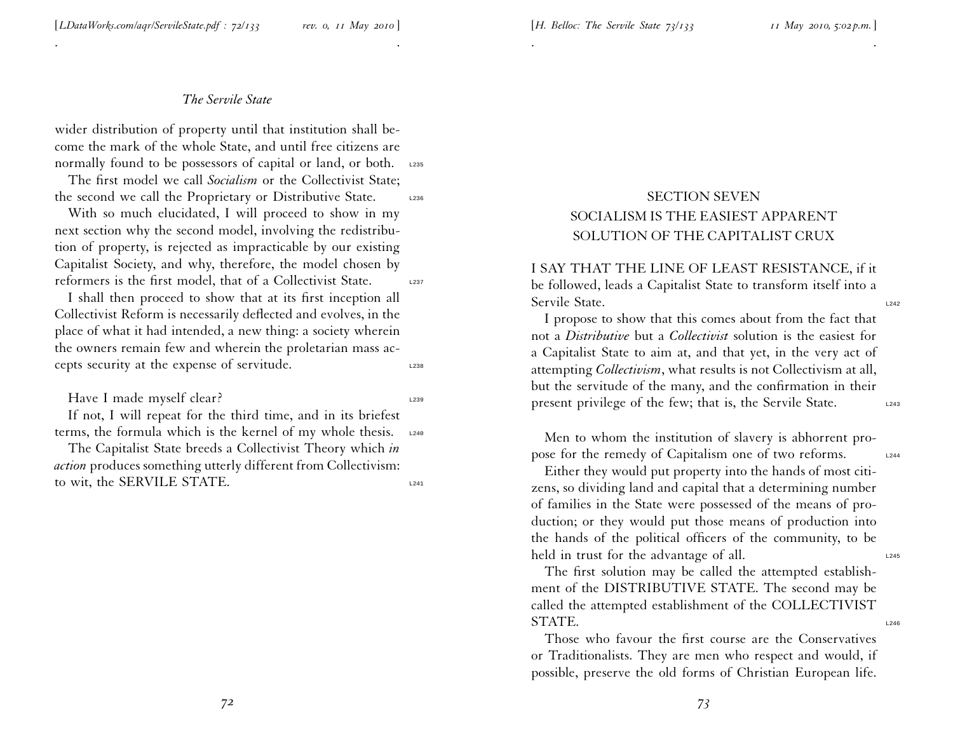. .

wider distribution of property until that institution shall become the mark of the whole State, and until free citizens are normally found to be possessors of capital or land, or both. L235

The first model we call *Socialism* or the Collectivist State; the second we call the Proprietary or Distributive State. L236

With so much elucidated, <sup>I</sup> will proceed to show in my next section why the second model, involving the redistribu tion of property, is rejected as impracticable by our existing Capitalist Society, and why, therefore, the model chosen by reformers is the first model, that of a Collectivist State. L237

<sup>I</sup> shall then proceed to show that at its first inception all Collectivist Reform is necessarily deflected and evolves, in the <sup>p</sup>lace of what it had intended, <sup>a</sup> new thing: <sup>a</sup> society wherein the owners remain few and wherein the proletarian mass accepts security at the expense of servitude.  $L_{238}$ 

#### Have I made myself clear? L239

If not, <sup>I</sup> will repea<sup>t</sup> for the third time, and in its briefest terms, the formula which is the kernel of my whole thesis. L240

The Capitalist State breeds <sup>a</sup> Collectivist Theory which *in action* produces something utterly different from Collectivism: to wit, the SERVILE STATE.

# SECTION SEVEN SOCIALISM IS THE EASIEST APPARENT SOLUTION OF THE CAPITALIST CRUX

. .

I SAY THAT THE LINE OF LEAST RESISTANCE, if it be followed, leads <sup>a</sup> Capitalist State to transform itself into <sup>a</sup> Servile State.

<sup>I</sup> propose to show that this comes about from the fact that not <sup>a</sup> *Distributive* but <sup>a</sup> *Collectivist* solution is the easiest for <sup>a</sup> Capitalist State to aim at, and that yet, in the very act of attempting *Collectivism*, what results is not Collectivism at all, but the servitude of the many, and the confirmation in their present privilege of the few; that is, the Servile State.

Men to whom the institution of slavery is abhorrent propose for the remedy of Capitalism one of two reforms.

Either they would pu<sup>t</sup> property into the hands of most citizens, so dividing land and capital that <sup>a</sup> determining number of families in the State were possessed of the means of production; or they would pu<sup>t</sup> those means of production into the hands of the political officers of the community, to be held in trust for the advantage of all.

The first solution may be called the attempted establishment of the DISTRIBUTIVE STATE. The second may be called the attempted establishment of the COLLECTIVIST STATE.

Those who favour the first course are the Conservatives or Traditionalists. They are men who respec<sup>t</sup> and would, if possible, preserve the old forms of Christian European life.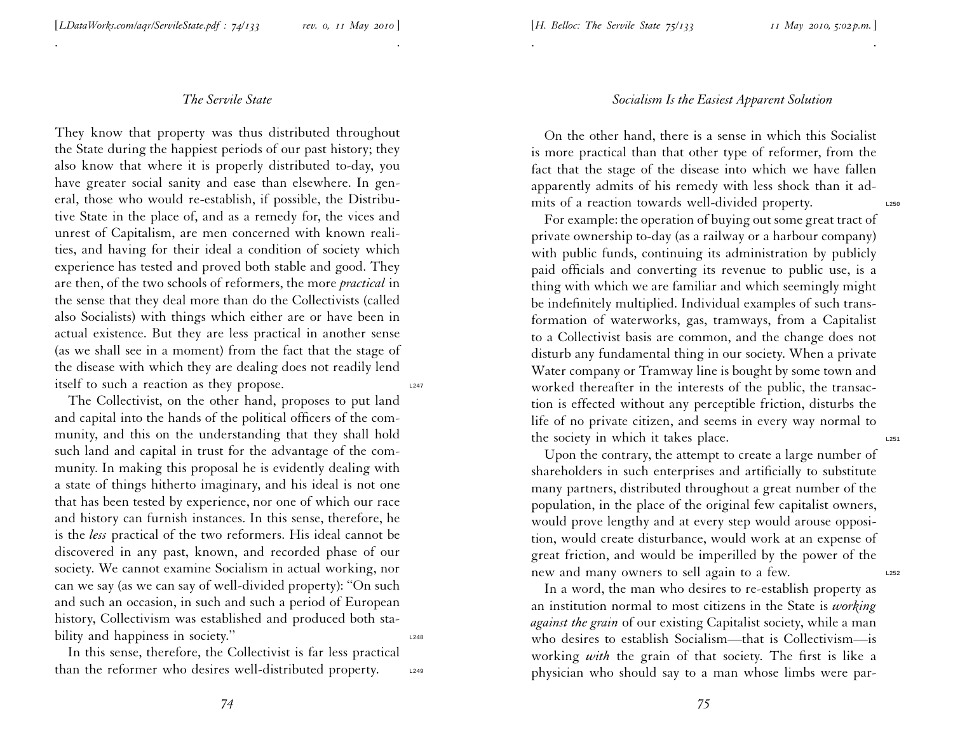. .

They know that property was thus distributed throughout the State during the happiest periods of our pas<sup>t</sup> history; they also know that where it is properly distributed to-day, you have greater social sanity and ease than elsewhere. In general, those who would re-establish, if possible, the Distributive State in the <sup>p</sup>lace of, and as <sup>a</sup> remedy for, the vices and unrest of Capitalism, are men concerned with known realities, and having for their ideal <sup>a</sup> condition of society which experience has tested and proved both stable and good. They are then, of the two schools of reformers, the more *practical* in the sense that they deal more than do the Collectivists (called also Socialists) with things which either are or have been in actual existence. But they are less practical in another sense (as we shall see in <sup>a</sup> moment) from the fact that the stage of the disease with which they are dealing does not readily lend itself to such a reaction as they propose.  $L_{247}$ 

The Collectivist, on the other hand, proposes to pu<sup>t</sup> land and capital into the hands of the political officers of the com munity, and this on the understanding that they shall hold such land and capital in trust for the advantage of the community. In making this proposal he is evidently dealing with <sup>a</sup> state of things hitherto imaginary, and his ideal is not one that has been tested by experience, nor one of which our race and history can furnish instances. In this sense, therefore, he is the *less* practical of the two reformers. His ideal cannot be discovered in any past, known, and recorded <sup>p</sup>hase of our society. We cannot examine Socialism in actual working, nor can we say (as we can say of well-divided property): ''On such and such an occasion, in such and such <sup>a</sup> period of European history, Collectivism was established and produced both stability and happiness in society."

In this sense, therefore, the Collectivist is far less practical than the reformer who desires well-distributed property.  $\frac{1249}{2}$ 

# *Socialism Is the Easiest Apparent Solution*

On the other hand, there is <sup>a</sup> sense in which this Socialist is more practical than that other type of reformer, from the fact that the stage of the disease into which we have fallen apparently admits of his remedy with less shock than it admits of a reaction towards well-divided property.

. .

For example: the operation of buying out some grea<sup>t</sup> tract of private ownership to-day (as <sup>a</sup> railway or <sup>a</sup> harbour company) with public funds, continuing its administration by publicly paid officials and converting its revenue to public use, is <sup>a</sup> thing with which we are familiar and which seemingly might be indefinitely multiplied. Individual examples of such transformation of waterworks, gas, tramways, from <sup>a</sup> Capitalist to <sup>a</sup> Collectivist basis are common, and the change does not disturb any fundamental thing in our society. When <sup>a</sup> private Water company or Tramway line is bought by some town and worked thereafter in the interests of the public, the transaction is effected without any perceptible friction, disturbs the life of no private citizen, and seems in every way normal to the society in which it takes place.

Upon the contrary, the attempt to create <sup>a</sup> large number of shareholders in such enterprises and artificially to substitute many partners, distributed throughout <sup>a</sup> grea<sup>t</sup> number of the population, in the <sup>p</sup>lace of the original few capitalist owners, would prove lengthy and at every step would arouse opposition, would create disturbance, would work at an expense of grea<sup>t</sup> friction, and would be imperilled by the power of the new and many owners to sell again to a few.

In <sup>a</sup> word, the man who desires to re-establish property as an institution normal to most citizens in the State is *working against the grain* of our existing Capitalist society, while <sup>a</sup> man who desires to establish Socialism—that is Collectivism—is working *with* the grain of that society. The first is like <sup>a</sup> <sup>p</sup>hysician who should say to <sup>a</sup> man whose limbs were par-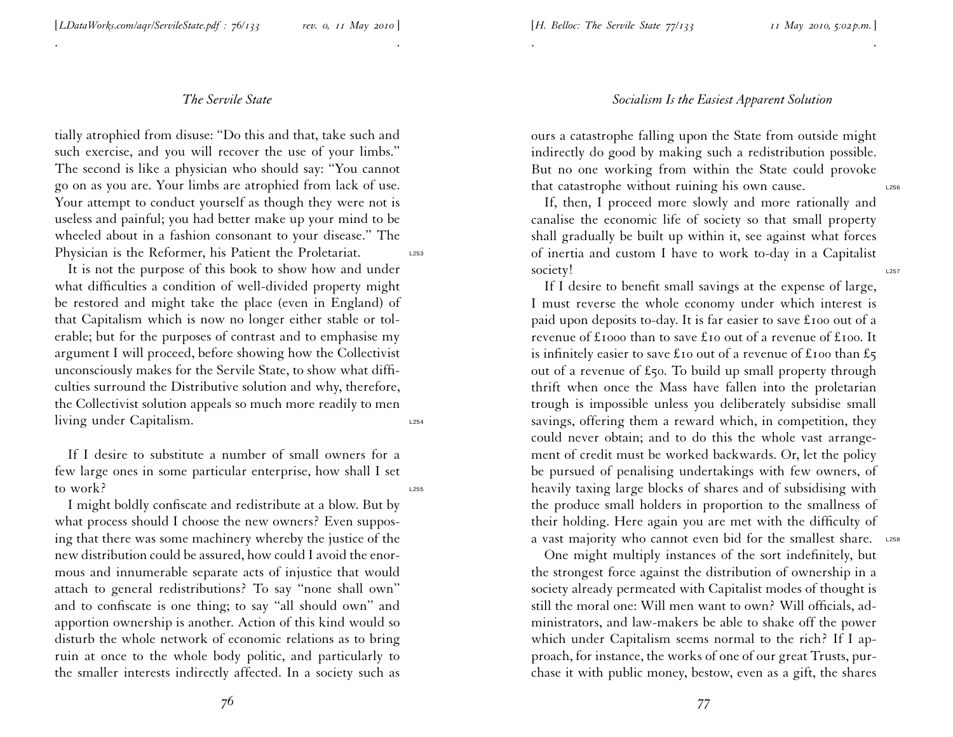. .

tially atrophied from disuse: ''Do this and that, take such and such exercise, and you will recover the use of your limbs.'' The second is like <sup>a</sup> <sup>p</sup>hysician who should say: ''You cannot go on as you are. Your limbs are atrophied from lack of use. Your attempt to conduct yourself as though they were not is useless and painful; you had better make up your mind to be wheeled about in <sup>a</sup> fashion consonant to your disease.'' The Physician is the Reformer, his Patient the Proletariat.

It is not the purpose of this book to show how and under what difficulties <sup>a</sup> condition of well-divided property might be restored and might take the <sup>p</sup>lace (even in England) of that Capitalism which is now no longer either stable or tolerable; but for the purposes of contrast and to emphasise my argumen<sup>t</sup> <sup>I</sup> will proceed, before showing how the Collectivist unconsciously makes for the Servile State, to show what diffi culties surround the Distributive solution and why, therefore, the Collectivist solution appeals so much more readily to men living under Capitalism.

If I desire to substitute <sup>a</sup> number of small owners for <sup>a</sup> few large ones in some particular enterprise, how shall <sup>I</sup> set to work?

<sup>I</sup> might boldly confiscate and redistribute at <sup>a</sup> blow. But by what process should <sup>I</sup> choose the new owners? Even supposing that there was some machinery whereby the justice of the new distribution could be assured, how could I avoid the enor mous and innumerable separate acts of injustice that would attach to general redistributions? To say ''none shall own'' and to confiscate is one thing; to say ''all should own'' and apportion ownership is another. Action of this kind would so disturb the whole network of economic relations as to bring ruin at once to the whole body politic, and particularly to the smaller interests indirectly affected. In <sup>a</sup> society such as

### *Socialism Is the Easiest Apparent Solution*

ours <sup>a</sup> catastrophe falling upon the State from outside might indirectly do good by making such <sup>a</sup> redistribution possible. But no one working from within the State could provoke that catastrophe without ruining his own cause.  $\frac{1256}{256}$ 

. The contract of the contract of the contract of the contract of the contract of the contract of the contract of the contract of the contract of the contract of the contract of the contract of the contract of the contrac

If, then, <sup>I</sup> proceed more slowly and more rationally and canalise the economic life of society so that small property shall gradually be built up within it, see against what forces of inertia and custom <sup>I</sup> have to work to-day in <sup>a</sup> Capitalist society!

If <sup>I</sup> desire to benefit small savings at the expense of large, <sup>I</sup> must reverse the whole economy under which interest is paid upon deposits to-day. It is far easier to save £<sup>100</sup> out of <sup>a</sup> revenue of £<sup>1000</sup> than to save £<sup>10</sup> out of <sup>a</sup> revenue of £<sup>100</sup>. It is infinitely easier to save £10 out of a revenue of £100 than £5 out of <sup>a</sup> revenue of £50. To build up small property through thrift when once the Mass have fallen into the proletarian trough is impossible unless you deliberately subsidise small savings, offering them <sup>a</sup> reward which, in competition, they could never obtain; and to do this the whole vast arrangement of credit must be worked backwards. Or, let the policy be pursued of penalising undertakings with few owners, of heavily taxing large blocks of shares and of subsidising with the produce small holders in proportion to the smallness of their holding. Here again you are met with the difficulty of a vast majority who cannot even bid for the smallest share. L258

One might multiply instances of the sort indefinitely, but the strongest force against the distribution of ownership in <sup>a</sup> society already permeated with Capitalist modes of thought is still the moral one: Will men want to own? Will officials, administrators, and law-makers be able to shake off the power which under Capitalism seems normal to the rich? If <sup>I</sup> approach, for instance, the works of one of our grea<sup>t</sup> Trusts, purchase it with public money, bestow, even as <sup>a</sup> <sup>g</sup>ift, the shares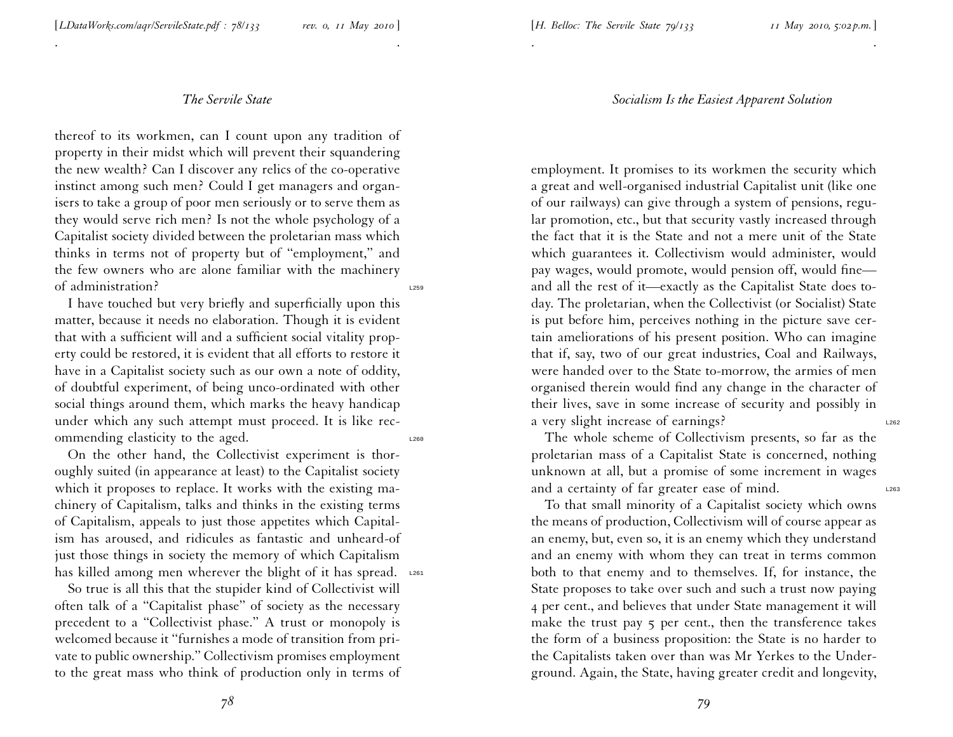. .

thereof to its workmen, can <sup>I</sup> count upon any tradition of property in their midst which will preven<sup>t</sup> their squandering the new wealth? Can <sup>I</sup> discover any relics of the co-operative instinct among such men? Could <sup>I</sup> ge<sup>t</sup> managers and organisers to take <sup>a</sup> group of poor men seriously or to serve them as they would serve rich men? Is not the whole psychology of <sup>a</sup> Capitalist society divided between the proletarian mass which thinks in terms not of property but of ''employment,'' and the few owners who are alone familiar with the machinery of administration? L259

<sup>I</sup> have touched but very briefly and superficially upon this matter, because it needs no elaboration. Though it is evident that with <sup>a</sup> sufficient will and <sup>a</sup> sufficient social vitality property could be restored, it is evident that all efforts to restore it have in <sup>a</sup> Capitalist society such as our own <sup>a</sup> note of oddity, of doubtful experiment, of being unco-ordinated with other social things around them, which marks the heavy handicap under which any such attempt must proceed. It is like recommending elasticity to the aged.

On the other hand, the Collectivist experiment is thoroughly suited (in appearance at least) to the Capitalist society which it proposes to replace. It works with the existing machinery of Capitalism, talks and thinks in the existing terms of Capitalism, appeals to just those appetites which Capitalism has aroused, and ridicules as fantastic and unheard-of just those things in society the memory of which Capitalism has killed among men wherever the blight of it has spread. L261

So true is all this that the stupider kind of Collectivist will often talk of <sup>a</sup> ''Capitalist <sup>p</sup>hase'' of society as the necessary precedent to <sup>a</sup> ''Collectivist <sup>p</sup>hase.'' A trust or monopoly is welcomed because it ''furnishes <sup>a</sup> mode of transition from private to public ownership.'' Collectivism promises employment to the grea<sup>t</sup> mass who think of production only in terms of

#### *Socialism Is the Easiest Apparent Solution*

. .

employment. It promises to its workmen the security which <sup>a</sup> grea<sup>t</sup> and well-organised industrial Capitalist unit (like one of our railways) can <sup>g</sup>ive through <sup>a</sup> system of pensions, regular promotion, etc., but that security vastly increased through the fact that it is the State and not <sup>a</sup> mere unit of the State which guarantees it. Collectivism would administer, would pay wages, would promote, would pension off, would fine and all the rest of it—exactly as the Capitalist State does to day. The proletarian, when the Collectivist (or Socialist) State is pu<sup>t</sup> before him, perceives nothing in the <sup>p</sup>icture save certain ameliorations of his presen<sup>t</sup> position. Who can imagine that if, say, two of our grea<sup>t</sup> industries, Coal and Railways, were handed over to the State to-morrow, the armies of men organised therein would find any change in the character of their lives, save in some increase of security and possibly in a very slight increase of earnings?

The whole scheme of Collectivism presents, so far as the proletarian mass of <sup>a</sup> Capitalist State is concerned, nothing unknown at all, but <sup>a</sup> promise of some increment in wages and a certainty of far greater ease of mind.

To that small minority of <sup>a</sup> Capitalist society which owns the means of production, Collectivism will of course appear as an enemy, but, even so, it is an enemy which they understand and an enemy with whom they can treat in terms common both to that enemy and to themselves. If, for instance, the State proposes to take over such and such <sup>a</sup> trust now paying <sup>4</sup> per cent., and believes that under State managemen<sup>t</sup> it will make the trust pay 5 per cent., then the transference takes the form of <sup>a</sup> business proposition: the State is no harder to the Capitalists taken over than was Mr Yerkes to the Underground. Again, the State, having greater credit and longevity,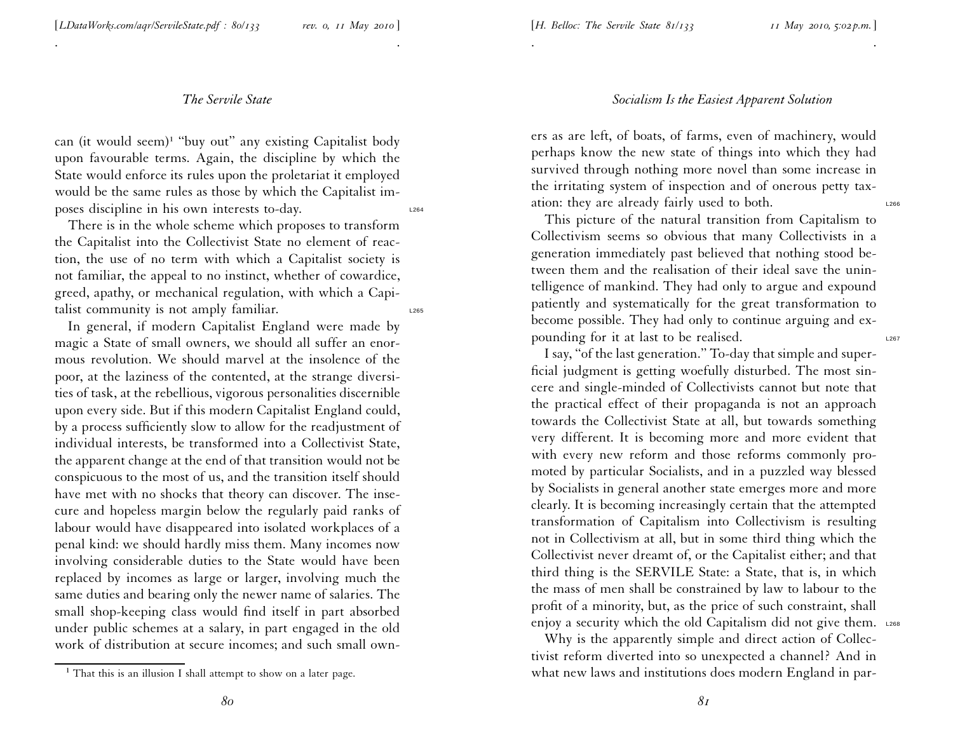. .

can (it would seem)<sup>1</sup> "buy out" any existing Capitalist body upon favourable terms. Again, the discipline by which the State would enforce its rules upon the proletariat it employed would be the same rules as those by which the Capitalist imposes discipline in his own interests to-day. L264

There is in the whole scheme which proposes to transform the Capitalist into the Collectivist State no element of reaction, the use of no term with which <sup>a</sup> Capitalist society is not familiar, the appeal to no instinct, whether of cowardice, greed, apathy, or mechanical regulation, with which <sup>a</sup> Capitalist community is not amply familiar.

In general, if modern Capitalist England were made by magic <sup>a</sup> State of small owners, we should all suffer an enormous revolution. We should marvel at the insolence of the poor, at the laziness of the contented, at the strange diversities of task, at the rebellious, vigorous personalities discernible upon every side. But if this modern Capitalist England could, by <sup>a</sup> process sufficiently slow to allow for the readjustment of individual interests, be transformed into <sup>a</sup> Collectivist State, the apparen<sup>t</sup> change at the end of that transition would not be conspicuous to the most of us, and the transition itself should have met with no shocks that theory can discover. The insecure and hopeless margin below the regularly paid ranks of labour would have disappeared into isolated workplaces of <sup>a</sup> penal kind: we should hardly miss them. Many incomes now involving considerable duties to the State would have been replaced by incomes as large or larger, involving much the same duties and bearing only the newer name of salaries. The small shop-keeping class would find itself in par<sup>t</sup> absorbed under public schemes at <sup>a</sup> salary, in par<sup>t</sup> engaged in the old work of distribution at secure incomes; and such small own-

# *Socialism Is the Easiest Apparent Solution*

. The contract of the contract of the contract of the contract of the contract of the contract of the contract of the contract of the contract of the contract of the contract of the contract of the contract of the contrac

ers as are left, of boats, of farms, even of machinery, would perhaps know the new state of things into which they had survived through nothing more novel than some increase in the irritating system of inspection and of onerous petty tax ation: they are already fairly used to both.

This <sup>p</sup>icture of the natural transition from Capitalism to Collectivism seems so obvious that many Collectivists in <sup>a</sup> generation immediately pas<sup>t</sup> believed that nothing stood be tween them and the realisation of their ideal save the unintelligence of mankind. They had only to argue and expound patiently and systematically for the grea<sup>t</sup> transformation to become possible. They had only to continue arguing and expounding for it at last to be realised.

<sup>I</sup> say, ''of the last generation.'' To-day that simple and superficial judgment is getting woefully disturbed. The most sincere and single-minded of Collectivists cannot but note that the practical effect of their propaganda is not an approach towards the Collectivist State at all, but towards somethin g very different. It is becoming more and more evident that with every new reform and those reforms commonly promoted by particular Socialists, and in <sup>a</sup> puzzled way blessed by Socialists in general another state emerges more and more clearly. It is becoming increasingly certain that the attempted transformation of Capitalism into Collectivism is resulting not in Collectivism at all, but in some third thing which the Collectivist never dreamt of, or the Capitalist either; and that third thing is the SERVILE State: <sup>a</sup> State, that is, in which the mass of men shall be constrained by law to labour to the profit of <sup>a</sup> minority, but, as the price of such constraint, shall enjoy a security which the old Capitalism did not give them. L268

Why is the apparently simple and direct action of Collectivist reform diverted into so unexpected <sup>a</sup> channel? And in what new laws and institutions does modern England in par-

<sup>&</sup>lt;sup>1</sup> That this is an illusion I shall attempt to show on a later page.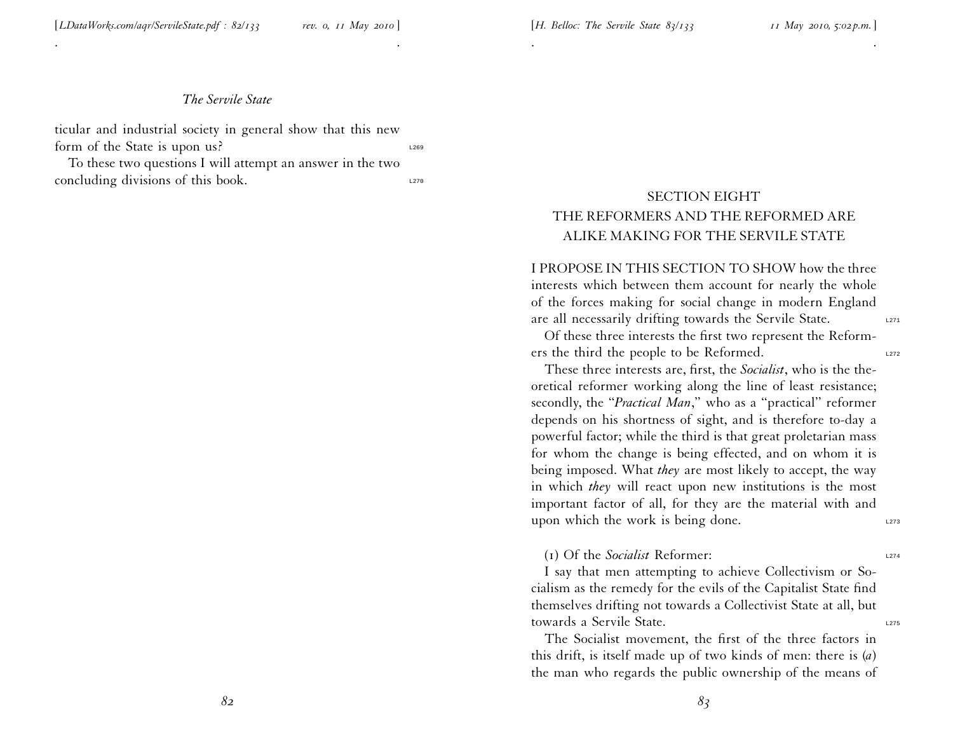. .

ticular and industrial society in general show that this new form of the State is upon us?

To these two questions <sup>I</sup> will attempt an answer in the two  $\alpha$  concluding divisions of this book.

# SECTION EIGHT THE REFORMERS AND THE REFORMED ARE ALIKE MAKING FOR THE SERVILE STATE

. .

I PROPOSE IN THIS SECTION TO SHOW how the three interests which between them account for nearly the whole of the forces making for social change in modern England are all necessarily drifting towards the Servile State.

Of these three interests the first two represen<sup>t</sup> the Reformers the third the people to be Reformed.

These three interests are, first, the *Socialist*, who is the theoretical reformer working along the line of least resistance; secondly, the ''*Practical Man*,'' who as <sup>a</sup> ''practical'' reformer depends on his shortness of sight, and is therefore to-day <sup>a</sup> powerful factor; while the third is that grea<sup>t</sup> proletarian mass for whom the change is being effected, and on whom it is being imposed. What *they* are most likely to accept, the way in which *they* will react upon new institutions is the most important factor of all, for they are the material with and upon which the work is being done.

#### (1) Of the *Socialist* Reformer: L274

<sup>I</sup> say that men attempting to achieve Collectivism or Socialism as the remedy for the evils of the Capitalist State find themselves drifting not towards <sup>a</sup> Collectivist State at all, but towards a Servile State.

The Socialist movement, the first of the three factors in this drift, is itself made up of two kinds of men: there is (*a*) the man who regards the public ownership of the means of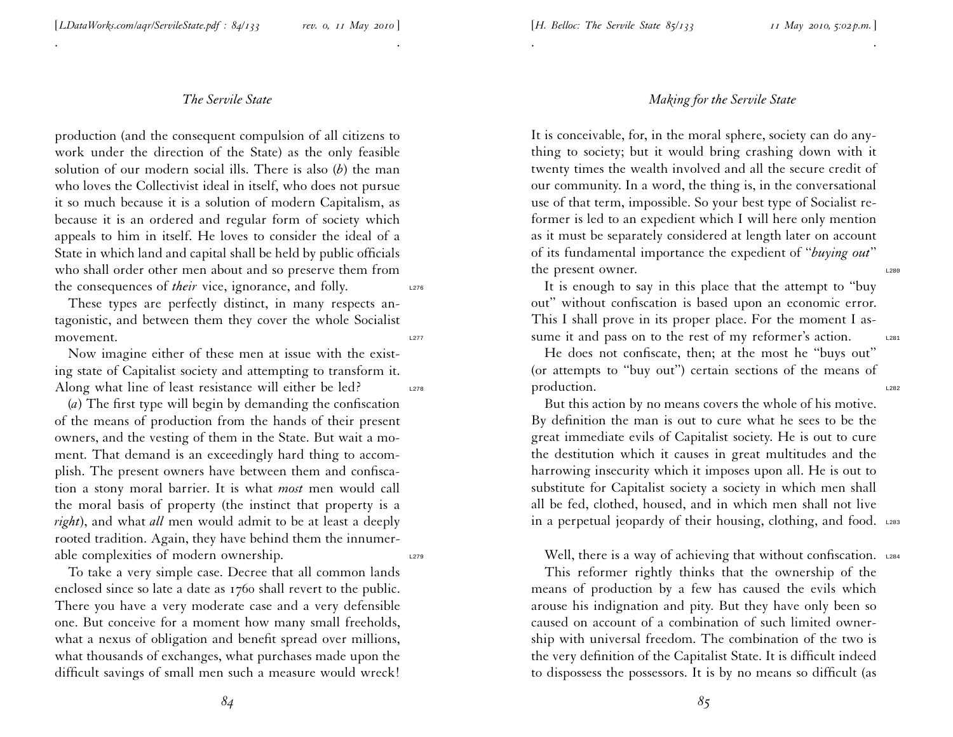. .

production (and the consequen<sup>t</sup> compulsion of all citizens to work under the direction of the State) as the only feasible solution of our modern social ills. There is also (*b*) the man who loves the Collectivist ideal in itself, who does not pursue it so much because it is <sup>a</sup> solution of modern Capitalism, as because it is an ordered and regular form of society which appeals to him in itself. He loves to consider the ideal of <sup>a</sup> State in which land and capital shall be held by public officials who shall order other men about and so preserve them from the consequences of *their* vice, ignorance, and folly.

These types are perfectly distinct, in many respects antagonistic, and between them they cover the whole Socialist movement.

Now imagine either of these men at issue with the existing state of Capitalist society and attempting to transform it. Along what line of least resistance will either be led?  $\qquad \qquad 278$ 

(*a*) The first type will begin by demanding the confiscation of the means of production from the hands of their presen<sup>t</sup> owners, and the vesting of them in the State. But wait <sup>a</sup> moment. That demand is an exceedingly hard thing to accom<sup>p</sup>lish. The presen<sup>t</sup> owners have between them and confiscation <sup>a</sup> stony moral barrier. It is what *most* men would call the moral basis of property (the instinct that property is <sup>a</sup> *right*), and what *all* men would admit to be at least <sup>a</sup> deeply rooted tradition. Again, they have behind them the innumerable complexities of modern ownership.  $\frac{1279}{2}$ 

To take <sup>a</sup> very simple case. Decree that all common lands enclosed since so late <sup>a</sup> date as 1760 shall revert to the public. There you have <sup>a</sup> very moderate case and <sup>a</sup> very defensible one. But conceive for <sup>a</sup> moment how many small freeholds, what <sup>a</sup> nexus of obligation and benefit spread over millions, what thousands of exchanges, what purchases made upon the difficult savings of small men such <sup>a</sup> measure would wreck!

## *Making for the Servile State*

. .

It is conceivable, for, in the moral sphere, society can do anything to society; but it would bring crashing down with it twenty times the wealth involved and all the secure credit of our community. In <sup>a</sup> word, the thing is, in the conversational use of that term, impossible. So your best type of Socialist reformer is led to an expedient which <sup>I</sup> will here only mention as it must be separately considered at length later on account of its fundamental importance the expedient of ''*buying out*'' the present owner.

It is enough to say in this <sup>p</sup>lace that the attempt to ''buy out'' without confiscation is based upon an economic error. This <sup>I</sup> shall prove in its proper <sup>p</sup>lace. For the moment <sup>I</sup> assume it and pass on to the rest of my reformer's action.

He does not confiscate, then; at the most he ''buys out'' (or attempts to ''buy out'') certain sections of the means of production.

But this action by no means covers the whole of his motive. By definition the man is out to cure what he sees to be the grea<sup>t</sup> immediate evils of Capitalist society. He is out to cure the destitution which it causes in grea<sup>t</sup> multitudes and the harrowing insecurity which it imposes upon all. He is out to substitute for Capitalist society <sup>a</sup> society in which men shall all be fed, clothed, housed, and in which men shall not live in a perpetual jeopardy of their housing, clothing, and food. L283

Well, there is a way of achieving that without confiscation. L284

This reformer rightly thinks that the ownership of the means of production by <sup>a</sup> few has caused the evils which arouse his indignation and <sup>p</sup>ity. But they have only been so caused on account of <sup>a</sup> combination of such limited ownership with universal freedom. The combination of the two is the very definition of the Capitalist State. It is difficult indeed to dispossess the possessors. It is by no means so difficult (as

*84*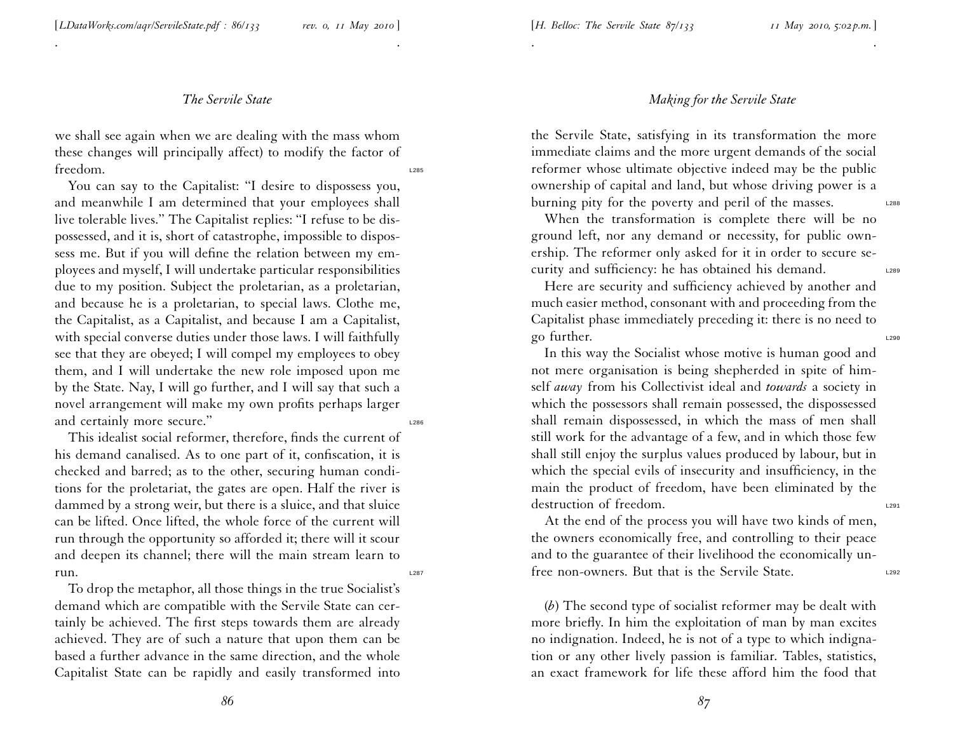#### [*H. Belloc: The Servile State 87/133 <sup>11</sup> May 2010, 5:02 p.m.*]

#### *The Servile State*

. .

we shall see again when we are dealing with the mass whom these changes will principally affect) to modify the factor of freedom.

You can say to the Capitalist: "I desire to dispossess you, and meanwhile <sup>I</sup> am determined that your employees shall live tolerable lives.'' The Capitalist replies: ''I refuse to be dispossessed, and it is, short of catastrophe, impossible to dispossess me. But if you will define the relation between my em<sup>p</sup>loyees and myself, <sup>I</sup> will undertake particular responsibilities due to my position. Subject the proletarian, as <sup>a</sup> proletarian, and because he is <sup>a</sup> proletarian, to special laws. Clothe me, the Capitalist, as <sup>a</sup> Capitalist, and because <sup>I</sup> am <sup>a</sup> Capitalist, with special converse duties under those laws. <sup>I</sup> will faithfully see that they are obeyed; <sup>I</sup> will compel my employees to obey them, and <sup>I</sup> will undertake the new role imposed upon me by the State. Nay, <sup>I</sup> will go further, and <sup>I</sup> will say that such <sup>a</sup> novel arrangemen<sup>t</sup> will make my own profits perhaps larger and certainly more secure."

This idealist social reformer, therefore, finds the current of his demand canalised. As to one par<sup>t</sup> of it, confiscation, it is checked and barred; as to the other, securing human conditions for the proletariat, the gates are open. Half the river is dammed by <sup>a</sup> strong weir, but there is <sup>a</sup> sluice, and that sluice can be lifted. Once lifted, the whole force of the current will run through the opportunity so afforded it; there will it scour and deepen its channel; there will the main stream learn to  $run.$ 

To drop the metaphor, all those things in the true Socialist's demand which are compatible with the Servile State can certainly be achieved. The first steps towards them are already achieved. They are of such <sup>a</sup> nature that upon them can be based <sup>a</sup> further advance in the same direction, and the whole Capitalist State can be rapidly and easily transformed into

#### *Making for the Servile State*

the Servile State, satisfying in its transformation the more immediate claims and the more urgen<sup>t</sup> demands of the social reformer whose ultimate objective indeed may be the public ownership of capital and land, but whose driving power is <sup>a</sup> burning pity for the poverty and peril of the masses.

. .

When the transformation is complete there will be no ground left, nor any demand or necessity, for public ownership. The reformer only asked for it in order to secure security and sufficiency: he has obtained his demand. L289

Here are security and sufficiency achieved by another and much easier method, consonant with and proceeding from the Capitalist <sup>p</sup>hase immediately preceding it: there is no need to go further.

In this way the Socialist whose motive is human good and not mere organisation is being shepherded in spite of himself *away* from his Collectivist ideal and *towards* <sup>a</sup> society in which the possessors shall remain possessed, the dispossessed shall remain dispossessed, in which the mass of men shall still work for the advantage of <sup>a</sup> few, and in which those few shall still enjoy the surplus values produced by labour, but in which the special evils of insecurity and insufficiency, in the main the product of freedom, have been eliminated by the destruction of freedom.

At the end of the process you will have two kinds of men, the owners economically free, and controlling to their peace and to the guarantee of their livelihood the economically un free non-owners. But that is the Servile State.

(*b*) The second type of socialist reformer may be dealt with more briefly. In him the exploitation of man by man excites no indignation. Indeed, he is not of <sup>a</sup> type to which indignation or any other lively passion is familiar. Tables, statistics, an exact framework for life these afford him the food that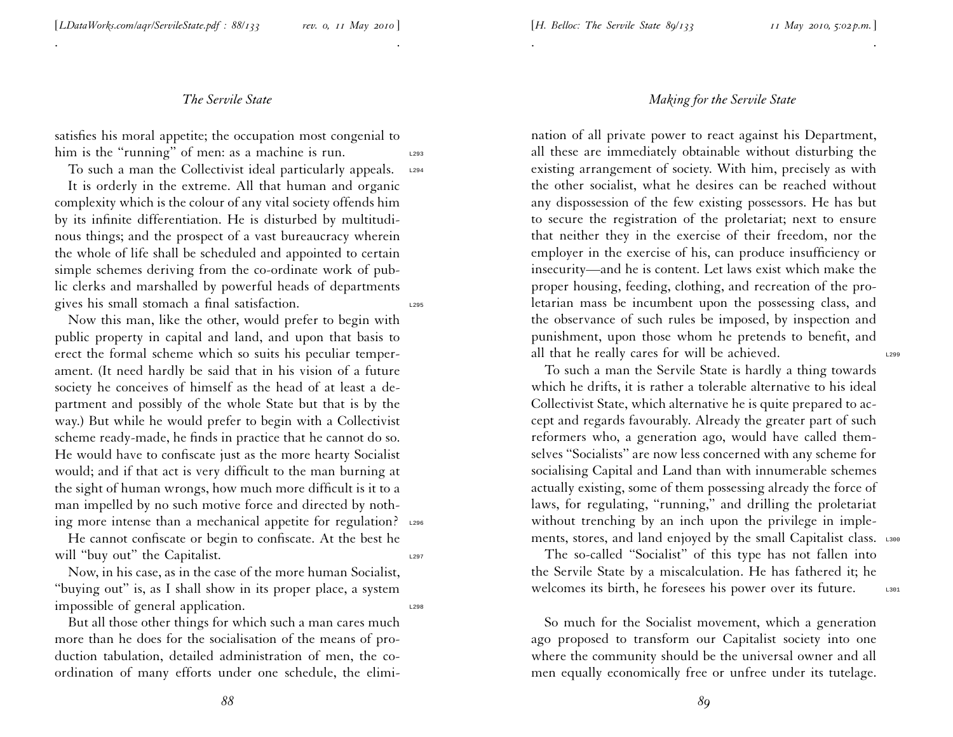. .

satisfies his moral appetite; the occupation most congenial to him is the "running" of men: as a machine is run.

To such a man the Collectivist ideal particularly appeals.  $L_{294}$ 

It is orderly in the extreme. All that human and organic complexity which is the colour of any vital society offends him by its infinite differentiation. He is disturbed by multitudinous things; and the prospec<sup>t</sup> of <sup>a</sup> vast bureaucracy wherein the whole of life shall be scheduled and appointed to certain simple schemes deriving from the co-ordinate work of public clerks and marshalled by powerful heads of departments gives his small stomach a final satisfaction.

Now this man, like the other, would prefer to begin with public property in capital and land, and upon that basis to erect the formal scheme which so suits his peculiar temperament. (It need hardly be said that in his vision of <sup>a</sup> future society he conceives of himself as the head of at least <sup>a</sup> department and possibly of the whole State but that is by the way.) But while he would prefer to begin with <sup>a</sup> Collectivist scheme ready-made, he finds in practice that he cannot do so. He would have to confiscate just as the more hearty Socialist would; and if that act is very difficult to the man burning at the sight of human wrongs, how much more difficult is it to <sup>a</sup> man impelled by no such motive force and directed by nothing more intense than a mechanical appetite for regulation? L296

He cannot confiscate or begin to confiscate. At the best he will "buy out" the Capitalist.

Now, in his case, as in the case of the more human Socialist, ''buying out'' is, as <sup>I</sup> shall show in its proper <sup>p</sup>lace, <sup>a</sup> system impossible of general application.

#### *Making for the Servile State*

. .

nation of all private power to react against his Department, all these are immediately obtainable without disturbing the existing arrangemen<sup>t</sup> of society. With him, precisely as with the other socialist, what he desires can be reached without any dispossession of the few existing possessors. He has but to secure the registration of the proletariat; next to ensure that neither they in the exercise of their freedom, nor the employer in the exercise of his, can produce insufficiency or insecurity—and he is content. Let laws exist which make the proper housing, feeding, clothing, and recreation of the proletarian mass be incumbent upon the possessing class, and the observance of such rules be imposed, by inspection and punishment, upon those whom he pretends to benefit, and all that he really cares for will be achieved.

To such <sup>a</sup> man the Servile State is hardly <sup>a</sup> thing towards which he drifts, it is rather <sup>a</sup> tolerable alternative to his ideal Collectivist State, which alternative he is quite prepared to accep<sup>t</sup> and regards favourably. Already the greater par<sup>t</sup> of such reformers who, <sup>a</sup> generation ago, would have called themselves ''Socialists'' are now less concerned with any scheme for socialising Capital and Land than with innumerable schemes actually existing, some of them possessing already the force of laws, for regulating, "running," and drilling the proletariat without trenching by an inch upon the privilege in implements, stores, and land enjoyed by the small Capitalist class. L300

The so-called ''Socialist'' of this type has not fallen into the Servile State by <sup>a</sup> miscalculation. He has fathered it; he welcomes its birth, he foresees his power over its future.

So much for the Socialist movement, which <sup>a</sup> generation ago proposed to transform our Capitalist society into one where the community should be the universal owner and all men equally economically free or unfree under its tutelage.

But all those other things for which such <sup>a</sup> man cares much more than he does for the socialisation of the means of production tabulation, detailed administration of men, the co ordination of many efforts under one schedule, the elimi-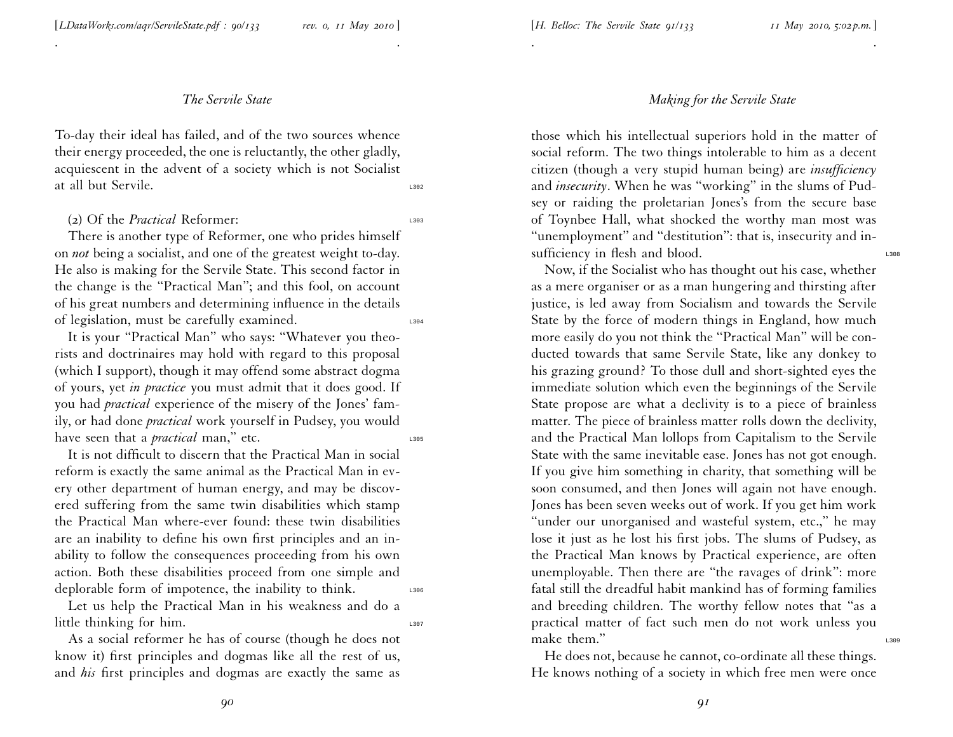. .

To-day their ideal has failed, and of the two sources whence their energy proceeded, the one is reluctantly, the other <sup>g</sup>ladly, acquiescent in the advent of <sup>a</sup> society which is not Socialist at all but Servile.

#### (2) Of the *Practical* Reformer:

There is another type of Reformer, one who prides himself on *not* being <sup>a</sup> socialist, and one of the greatest weight to-day. He also is making for the Servile State. This second factor in the change is the ''Practical Man''; and this fool, on account of his grea<sup>t</sup> numbers and determining influence in the details of legislation, must be carefully examined. L304

It is your ''Practical Man'' who says: ''Whatever you theorists and doctrinaires may hold with regard to this proposal (which <sup>I</sup> support), though it may offend some abstract dogma of yours, ye<sup>t</sup> *in practice* you must admit that it does good. If you had *practical* experience of the misery of the Jones' family, or had done *practical* work yourself in Pudsey, you would have seen that a *practical* man," etc.

It is not difficult to discern that the Practical Man in social reform is exactly the same animal as the Practical Man in every other department of human energy, and may be discovered suffering from the same twin disabilities which stamp the Practical Man where-ever found: these twin disabilities are an inability to define his own first principles and an inability to follow the consequences proceeding from his own action. Both these disabilities proceed from one simple and deplorable form of impotence, the inability to think.

Let us help the Practical Man in his weakness and do <sup>a</sup> little thinking for him.

As <sup>a</sup> social reformer he has of course (though he does not know it) first principles and dogmas like all the rest of us, and *his* first principles and dogmas are exactly the same as

## *Making for the Servile State*

. .

those which his intellectual superiors hold in the matter of social reform. The two things intolerable to him as <sup>a</sup> decent citizen (though <sup>a</sup> very stupid human being) are *insufficiency* and *insecurity*. When he was ''working'' in the slums of Pudsey or raiding the proletarian Jones's from the secure base of Toynbee Hall, what shocked the worthy man most was "unemployment" and "destitution": that is, insecurity and insufficiency in flesh and blood.

Now, if the Socialist who has thought out his case, whether as <sup>a</sup> mere organiser or as <sup>a</sup> man hungering and thirsting after justice, is led away from Socialism and towards the Servile State by the force of modern things in England, how much more easily do you not think the ''Practical Man'' will be con ducted towards that same Servile State, like any donkey to his grazing ground? To those dull and short-sighted eyes the immediate solution which even the beginnings of the Servile State propose are what <sup>a</sup> declivity is to <sup>a</sup> <sup>p</sup>iece of brainless matter. The <sup>p</sup>iece of brainless matter rolls down the declivity, and the Practical Man lollops from Capitalism to the Servile State with the same inevitable ease. Jones has not go<sup>t</sup> enough. If you <sup>g</sup>ive him something in charity, that something will be soon consumed, and then Jones will again not have enough. Jones has been seven weeks out of work. If you ge<sup>t</sup> him work "under our unorganised and wasteful system, etc.," he may lose it just as he lost his first jobs. The slums of Pudsey, as the Practical Man knows by Practical experience, are often unemployable. Then there are ''the ravages of drink'': more fatal still the dreadful habit mankind has of forming families and breeding children. The worthy fellow notes that ''as <sup>a</sup> practical matter of fact such men do not work unless you make them."

He does not, because he cannot, co-ordinate all these things. He knows nothing of <sup>a</sup> society in which free men were once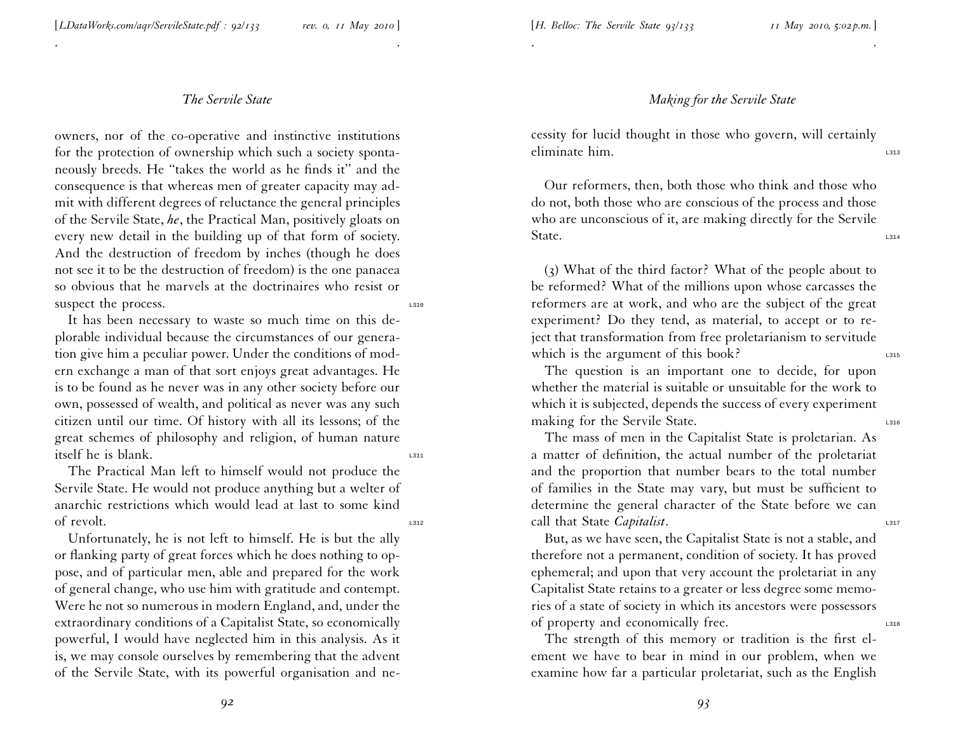### *Making for the Servile State*

cessity for lucid thought in those who govern, will certainly eliminate him.

. .

Our reformers, then, both those who think and those who do not, both those who are conscious of the process and those who are unconscious of it, are making directly for the Servile State.  $\overline{\phantom{a}}$ 

(3) What of the third factor? What of the people about to be reformed? What of the millions upon whose carcasses the reformers are at work, and who are the subject of the grea<sup>t</sup> experiment? Do they tend, as material, to accep<sup>t</sup> or to reject that transformation from free proletarianism to servitude which is the argument of this book?

The question is an important one to decide, for upon whether the material is suitable or unsuitable for the work to which it is subjected, depends the success of every experiment making for the Servile State.

The mass of men in the Capitalist State is proletarian. As <sup>a</sup> matter of definition, the actual number of the proletariat and the proportion that number bears to the total number of families in the State may vary, but must be sufficient to determine the general character of the State before we can call that State *Capitalist*.

But, as we have seen, the Capitalist State is not <sup>a</sup> stable, and therefore not <sup>a</sup> permanent, condition of society. It has proved ephemeral; and upon that very account the proletariat in any Capitalist State retains to <sup>a</sup> greater or less degree some memories of <sup>a</sup> state of society in which its ancestors were possessors of property and economically free.

The strength of this memory or tradition is the first element we have to bear in mind in our problem, when we examine how far <sup>a</sup> particular proletariat, such as the English

## *The Servile State*

. .

owners, nor of the co-operative and instinctive institutions for the protection of ownership which such <sup>a</sup> society spontaneously breeds. He ''takes the world as he finds it'' and the consequence is that whereas men of greater capacity may admit with different degrees of reluctance the general principles of the Servile State, *he*, the Practical Man, positively <sup>g</sup>loats on every new detail in the building up of that form of society. And the destruction of freedom by inches (though he does not see it to be the destruction of freedom) is the one panacea so obvious that he marvels at the doctrinaires who resist or suspect the process.

It has been necessary to waste so much time on this de<sup>p</sup>lorable individual because the circumstances of our generation <sup>g</sup>ive him <sup>a</sup> peculiar power. Under the conditions of modern exchange <sup>a</sup> man of that sort enjoys grea<sup>t</sup> advantages. He is to be found as he never was in any other society before our own, possessed of wealth, and political as never was any such citizen until our time. Of history with all its lessons; of the grea<sup>t</sup> schemes of <sup>p</sup>hilosophy and religion, of human nature itself he is blank.

The Practical Man left to himself would not produce the Servile State. He would not produce anything but <sup>a</sup> welter of anarchic restrictions which would lead at last to some kind of revolt.

Unfortunately, he is not left to himself. He is but the ally or flanking party of grea<sup>t</sup> forces which he does nothing to oppose, and of particular men, able and prepared for the work of general change, who use him with gratitude and contempt. Were he not so numerous in modern England, and, under the extraordinary conditions of <sup>a</sup> Capitalist State, so economically powerful, <sup>I</sup> would have neglected him in this analysis. As it is, we may console ourselves by remembering that the advent of the Servile State, with its powerful organisation and ne-

*92*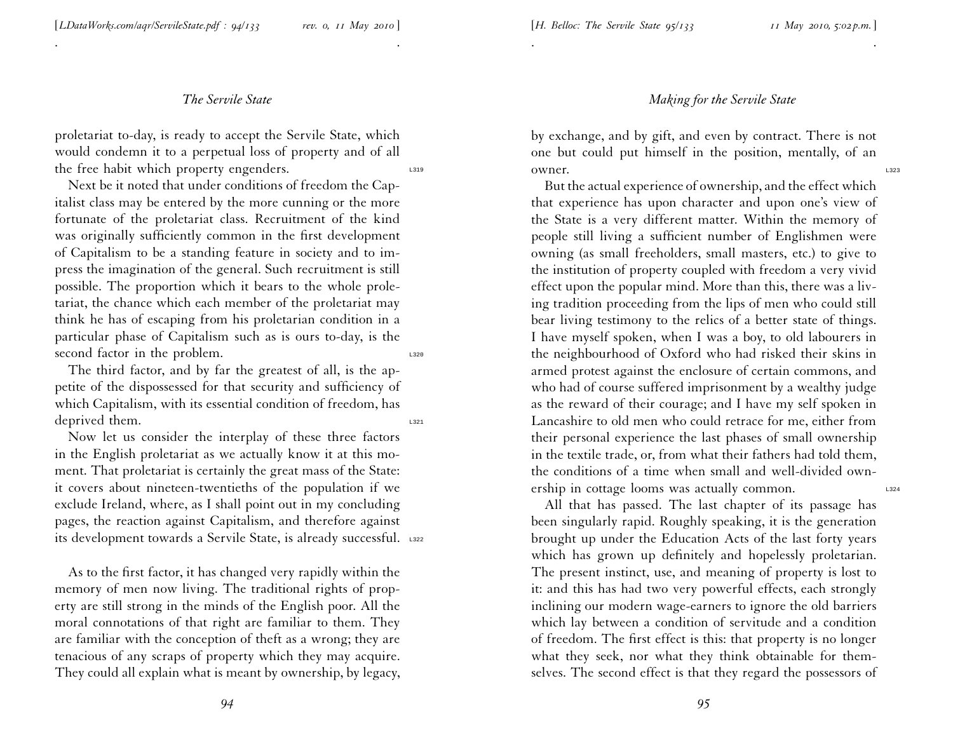. .

proletariat to-day, is ready to accep<sup>t</sup> the Servile State, which would condemn it to <sup>a</sup> perpetual loss of property and of all the free habit which property engenders.

Next be it noted that under conditions of freedom the Capitalist class may be entered by the more cunning or the more fortunate of the proletariat class. Recruitment of the kind was originally sufficiently common in the first development of Capitalism to be <sup>a</sup> standing feature in society and to impress the imagination of the general. Such recruitment is still possible. The proportion which it bears to the whole proletariat, the chance which each member of the proletariat may think he has of escaping from his proletarian condition in <sup>a</sup> particular <sup>p</sup>hase of Capitalism such as is ours to-day, is the second factor in the problem.

The third factor, and by far the greatest of all, is the appetite of the dispossessed for that security and sufficiency of which Capitalism, with its essential condition of freedom, has deprived them.

Now let us consider the interplay of these three factors in the English proletariat as we actually know it at this moment. That proletariat is certainly the grea<sup>t</sup> mass of the State: it covers about nineteen-twentieths of the population if we exclude Ireland, where, as <sup>I</sup> shall point out in my concluding pages, the reaction against Capitalism, and therefore against its development towards a Servile State, is already successful. 1322

As to the first factor, it has changed very rapidly within the memory of men now living. The traditional rights of property are still strong in the minds of the English poor. All the moral connotations of that right are familiar to them. They are familiar with the conception of theft as <sup>a</sup> wrong; they are tenacious of any scraps of property which they may acquire. They could all explain what is meant by ownership, by legacy,

#### *Making for the Servile State*

by exchange, and by <sup>g</sup>ift, and even by contract. There is not one but could pu<sup>t</sup> himself in the position, mentally, of an owner.

. .

But the actual experience of ownership, and the effect which that experience has upon character and upon one's view of the State is <sup>a</sup> very different matter. Within the memory of people still living <sup>a</sup> sufficient number of Englishmen were owning (as small freeholders, small masters, etc.) to <sup>g</sup>ive to the institution of property coupled with freedom <sup>a</sup> very vivid effect upon the popular mind. More than this, there was <sup>a</sup> living tradition proceeding from the lips of men who could still bear living testimony to the relics of <sup>a</sup> better state of things. <sup>I</sup> have myself spoken, when <sup>I</sup> was <sup>a</sup> boy, to old labourers in the neighbourhood of Oxford who had risked their skins in armed protest against the enclosure of certain commons, and who had of course suffered imprisonment by <sup>a</sup> wealthy judge as the reward of their courage; and <sup>I</sup> have my self spoken in Lancashire to old men who could retrace for me, either from their personal experience the last <sup>p</sup>hases of small ownership in the textile trade, or, from what their fathers had told them, the conditions of <sup>a</sup> time when small and well-divided ownership in cottage looms was actually common.

All that has passed. The last chapter of its passage has been singularly rapid. Roughly speaking, it is the generation brought up under the Education Acts of the last forty years which has grown up definitely and hopelessly proletarian. The presen<sup>t</sup> instinct, use, and meaning of property is lost to it: and this has had two very powerful effects, each strongly inclining our modern wage-earners to ignore the old barriers which lay between <sup>a</sup> condition of servitude and <sup>a</sup> condition of freedom. The first effect is this: that property is no longer what they seek, nor what they think obtainable for themselves. The second effect is that they regard the possessors of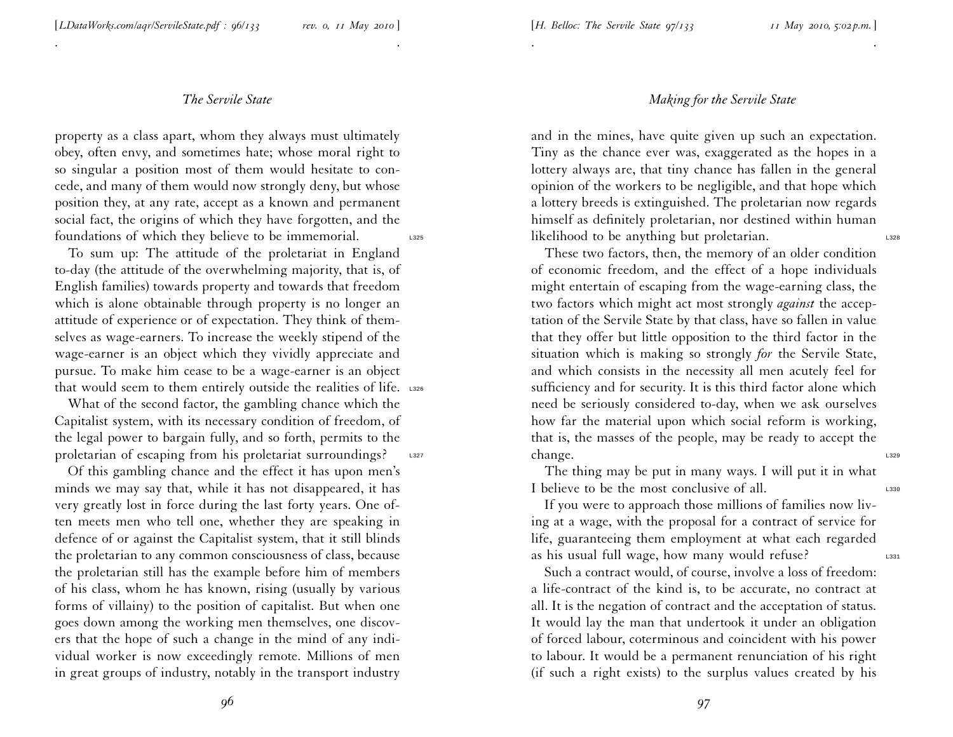. .

property as <sup>a</sup> class apart, whom they always must ultimately obey, often envy, and sometimes hate; whose moral right to so singular <sup>a</sup> position most of them would hesitate to concede, and many of them would now strongly deny, but whose position they, at any rate, accep<sup>t</sup> as <sup>a</sup> known and permanen<sup>t</sup> social fact, the origins of which they have forgotten, and the foundations of which they believe to be immemorial. L325

To sum up: The attitude of the proletariat in England to-day (the attitude of the overwhelming majority, that is, of English families) towards property and towards that freedom which is alone obtainable through property is no longer an attitude of experience or of expectation. They think of them selves as wage-earners. To increase the weekly stipend of the wage-earner is an object which they vividly appreciate and pursue. To make him cease to be <sup>a</sup> wage-earner is an object that would seem to them entirely outside the realities of life. L326

What of the second factor, the gambling chance which the Capitalist system, with its necessary condition of freedom, of the legal power to bargain fully, and so forth, permits to the proletarian of escaping from his proletariat surroundings? L327

Of this gambling chance and the effect it has upon men's minds we may say that, while it has not disappeared, it has very greatly lost in force during the last forty years. One of ten meets men who tell one, whether they are speaking in defence of or against the Capitalist system, that it still blinds the proletarian to any common consciousness of class, because the proletarian still has the example before him of members of his class, whom he has known, rising (usually by various forms of villainy) to the position of capitalist. But when one goes down among the working men themselves, one discovers that the hope of such <sup>a</sup> change in the mind of any individual worker is now exceedingly remote. Millions of men in grea<sup>t</sup> groups of industry, notably in the transport industry

### *Making for the Servile State*

. .

and in the mines, have quite <sup>g</sup>iven up such an expectation. Tiny as the chance ever was, exaggerated as the hopes in <sup>a</sup> lottery always are, that tiny chance has fallen in the general opinion of the workers to be negligible, and that hope which <sup>a</sup> lottery breeds is extinguished. The proletarian now regards himself as definitely proletarian, nor destined within human likelihood to be anything but proletarian.

These two factors, then, the memory of an older condition of economic freedom, and the effect of <sup>a</sup> hope individuals might entertain of escaping from the wage-earning class, the two factors which might act most strongly *against* the acceptation of the Servile State by that class, have so fallen in value that they offer but little opposition to the third factor in the situation which is making so strongly *for* the Servile State, and which consists in the necessity all men acutely feel for sufficiency and for security. It is this third factor alone which need be seriously considered to-day, when we ask ourselves how far the material upon which social reform is working, that is, the masses of the people, may be ready to accep<sup>t</sup> the  $\alpha$  change.

The thing may be pu<sup>t</sup> in many ways. <sup>I</sup> will pu<sup>t</sup> it in what I believe to be the most conclusive of all.

If you were to approach those millions of families now living at <sup>a</sup> wage, with the proposal for <sup>a</sup> contract of service for life, guaranteeing them employment at what each regarded as his usual full wage, how many would refuse?

Such <sup>a</sup> contract would, of course, involve <sup>a</sup> loss of freedom: <sup>a</sup> life-contract of the kind is, to be accurate, no contract at all. It is the negation of contract and the acceptation of status. It would lay the man that undertook it under an obligation of forced labour, coterminous and coincident with his power to labour. It would be <sup>a</sup> permanen<sup>t</sup> renunciation of his right (if such <sup>a</sup> right exists) to the surplus values created by his

*96*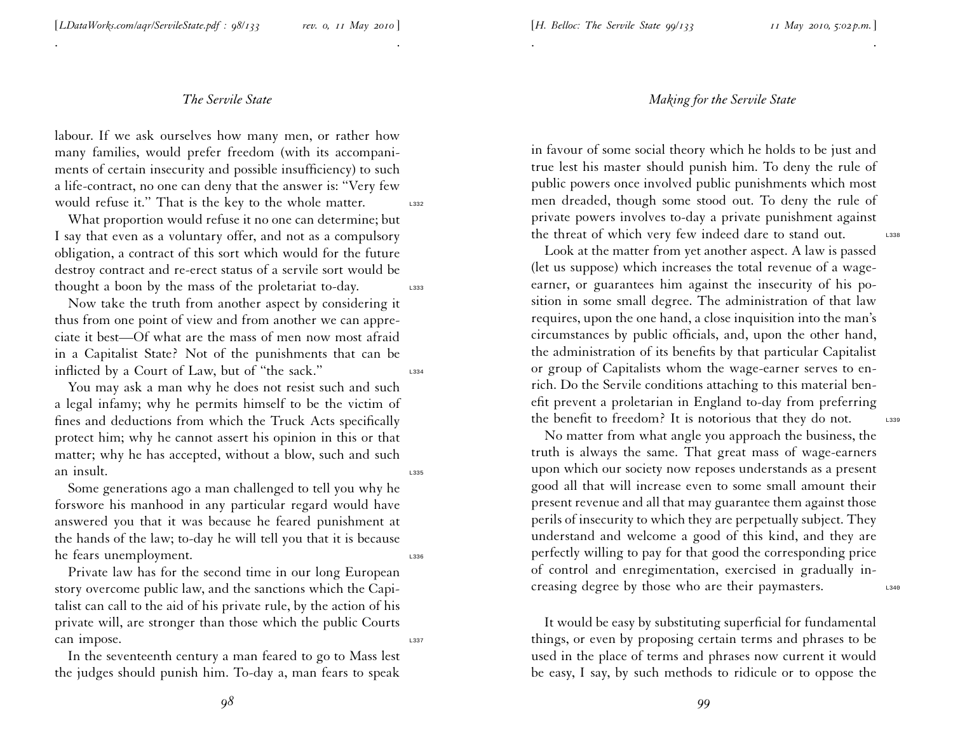. .

labour. If we ask ourselves how many men, or rather how many families, would prefer freedom (with its accompaniments of certain insecurity and possible insufficiency) to such <sup>a</sup> life-contract, no one can deny that the answer is: ''Very few would refuse it." That is the key to the whole matter.

What proportion would refuse it no one can determine; but <sup>I</sup> say that even as <sup>a</sup> voluntary offer, and not as <sup>a</sup> compulsory obligation, <sup>a</sup> contract of this sort which would for the future destroy contract and re-erect status of <sup>a</sup> servile sort would be thought a boon by the mass of the proletariat to-day.  $\qquad \qquad 2333$ 

Now take the truth from another aspec<sup>t</sup> by considering it thus from one point of view and from another we can appreciate it best—Of what are the mass of men now most afraid in <sup>a</sup> Capitalist State? Not of the punishments that can be inflicted by a Court of Law, but of "the sack."

You may ask <sup>a</sup> man why he does not resist such and such <sup>a</sup> legal infamy; why he permits himself to be the victim of fines and deductions from which the Truck Acts specifically protect him; why he cannot assert his opinion in this or that matter; why he has accepted, without <sup>a</sup> blow, such and such an insult.

Some generations ago <sup>a</sup> man challenged to tell you why he forswore his manhood in any particular regard would have answered you that it was because he feared punishment at the hands of the law; to-day he will tell you that it is because he fears unemployment.

Private law has for the second time in our long European story overcome public law, and the sanctions which the Capitalist can call to the aid of his private rule, by the action of his private will, are stronger than those which the public Courts can impose.

In the seventeenth century <sup>a</sup> man feared to go to Mass lest the judges should punish him. To-day a, man fears to speak

## *Making for the Servile State*

. .

in favour of some social theory which he holds to be just and true lest his master should punish him. To deny the rule of public powers once involved public punishments which most men dreaded, though some stood out. To deny the rule of private powers involves to-day <sup>a</sup> private punishment against the threat of which very few indeed dare to stand out. L338

Look at the matter from ye<sup>t</sup> another aspect. A law is passed (let us suppose) which increases the total revenue of <sup>a</sup> wageearner, or guarantees him against the insecurity of his position in some small degree. The administration of that law requires, upon the one hand, <sup>a</sup> close inquisition into the man's circumstances by public officials, and, upon the other hand, the administration of its benefits by that particular Capitalist or group of Capitalists whom the wage-earner serves to enrich. Do the Servile conditions attaching to this material benefit preven<sup>t</sup> <sup>a</sup> proletarian in England to-day from preferring the benefit to freedom? It is notorious that they do not. L339

No matter from what angle you approach the business, the truth is always the same. That grea<sup>t</sup> mass of wage-earners upon which our society now reposes understands as <sup>a</sup> presen<sup>t</sup> good all that will increase even to some small amount their presen<sup>t</sup> revenue and all that may guarantee them against those perils of insecurity to which they are perpetually subject. They understand and welcome <sup>a</sup> good of this kind, and they are perfectly willing to pay for that good the corresponding price of control and enregimentation, exercised in gradually increasing degree by those who are their paymasters. L340

It would be easy by substituting superficial for fundamental things, or even by proposing certain terms and <sup>p</sup>hrases to be used in the <sup>p</sup>lace of terms and <sup>p</sup>hrases now current it would be easy, <sup>I</sup> say, by such methods to ridicule or to oppose the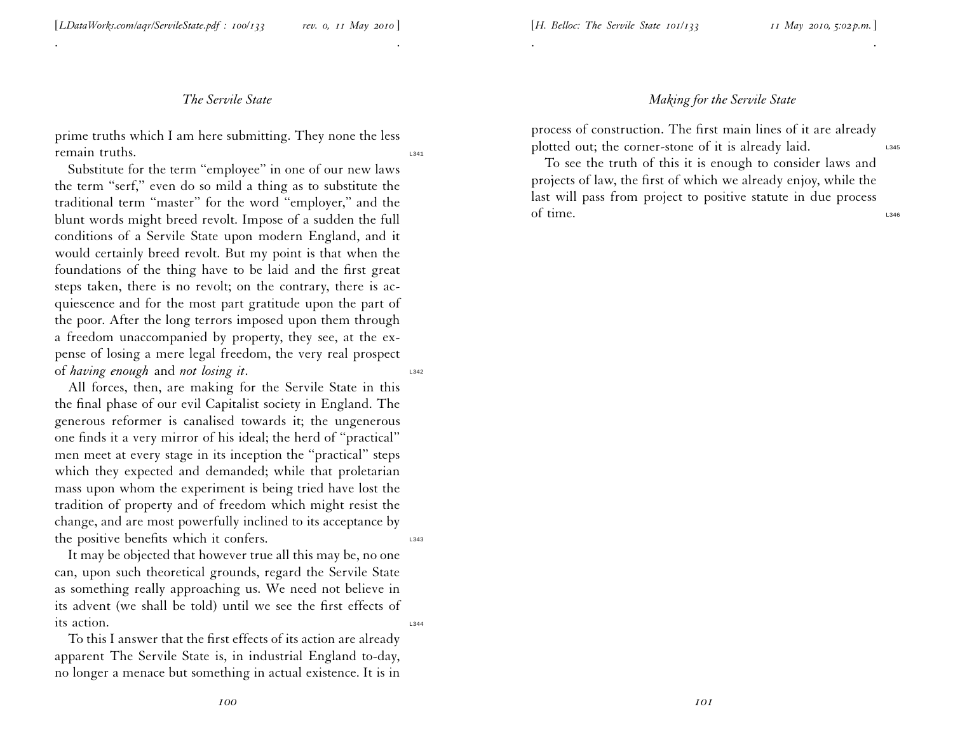It may be objected that however true all this may be, no one can, upon such theoretical grounds, regard the Servile State as something really approaching us. We need not believe in its advent (we shall be told) until we see the first effects of its action.

To this <sup>I</sup> answer that the first effects of its action are already apparen<sup>t</sup> The Servile State is, in industrial England to-day, no longer <sup>a</sup> menace but something in actual existence. It is in

prime truths which <sup>I</sup> am here submitting. They none the less remain truths.

. .

*The Servile State*

Substitute for the term ''employee'' in one of our new laws the term ''serf,'' even do so mild <sup>a</sup> thing as to substitute the traditional term "master" for the word "employer," and the blunt words might breed revolt. Impose of <sup>a</sup> sudden the full conditions of <sup>a</sup> Servile State upon modern England, and it would certainly breed revolt. But my point is that when the foundations of the thing have to be laid and the first grea<sup>t</sup> steps taken, there is no revolt; on the contrary, there is acquiescence and for the most par<sup>t</sup> gratitude upon the par<sup>t</sup> of the poor. After the long terrors imposed upon them through <sup>a</sup> freedom unaccompanied by property, they see, at the expense of losing <sup>a</sup> mere legal freedom, the very real prospec<sup>t</sup> of *having enough* and *not losing it*. L342

All forces, then, are making for the Servile State in this the final <sup>p</sup>hase of our evil Capitalist society in England. The generous reformer is canalised towards it; the ungenerous one finds it <sup>a</sup> very mirror of his ideal; the herd of ''practical'' men meet at every stage in its inception the ''practical'' steps which they expected and demanded; while that proletarian mass upon whom the experiment is being tried have lost the tradition of property and of freedom which might resist the change, and are most powerfully inclined to its acceptance by the positive benefits which it confers.

#### *Making for the Servile State*

process of construction. The first main lines of it are already plotted out; the corner-stone of it is already laid.

. .

To see the truth of this it is enough to consider laws and projects of law, the first of which we already enjoy, while the last will pass from project to positive statute in due process of time. L346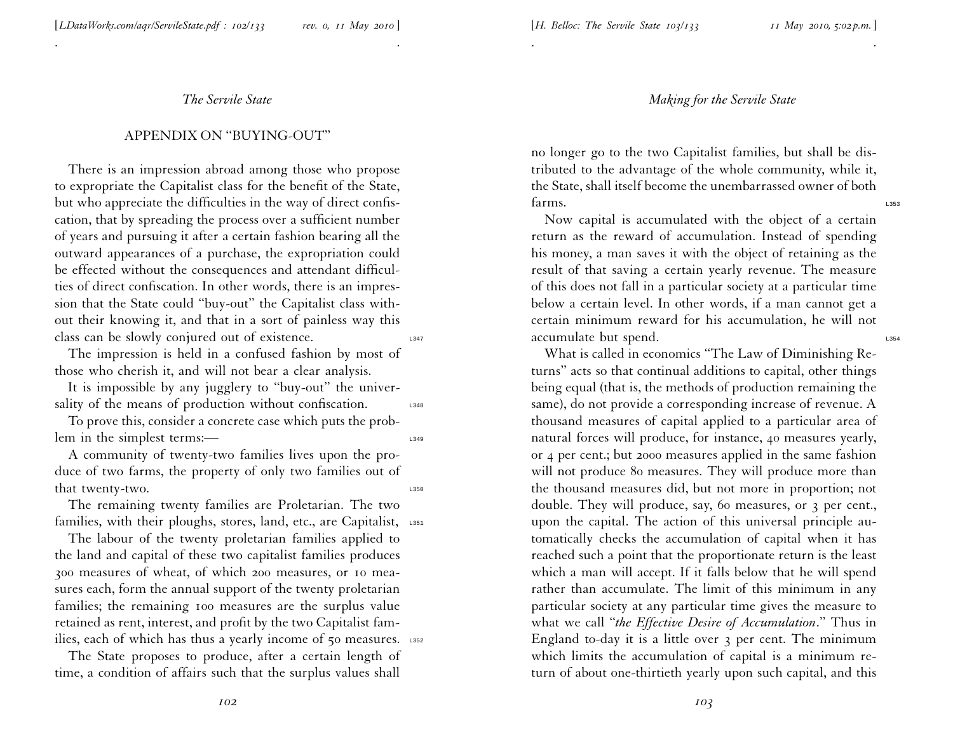. .

# APPENDIX ON ''BUYING-OUT''

There is an impression abroad among those who propose to expropriate the Capitalist class for the benefit of the State, but who appreciate the difficulties in the way of direct confis cation, that by spreading the process over <sup>a</sup> sufficient number of years and pursuing it after <sup>a</sup> certain fashion bearing all the outward appearances of <sup>a</sup> purchase, the expropriation could be effected without the consequences and attendant difficul ties of direct confiscation. In other words, there is an impression that the State could ''buy-out'' the Capitalist class without their knowing it, and that in <sup>a</sup> sort of painless way this class can be slowly conjured out of existence.

The impression is held in <sup>a</sup> confused fashion by most of those who cherish it, and will not bear <sup>a</sup> clear analysis.

It is impossible by any jugglery to ''buy-out'' the universality of the means of production without confiscation.  $\qquad \qquad 1348$ 

To prove this, consider <sup>a</sup> concrete case which puts the problem in the simplest terms:—

A community of twenty-two families lives upon the produce of two farms, the property of only two families out of that twenty-two. The same state of the state of the state of the state of the state of the state of the state of the state of the state of the state of the state of the state of the state of the state of the state of the s

The remaining twenty families are Proletarian. The two families, with their ploughs, stores, land, etc., are Capitalist, L351

The labour of the twenty proletarian families applied to the land and capital of these two capitalist families produces <sup>300</sup> measures of wheat, of which <sup>200</sup> measures, or <sup>10</sup> measures each, form the annual suppor<sup>t</sup> of the twenty proletarian families; the remaining <sup>100</sup> measures are the surplus value retained as rent, interest, and profit by the two Capitalist families, each of which has thus a yearly income of 50 measures. L352

The State proposes to produce, after <sup>a</sup> certain length of time, <sup>a</sup> condition of affairs such that the surplus values shall *Making for the Servile State*

. .

no longer go to the two Capitalist families, but shall be distributed to the advantage of the whole community, while it, the State, shall itself become the unembarrassed owner of both  $\int$ arms.

Now capital is accumulated with the object of <sup>a</sup> certain return as the reward of accumulation. Instead of spending his money, <sup>a</sup> man saves it with the object of retaining as the result of that saving <sup>a</sup> certain yearly revenue. The measure of this does not fall in <sup>a</sup> particular society at <sup>a</sup> particular time below <sup>a</sup> certain level. In other words, if <sup>a</sup> man cannot ge<sup>t</sup> <sup>a</sup> certain minimum reward for his accumulation, he will not accumulate but spend.

What is called in economics ''The Law of Diminishing Returns'' acts so that continual additions to capital, other things being equal (that is, the methods of production remaining the same), do not provide <sup>a</sup> corresponding increase of revenue. <sup>A</sup> thousand measures of capital applied to <sup>a</sup> particular area of natural forces will produce, for instance, <sup>40</sup> measures yearly, or <sup>4</sup> per cent.; but <sup>2000</sup> measures applied in the same fashion will not produce 80 measures. They will produce more than the thousand measures did, but not more in proportion; not double. They will produce, say, 60 measures, or <sup>3</sup> per cent., upon the capital. The action of this universal principle automatically checks the accumulation of capital when it has reached such <sup>a</sup> point that the proportionate return is the least which <sup>a</sup> man will accept. If it falls below that he will spend rather than accumulate. The limit of this minimum in any particular society at any particular time <sup>g</sup>ives the measure to what we call ''*the Effective Desire of Accumulation*.'' Thus in England to-day it is <sup>a</sup> little over <sup>3</sup> per cent. The minimum which limits the accumulation of capital is <sup>a</sup> minimum return of about one-thirtieth yearly upon such capital, and this

*102*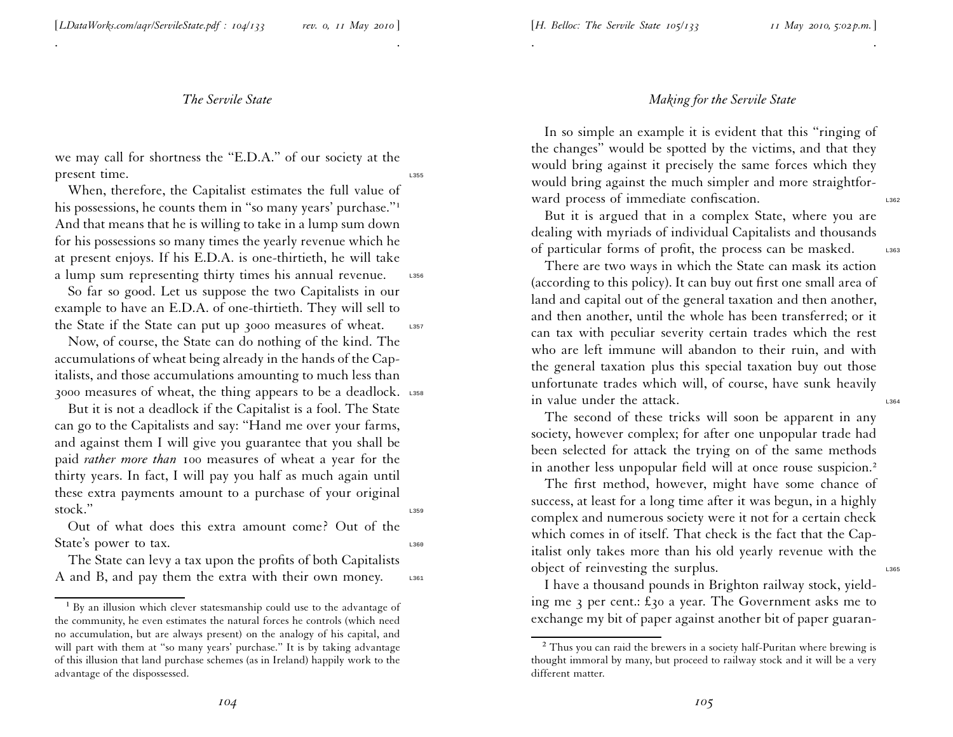. .

we may call for shortness the ''E.D.A.'' of our society at the present time.

When, therefore, the Capitalist estimates the full value of his possessions, he counts them in "so many years' purchase."<sup>1</sup> And that means that he is willing to take in <sup>a</sup> lump sum down for his possessions so many times the yearly revenue which he at presen<sup>t</sup> enjoys. If his E.D.A. is one-thirtieth, he will take a lump sum representing thirty times his annual revenue. L356

So far so good. Let us suppose the two Capitalists in our example to have an E.D.A. of one-thirtieth. They will sell to the State if the State can put up 3000 measures of wheat. L357

Now, of course, the State can do nothing of the kind. The accumulations of wheat being already in the hands of the Capitalists, and those accumulations amounting to much less than 3000 measures of wheat, the thing appears to be a deadlock. L358

But it is not <sup>a</sup> deadlock if the Capitalist is <sup>a</sup> fool. The State can go to the Capitalists and say: ''Hand me over your farms, and against them <sup>I</sup> will <sup>g</sup>ive you guarantee that you shall be paid *rather more than* <sup>100</sup> measures of wheat <sup>a</sup> year for the thirty years. In fact, <sup>I</sup> will pay you half as much again until these extra payments amount to <sup>a</sup> purchase of your original  $stock.^"$ 

Out of what does this extra amount come? Out of the State's power to tax.

The State can levy <sup>a</sup> tax upon the profits of both Capitalists A and B, and pay them the extra with their own money.  $L_{361}$ 

#### *Making for the Servile State*

In so simple an example it is evident that this "ringing of the changes'' would be spotted by the victims, and that they would bring against it precisely the same forces which they would bring against the much simpler and more straightforward process of immediate confiscation.

. The contract of the contract of the contract of the contract of the contract of the contract of the contract of the contract of the contract of the contract of the contract of the contract of the contract of the contrac

But it is argued that in <sup>a</sup> complex State, where you are dealing with myriads of individual Capitalists and thousands of particular forms of profit, the process can be masked. L363

There are two ways in which the State can mask its action (according to this policy). It can buy out first one small area of land and capital out of the general taxation and then another, and then another, until the whole has been transferred; or it can tax with peculiar severity certain trades which the rest who are left immune will abandon to their ruin, and with the general taxation <sup>p</sup>lus this special taxation buy out those unfortunate trades which will, of course, have sunk heavily in value under the attack.

The second of these tricks will soon be apparen<sup>t</sup> in any society, however complex; for after one unpopular trade had been selected for attack the trying on of the same methods in another less unpopular field will at once rouse suspicion.<sup>2</sup>

The first method, however, might have some chance of success, at least for <sup>a</sup> long time after it was begun, in <sup>a</sup> highl y complex and numerous society were it not for <sup>a</sup> certain check which comes in of itself. That check is the fact that the Capitalist only takes more than his old yearly revenue with the object of reinvesting the surplus.

<sup>I</sup> have <sup>a</sup> thousand pounds in Brighton railway stock, <sup>y</sup>ielding me <sup>3</sup> per cent.: £<sup>30</sup> <sup>a</sup> year. The Government asks me to exchange my bit of paper against another bit of paper guaran-

<sup>&</sup>lt;sup>1</sup> By an illusion which clever statesmanship could use to the advantage of the community, he even estimates the natural forces he controls (which need no accumulation, but are always present) on the analogy of his capital, and will part with them at "so many years' purchase." It is by taking advantage of this illusion that land purchase schemes (as in Ireland) happily work to the advantage of the dispossessed.

 $^2$  Thus you can raid the brewers in a society half-Puritan where brewing is thought immoral by many, but proceed to railway stock and it will be <sup>a</sup> very different matter.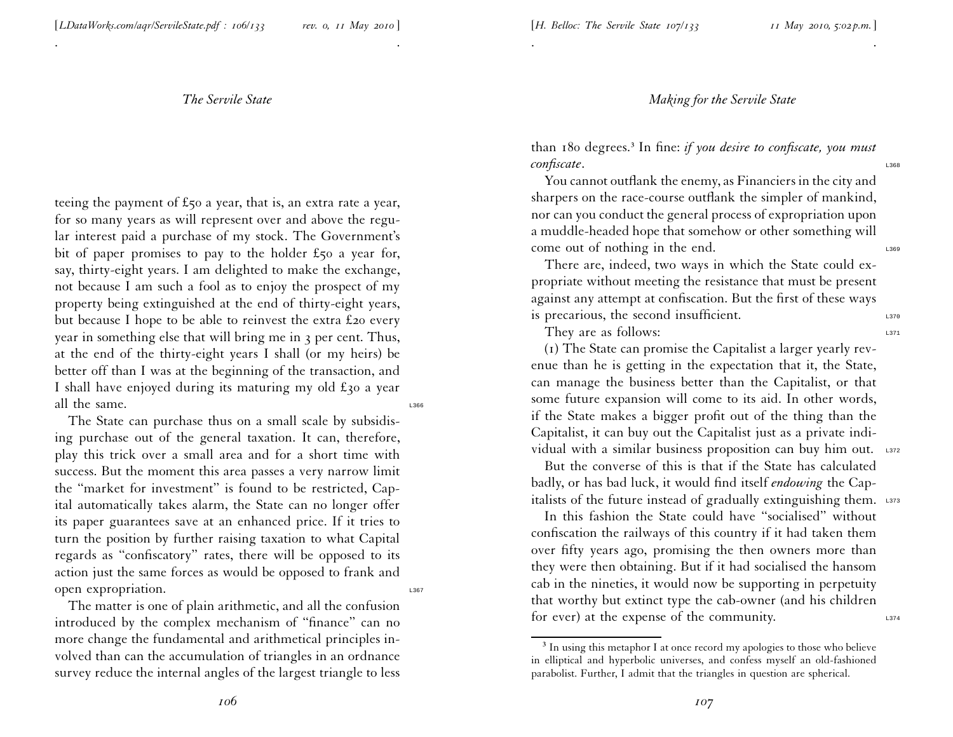[*H. Belloc: The Servile State 107/133 <sup>11</sup> May 2010, 5:02 p.m.*]

*The Servile State*

. .

teeing the paymen<sup>t</sup> of £50 <sup>a</sup> year, that is, an extra rate <sup>a</sup> year, for so many years as will represen<sup>t</sup> over and above the regular interest paid <sup>a</sup> purchase of my stock. The Government's bit of paper promises to pay to the holder £50 <sup>a</sup> year for, say, thirty-eight years. <sup>I</sup> am delighted to make the exchange, not because <sup>I</sup> am such <sup>a</sup> fool as to enjoy the prospec<sup>t</sup> of my property being extinguished at the end of thirty-eight years, but because <sup>I</sup> hope to be able to reinvest the extra £<sup>20</sup> every year in something else that will bring me in <sup>3</sup> per cent. Thus, at the end of the thirty-eight years <sup>I</sup> shall (or my heirs) be better off than <sup>I</sup> was at the beginning of the transaction, and I shall have enjoyed during its maturing my old  $\pounds$ 30 a year all the same.

The State can purchase thus on <sup>a</sup> small scale by subsidising purchase out of the general taxation. It can, therefore, <sup>p</sup>lay this trick over <sup>a</sup> small area and for <sup>a</sup> short time with success. But the moment this area passes <sup>a</sup> very narrow limit the ''market for investment'' is found to be restricted, Cap ital automatically takes alarm, the State can no longer offer its paper guarantees save at an enhanced price. If it tries to turn the position by further raising taxation to what Capital regards as ''confiscatory'' rates, there will be opposed to its action just the same forces as would be opposed to frank and open expropriation.

The matter is one of <sup>p</sup>lain arithmetic, and all the confusion introduced by the complex mechanism of ''finance'' can no more change the fundamental and arithmetical principles in volved than can the accumulation of triangles in an ordnance survey reduce the internal angles of the largest triangle to less *Making for the Servile State*

than 180 degrees.<sup>³</sup> In fine: *if you desire to confiscate, you must confiscate*.

. The contract of the contract of the contract of the contract of the contract of the contract of the contract of the contract of the contract of the contract of the contract of the contract of the contract of the contrac

You cannot outflank the enemy, as Financiers in the city and sharpers on the race-course outflank the simpler of mankind, nor can you conduct the general process of expropriation upo n <sup>a</sup> muddle-headed hope that somehow or other something will come out of nothing in the end.

There are, indeed, two ways in which the State could expropriate without meeting the resistance that must be presen<sup>t</sup> against any attempt at confiscation. But the first of these ways is precarious, the second insufficient.

They are as follows:

(1) The State can promise the Capitalist <sup>a</sup> larger yearly revenue than he is getting in the expectation that it, the State, can manage the business better than the Capitalist, or that some future expansion will come to its aid. In other words, if the State makes <sup>a</sup> bigger profit out of the thing than the Capitalist, it can buy out the Capitalist just as <sup>a</sup> private individual with a similar business proposition can buy him out. L372

But the converse of this is that if the State has calculated badly, or has bad luck, it would find itself *endowing* the Capitalists of the future instead of gradually extinguishing them. L373

In this fashion the State could have ''socialised'' without confiscation the railways of this country if it had taken them over fifty years ago, promising the then owners more than they were then obtaining. But if it had socialised the hansom cab in the nineties, it would now be supporting in perpetuity that worthy but extinct type the cab-owner (and his children for ever) at the expense of the community.  $L_{374}$ 

 $3$  In using this metaphor I at once record my apologies to those who believe in elliptical and hyperbolic universes, and confess myself an old-fashioned parabolist. Further, <sup>I</sup> admit that the triangles in question are spherical.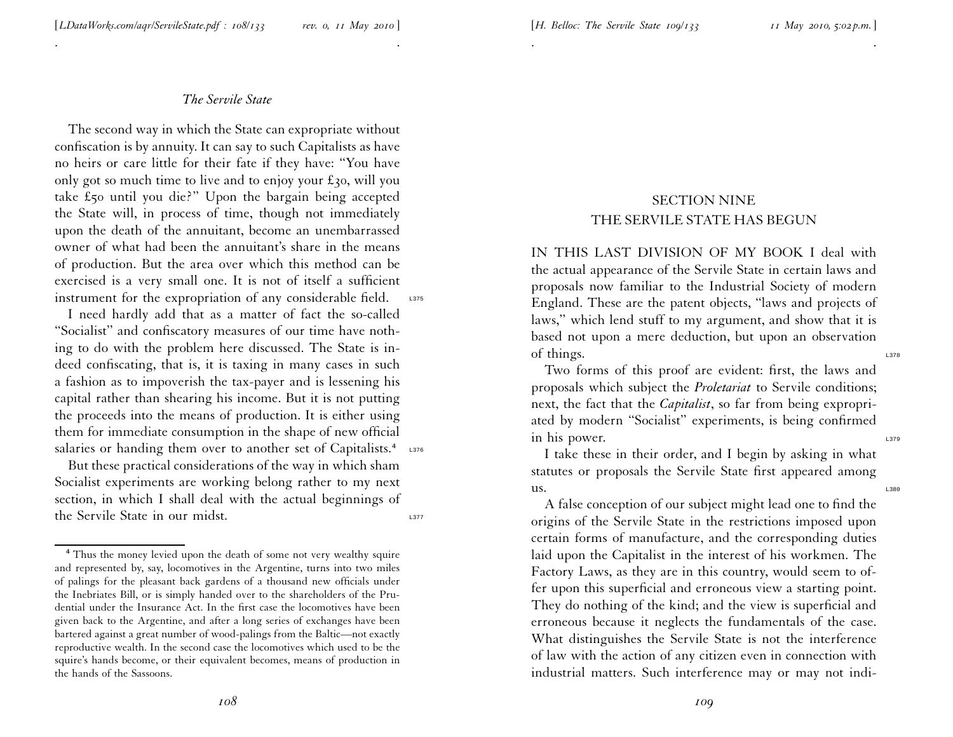. .

The second way in which the State can expropriate without confiscation is by annuity. It can say to such Capitalists as have no heirs or care little for their fate if they have: ''You have only go<sup>t</sup> so much time to live and to enjoy your £30, will you take £50 until you die?'' Upon the bargain being accepted the State will, in process of time, though not immediately upon the death of the annuitant, become an unembarrassed owner of what had been the annuitant's share in the means of production. But the area over which this method can be exercised is <sup>a</sup> very small one. It is not of itself <sup>a</sup> sufficient instrument for the expropriation of any considerable field.  $L_{375}$ 

<sup>I</sup> need hardly add that as <sup>a</sup> matter of fact the so-called ''Socialist'' and confiscatory measures of our time have nothing to do with the problem here discussed. The State is indeed confiscating, that is, it is taxing in many cases in such <sup>a</sup> fashion as to impoverish the tax-payer and is lessening his capital rather than shearing his income. But it is not puttin g the proceeds into the means of production. It is either using them for immediate consumption in the shape of new official salaries or handing them over to another set of Capitalists.<sup>4</sup> L376

But these practical considerations of the way in which sham Socialist experiments are working belong rather to my next section, in which <sup>I</sup> shall deal with the actual beginnings of the Servile State in our midst.

# SECTION NINE THE SERVILE STATE HAS BEGUN

. The contract of the contract of the contract of the contract of the contract of the contract of the contract of the contract of the contract of the contract of the contract of the contract of the contract of the contrac

IN THIS LAST DIVISION OF MY BOOK I deal with the actual appearance of the Servile State in certain laws an d proposals now familiar to the Industrial Society of modern England. These are the patent objects, ''laws and projects of laws,'' which lend stuff to my argument, and show that it is based not upon <sup>a</sup> mere deduction, but upon an observation of things.  $\frac{1378}{2}$ 

Two forms of this proof are evident: first, the laws and proposals which subject the *Proletariat* to Servile conditions; next, the fact that the *Capitalist*, so far from being expropriated by modern ''Socialist'' experiments, is being confirme d in his power.

<sup>I</sup> take these in their order, and <sup>I</sup> begin by asking in what statutes or proposals the Servile State first appeared among  $\rm 11S.$ 

A false conception of our subject might lead one to find the origins of the Servile State in the restrictions imposed upo n certain forms of manufacture, and the corresponding duties laid upon the Capitalist in the interest of his workmen. The Factory Laws, as they are in this country, would seem to offer upon this superficial and erroneous view <sup>a</sup> starting point. They do nothing of the kind; and the view is superficial and erroneous because it neglects the fundamentals of the case. What distinguishes the Servile State is not the interference of law with the action of any citizen even in connection with industrial matters. Such interference may or may not indi-

<sup>&</sup>lt;sup>4</sup> Thus the money levied upon the death of some not very wealthy squire and represented by, say, locomotives in the Argentine, turns into two miles of palings for the <sup>p</sup>leasant back gardens of <sup>a</sup> thousand new officials under the Inebriates Bill, or is simply handed over to the shareholders of the Prudential under the Insurance Act. In the first case the locomotives have been <sup>g</sup>iven back to the Argentine, and after <sup>a</sup> long series of exchanges have been bartered against <sup>a</sup> grea<sup>t</sup> number of wood-palings from the Baltic—not exactly reproductive wealth. In the second case the locomotives which used to be the squire's hands become, or their equivalent becomes, means of production in the hands of the Sassoons.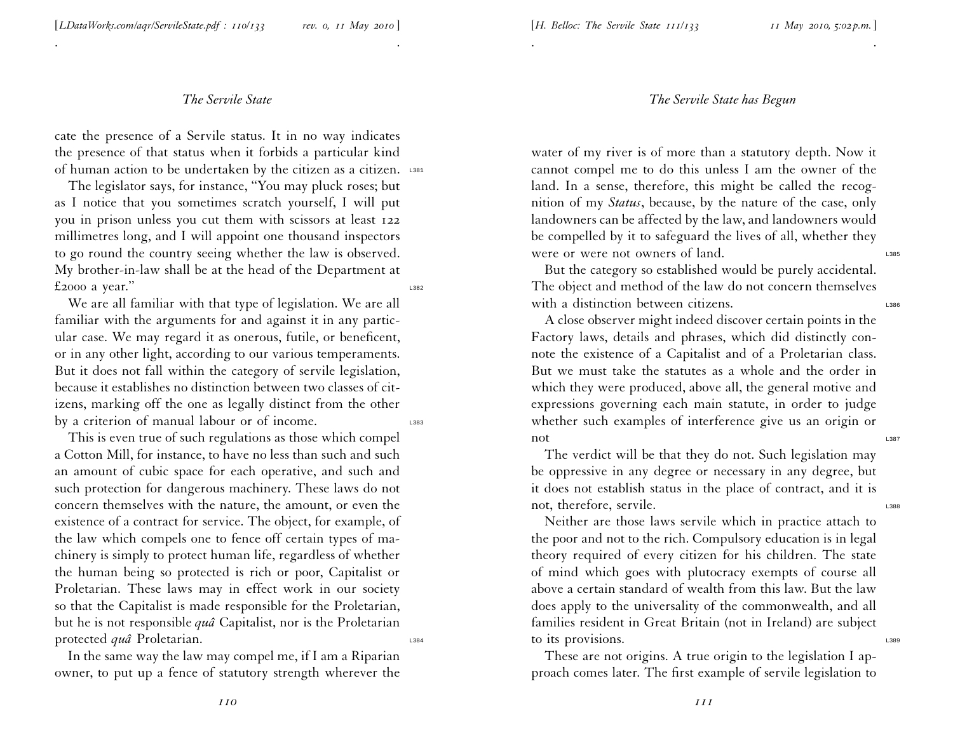. .

cate the presence of <sup>a</sup> Servile status. It in no way indicates the presence of that status when it forbids <sup>a</sup> particular kind of human action to be undertaken by the citizen as a citizen. L381

The legislator says, for instance, ''You may <sup>p</sup>luck roses; but as <sup>I</sup> notice that you sometimes scratch yourself, <sup>I</sup> will pu<sup>t</sup> you in prison unless you cut them with scissors at least <sup>122</sup> millimetres long, and <sup>I</sup> will appoint one thousand inspectors to go round the country seeing whether the law is observed. My brother-in-law shall be at the head of the Department at  $£2000$  a year."

We are all familiar with that type of legislation. We are all familiar with the arguments for and against it in any particular case. We may regard it as onerous, futile, or beneficent, or in any other light, according to our various temperaments. But it does not fall within the category of servile legislation, because it establishes no distinction between two classes of citizens, marking off the one as legally distinct from the other by a criterion of manual labour or of income.

This is even true of such regulations as those which compel <sup>a</sup> Cotton Mill, for instance, to have no less than such and such an amount of cubic space for each operative, and such and such protection for dangerous machinery. These laws do not concern themselves with the nature, the amount, or even the existence of <sup>a</sup> contract for service. The object, for example, of the law which compels one to fence off certain types of machinery is simply to protect human life, regardless of whether the human being so protected is rich or poor, Capitalist or Proletarian. These laws may in effect work in our society so that the Capitalist is made responsible for the Proletarian, but he is not responsible *qu<sup>â</sup>* Capitalist, nor is the Proletarian protected *quâ* Proletarian.

In the same way the law may compel me, if <sup>I</sup> am <sup>a</sup> Riparian owner, to pu<sup>t</sup> up <sup>a</sup> fence of statutory strength wherever the

#### *The Servile State has Begun*

. .

water of my river is of more than <sup>a</sup> statutory depth. Now it cannot compel me to do this unless <sup>I</sup> am the owner of the land. In <sup>a</sup> sense, therefore, this might be called the recognition of my *Status*, because, by the nature of the case, only landowners can be affected by the law, and landowners would be compelled by it to safeguard the lives of all, whether they were or were not owners of land.

But the category so established would be purely accidental. The object and method of the law do not concern themselves with a distinction between citizens.

A close observer might indeed discover certain points in the Factory laws, details and <sup>p</sup>hrases, which did distinctly con note the existence of <sup>a</sup> Capitalist and of <sup>a</sup> Proletarian class. But we must take the statutes as <sup>a</sup> whole and the order in which they were produced, above all, the general motive and expressions governing each main statute, in order to judge whether such examples of interference <sup>g</sup>ive us an origin or  $\overline{a}$  not consider the constant of  $\overline{a}$  and  $\overline{a}$  and  $\overline{a}$  and  $\overline{a}$  and  $\overline{a}$  and  $\overline{a}$  and  $\overline{a}$  and  $\overline{a}$  and  $\overline{a}$  and  $\overline{a}$  and  $\overline{a}$  and  $\overline{a}$  and  $\overline{a}$  and  $\overline{a}$  and

The verdict will be that they do not. Such legislation may be oppressive in any degree or necessary in any degree, but it does not establish status in the <sup>p</sup>lace of contract, and it is not, therefore, servile.

Neither are those laws servile which in practice attach to the poor and not to the rich. Compulsory education is in legal theory required of every citizen for his children. The state of mind which goes with <sup>p</sup>lutocracy exempts of course all above <sup>a</sup> certain standard of wealth from this law. But the law does apply to the universality of the commonwealth, and all families resident in Great Britain (not in Ireland) are subject to its provisions.

These are not origins. A true origin to the legislation <sup>I</sup> approach comes later. The first example of servile legislation to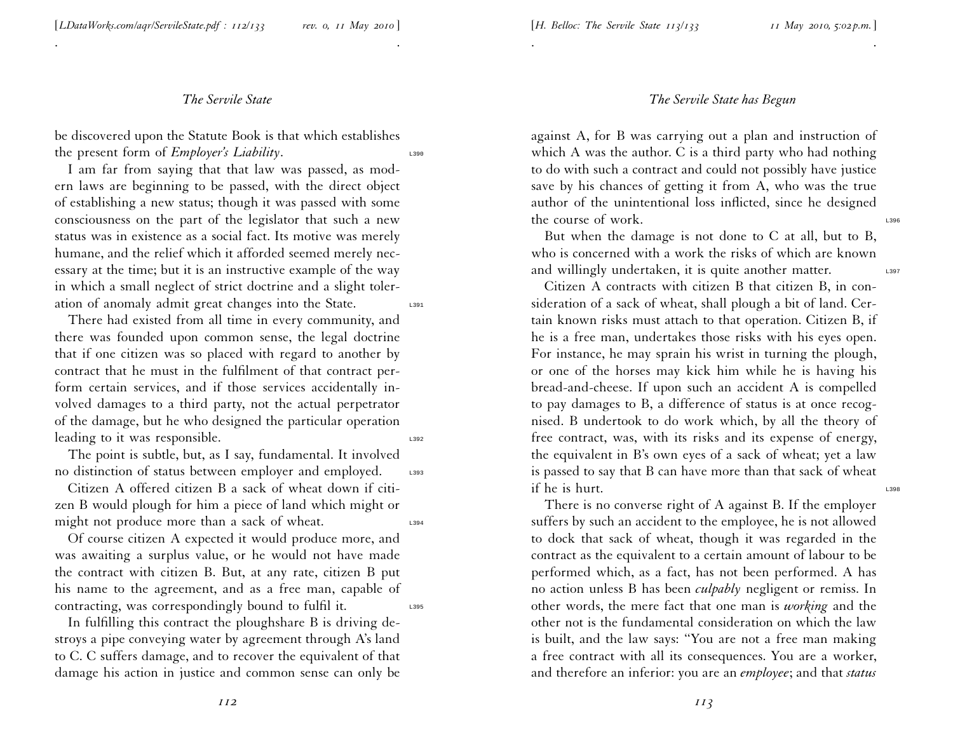. .

be discovered upon the Statute Book is that which establishes the present form of *Employer's Liability*.

<sup>I</sup> am far from saying that that law was passed, as modern laws are beginning to be passed, with the direct object of establishing <sup>a</sup> new status; though it was passed with some consciousness on the par<sup>t</sup> of the legislator that such <sup>a</sup> new status was in existence as <sup>a</sup> social fact. Its motive was merely humane, and the relief which it afforded seemed merely necessary at the time; but it is an instructive example of the way in which <sup>a</sup> small neglect of strict doctrine and <sup>a</sup> slight toler ation of anomaly admit great changes into the State.

There had existed from all time in every community, and there was founded upon common sense, the legal doctrine that if one citizen was so <sup>p</sup>laced with regard to another by contract that he must in the fulfilment of that contract perform certain services, and if those services accidentally involved damages to <sup>a</sup> third party, not the actual perpetrator of the damage, but he who designed the particular operation leading to it was responsible.

The point is subtle, but, as <sup>I</sup> say, fundamental. It involved no distinction of status between employer and employed. L393

Citizen A offered citizen B <sup>a</sup> sack of wheat down if citizen <sup>B</sup> would <sup>p</sup>lough for him <sup>a</sup> <sup>p</sup>iece of land which might or might not produce more than a sack of wheat.

Of course citizen A expected it would produce more, and was awaiting <sup>a</sup> surplus value, or he would not have made the contract with citizen B. But, at any rate, citizen <sup>B</sup> pu<sup>t</sup> his name to the agreement, and as <sup>a</sup> free man, capable of contracting, was correspondingly bound to fulfil it.

In fulfilling this contract the <sup>p</sup>loughshare <sup>B</sup> is driving destroys <sup>a</sup> <sup>p</sup>ipe conveying water by agreemen<sup>t</sup> through A's land to C. C suffers damage, and to recover the equivalent of that damage his action in justice and common sense can only be

#### *The Servile State has Begun*

. .

against A, for <sup>B</sup> was carrying out <sup>a</sup> <sup>p</sup>lan and instruction of which A was the author. C is <sup>a</sup> third party who had nothing to do with such <sup>a</sup> contract and could not possibly have justice save by his chances of getting it from A, who was the true author of the unintentional loss inflicted, since he designed the course of work.

But when the damage is not done to C at all, but to B, who is concerned with <sup>a</sup> work the risks of which are known and willingly undertaken, it is quite another matter.

Citizen A contracts with citizen B that citizen B, in consideration of <sup>a</sup> sack of wheat, shall <sup>p</sup>lough <sup>a</sup> bit of land. Certain known risks must attach to that operation. Citizen B, if he is <sup>a</sup> free man, undertakes those risks with his eyes open. For instance, he may sprain his wrist in turning the <sup>p</sup>lough, or one of the horses may kick him while he is having his bread-and-cheese. If upon such an accident A is compelled to pay damages to B, <sup>a</sup> difference of status is at once recognised. <sup>B</sup> undertook to do work which, by all the theory of free contract, was, with its risks and its expense of energy, the equivalent in B's own eyes of <sup>a</sup> sack of wheat; ye<sup>t</sup> <sup>a</sup> law is passed to say that <sup>B</sup> can have more than that sack of wheat if he is hurt.

There is no converse right of A against B. If the employer suffers by such an accident to the employee, he is not allowed to dock that sack of wheat, though it was regarded in the contract as the equivalent to <sup>a</sup> certain amount of labour to be performed which, as <sup>a</sup> fact, has not been performed. A has no action unless <sup>B</sup> has been *culpably* negligent or remiss. In other words, the mere fact that one man is *working* and the other not is the fundamental consideration on which the law is built, and the law says: ''You are not <sup>a</sup> free man making <sup>a</sup> free contract with all its consequences. You are <sup>a</sup> worker, and therefore an inferior: you are an *employee*; and that *status*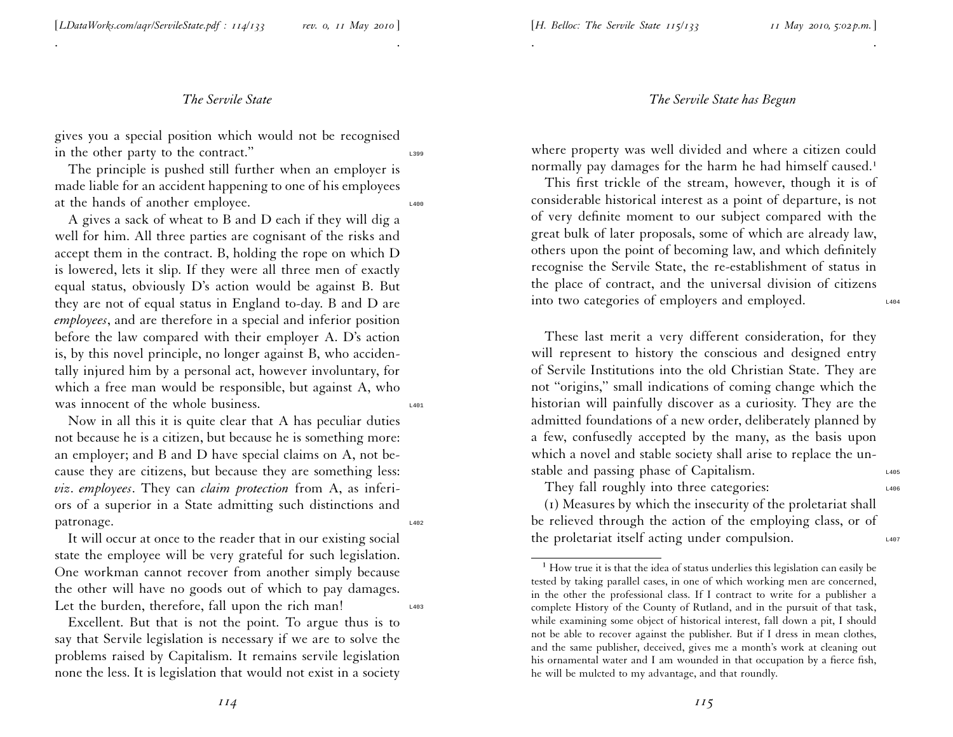an employer; and <sup>B</sup> and <sup>D</sup> have special claims on A, not because they are citizens, but because they are something less: *viz*. *employees*. They can *claim protection* from A, as inferiors of <sup>a</sup> superior in <sup>a</sup> State admitting such distinctions and patronage. It will occur at once to the reader that in our existing social

was innocent of the whole business.

state the employee will be very grateful for such legislation. One workman cannot recover from another simply because the other will have no goods out of which to pay damages. Let the burden, therefore, fall upon the rich man!

Now in all this it is quite clear that A has peculiar duties not because he is <sup>a</sup> citizen, but because he is something more:

Excellent. But that is not the point. To argue thus is to say that Servile legislation is necessary if we are to solve the problems raised by Capitalism. It remains servile legislation none the less. It is legislation that would not exist in <sup>a</sup> society

These last merit <sup>a</sup> very different consideration, for they will represen<sup>t</sup> to history the conscious and designed entry of Servile Institutions into the old Christian State. They are not ''origins,'' small indications of coming change which the historian will painfully discover as <sup>a</sup> curiosity. They are the admitted foundations of <sup>a</sup> new order, deliberately <sup>p</sup>lanned by <sup>a</sup> few, confusedly accepted by the many, as the basis upon which <sup>a</sup> novel and stable society shall arise to replace the un stable and passing phase of Capitalism.

They fall roughly into three categories:  $L_{406}$ 

(1) Measures by which the insecurity of the proletariat shall be relieved through the action of the employing class, or of the proletariat itself acting under compulsion.

#### *The Servile State has Begun*

where property was well divided and where <sup>a</sup> citizen could normally pay damages for the harm he had himself caused.<sup>1</sup>

. .

This first trickle of the stream, however, though it is of considerable historical interest as <sup>a</sup> point of departure, is not of very definite moment to our subject compared with the grea<sup>t</sup> bulk of later proposals, some of which are already law, others upon the point of becoming law, and which definitely recognise the Servile State, the re-establishment of status in the <sup>p</sup>lace of contract, and the universal division of citizens into two categories of employers and employed.

<sup>g</sup>ives you <sup>a</sup> special position which would not be recognised in the other party to the contract."

*The Servile State*

The principle is pushed still further when an employer is made liable for an accident happening to one of his employees at the hands of another employee.

A <sup>g</sup>ives <sup>a</sup> sack of wheat to <sup>B</sup> and <sup>D</sup> each if they will dig <sup>a</sup> well for him. All three parties are cognisant of the risks and accep<sup>t</sup> them in the contract. B, holding the rope on which <sup>D</sup> is lowered, lets it slip. If they were all three men of exactly equal status, obviously D's action would be against B. But they are not of equal status in England to-day. <sup>B</sup> and <sup>D</sup> are *employees*, and are therefore in <sup>a</sup> special and inferior position before the law compared with their employer A. D's action is, by this novel principle, no longer against B, who acciden tally injured him by <sup>a</sup> personal act, however involuntary, for which <sup>a</sup> free man would be responsible, but against A, who

. .

[*LDataWorks.com/aqr/ServileState.pdf : <sup>114</sup>/133 rev. 0, <sup>11</sup> May <sup>2010</sup>* ]

[*H. Belloc: The Servile State <sup>115</sup>/133 <sup>11</sup> May 2010, 5:02 p.m.*]

 $^1$  How true it is that the idea of status underlies this legislation can easily be tested by taking parallel cases, in one of which working men are concerned, in the other the professional class. If <sup>I</sup> contract to write for <sup>a</sup> publisher <sup>a</sup> complete History of the County of Rutland, and in the pursuit of that task, while examining some object of historical interest, fall down <sup>a</sup> <sup>p</sup>it, <sup>I</sup> should not be able to recover against the publisher. But if <sup>I</sup> dress in mean clothes, and the same publisher, deceived, <sup>g</sup>ives me <sup>a</sup> month's work at cleaning out his ornamental water and <sup>I</sup> am wounded in that occupation by <sup>a</sup> fierce fish, he will be mulcted to my advantage, and that roundly.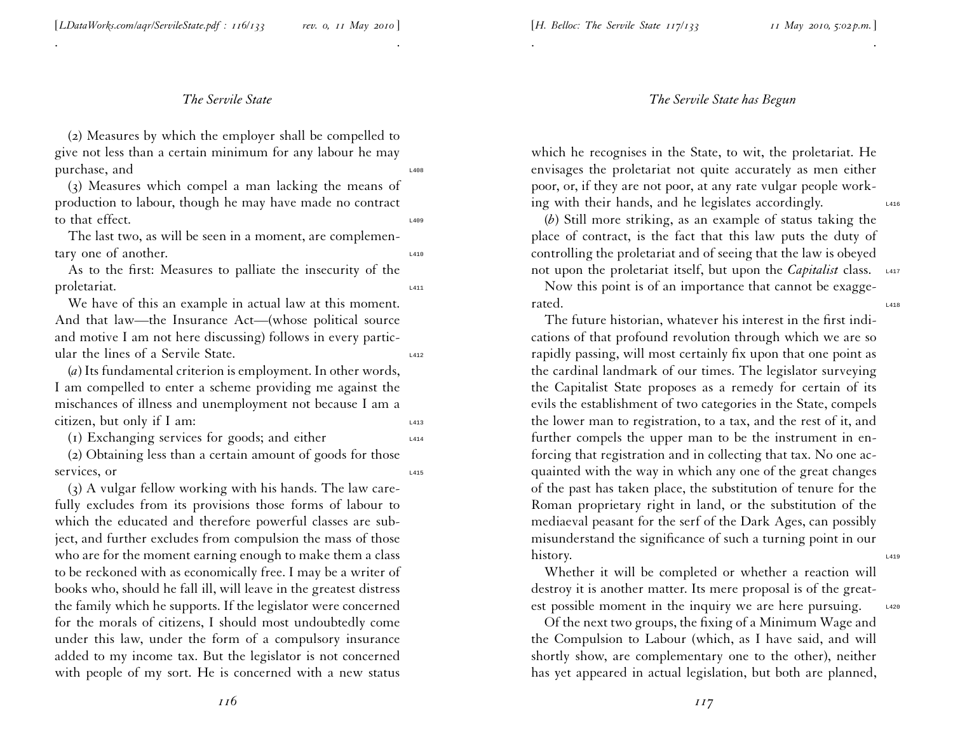[*LDataWorks.com/aqr/ServileState.pdf : 116/133 rev. 0, <sup>11</sup> May <sup>2010</sup>* ]

# *The Servile State*

. .

(2) Measures by which the employer shall be compelled to <sup>g</sup>ive not less than <sup>a</sup> certain minimum for any labour he may purchase, and  $\frac{1408}{2000}$ 

(3) Measures which compel <sup>a</sup> man lacking the means of production to labour, though he may have made no contract to that effect.

The last two, as will be seen in <sup>a</sup> moment, are complementary one of another.

As to the first: Measures to palliate the insecurity of the proletariat.

We have of this an example in actual law at this moment. And that law—the Insurance Act—(whose political source and motive <sup>I</sup> am not here discussing) follows in every particular the lines of a Servile State.

(*a*) Its fundamental criterion is employment. In other words, <sup>I</sup> am compelled to enter <sup>a</sup> scheme providing me against the mischances of illness and unemployment not because <sup>I</sup> am <sup>a</sup> citizen, but only if I am:

(1) Exchanging services for goods; and either  $\frac{1414}{414}$ 

(2) Obtaining less than <sup>a</sup> certain amount of goods for those services, or

(3) A vulgar fellow working with his hands. The law carefully excludes from its provisions those forms of labour to which the educated and therefore powerful classes are subject, and further excludes from compulsion the mass of those who are for the moment earning enough to make them <sup>a</sup> class to be reckoned with as economically free. <sup>I</sup> may be <sup>a</sup> writer of books who, should he fall ill, will leave in the greatest distress the family which he supports. If the legislator were concerned for the morals of citizens, <sup>I</sup> should most undoubtedly come under this law, under the form of <sup>a</sup> compulsory insurance added to my income tax. But the legislator is not concerned with people of my sort. He is concerned with <sup>a</sup> new status

#### *The Servile State has Begun*

which he recognises in the State, to wit, the proletariat. He envisages the proletariat not quite accurately as men either poor, or, if they are not poor, at any rate vulgar people working with their hands, and he legislates accordingly.

. .

(*b*) Still more striking, as an example of status taking the <sup>p</sup>lace of contract, is the fact that this law puts the duty of controlling the proletariat and of seeing that the law is obeyed not upon the proletariat itself, but upon the *Capitalist* class. L417

Now this point is of an importance that cannot be exaggerated. The contract of the contract of the contract of the contract of the contract of the contract of the contract of the contract of the contract of the contract of the contract of the contract of the contract of the con

The future historian, whatever his interest in the first indi cations of that profound revolution through which we are so rapidly passing, will most certainly fix upon that one point as the cardinal landmark of our times. The legislator surveying the Capitalist State proposes as <sup>a</sup> remedy for certain of its evils the establishment of two categories in the State, compels the lower man to registration, to <sup>a</sup> tax, and the rest of it, and further compels the upper man to be the instrument in enforcing that registration and in collecting that tax. No one acquainted with the way in which any one of the grea<sup>t</sup> changes of the pas<sup>t</sup> has taken <sup>p</sup>lace, the substitution of tenure for the Roman proprietary right in land, or the substitution of the mediaeval peasan<sup>t</sup> for the serf of the Dark Ages, can possibly misunderstand the significance of such <sup>a</sup> turning point in our history.

Whether it will be completed or whether <sup>a</sup> reaction will destroy it is another matter. Its mere proposal is of the greatest possible moment in the inquiry we are here pursuing.  $\frac{1420}{2}$ 

Of the next two groups, the fixing of <sup>a</sup> Minimum Wage and the Compulsion to Labour (which, as <sup>I</sup> have said, and will shortly show, are complementary one to the other), neither has ye<sup>t</sup> appeared in actual legislation, but both are <sup>p</sup>lanned,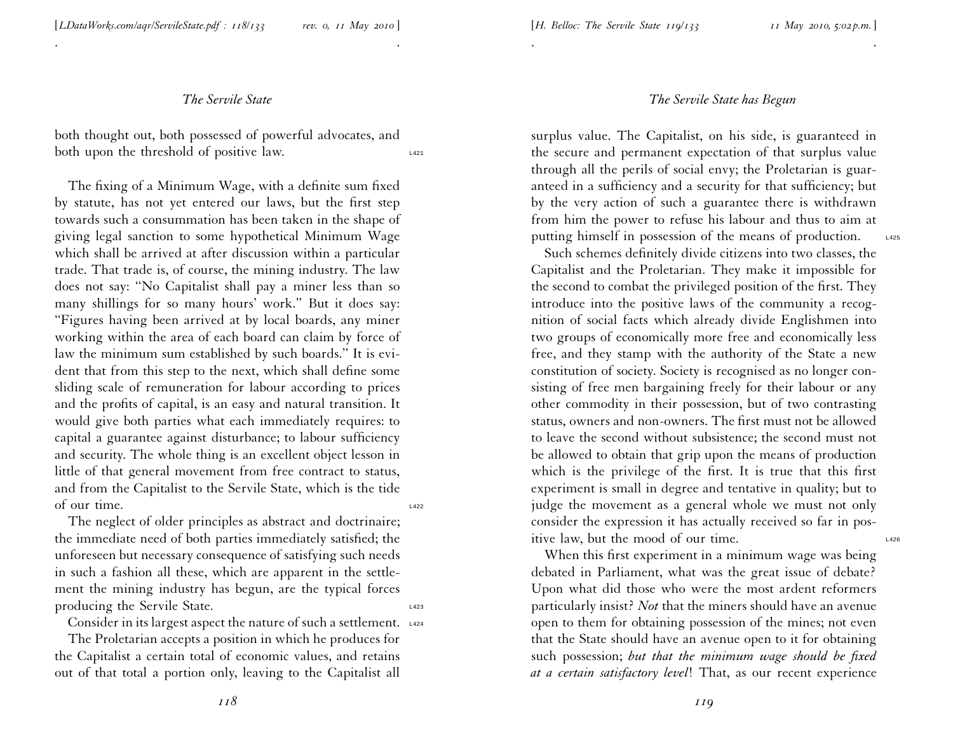. .

both thought out, both possessed of powerful advocates, and both upon the threshold of positive law.

The fixing of <sup>a</sup> Minimum Wage, with <sup>a</sup> definite sum fixed by statute, has not ye<sup>t</sup> entered our laws, but the first step towards such <sup>a</sup> consummation has been taken in the shape of <sup>g</sup>iving legal sanction to some hypothetical Minimum Wage which shall be arrived at after discussion within <sup>a</sup> particular trade. That trade is, of course, the mining industry. The law does not say: ''No Capitalist shall pay <sup>a</sup> miner less than so many shillings for so many hours' work.'' But it does say: ''Figures having been arrived at by local boards, any miner working within the area of each board can claim by force of law the minimum sum established by such boards.'' It is evident that from this step to the next, which shall define some sliding scale of remuneration for labour according to prices and the profits of capital, is an easy and natural transition. It would <sup>g</sup>ive both parties what each immediately requires: to capital <sup>a</sup> guarantee against disturbance; to labour sufficiency and security. The whole thing is an excellent object lesson in little of that general movement from free contract to status, and from the Capitalist to the Servile State, which is the tide of our time. L422

The neglect of older principles as abstract and doctrinaire; the immediate need of both parties immediately satisfied; the unforeseen but necessary consequence of satisfying such needs in such <sup>a</sup> fashion all these, which are apparen<sup>t</sup> in the settlement the mining industry has begun, are the typical forces producing the Servile State.

Consider in its largest aspect the nature of such a settlement. L424

The Proletarian accepts <sup>a</sup> position in which he produces for the Capitalist <sup>a</sup> certain total of economic values, and retains out of that total <sup>a</sup> portion only, leaving to the Capitalist all

#### *The Servile State has Begun*

. .

surplus value. The Capitalist, on his side, is guaranteed in the secure and permanen<sup>t</sup> expectation of that surplus value through all the perils of social envy; the Proletarian is guaranteed in <sup>a</sup> sufficiency and <sup>a</sup> security for that sufficiency; but by the very action of such <sup>a</sup> guarantee there is withdrawn from him the power to refuse his labour and thus to aim at putting himself in possession of the means of production. L425

Such schemes definitely divide citizens into two classes, the Capitalist and the Proletarian. They make it impossible for the second to combat the privileged position of the first. They introduce into the positive laws of the community <sup>a</sup> recognition of social facts which already divide Englishmen into two groups of economically more free and economically less free, and they stamp with the authority of the State <sup>a</sup> new constitution of society. Society is recognised as no longer consisting of free men bargaining freely for their labour or any other commodity in their possession, but of two contrasting status, owners and non-owners. The first must not be allowed to leave the second without subsistence; the second must not be allowed to obtain that grip upon the means of production which is the privilege of the first. It is true that this first experiment is small in degree and tentative in quality; but to judge the movement as <sup>a</sup> general whole we must not only consider the expression it has actually received so far in positive law, but the mood of our time.

When this first experiment in <sup>a</sup> minimum wage was being debated in Parliament, what was the grea<sup>t</sup> issue of debate? Upon what did those who were the most ardent reformers particularly insist? *Not* that the miners should have an avenue open to them for obtaining possession of the mines; not even that the State should have an avenue open to it for obtaining such possession; *but that the minimum wage should be fixed at <sup>a</sup> certain satisfactory level*! That, as our recent experience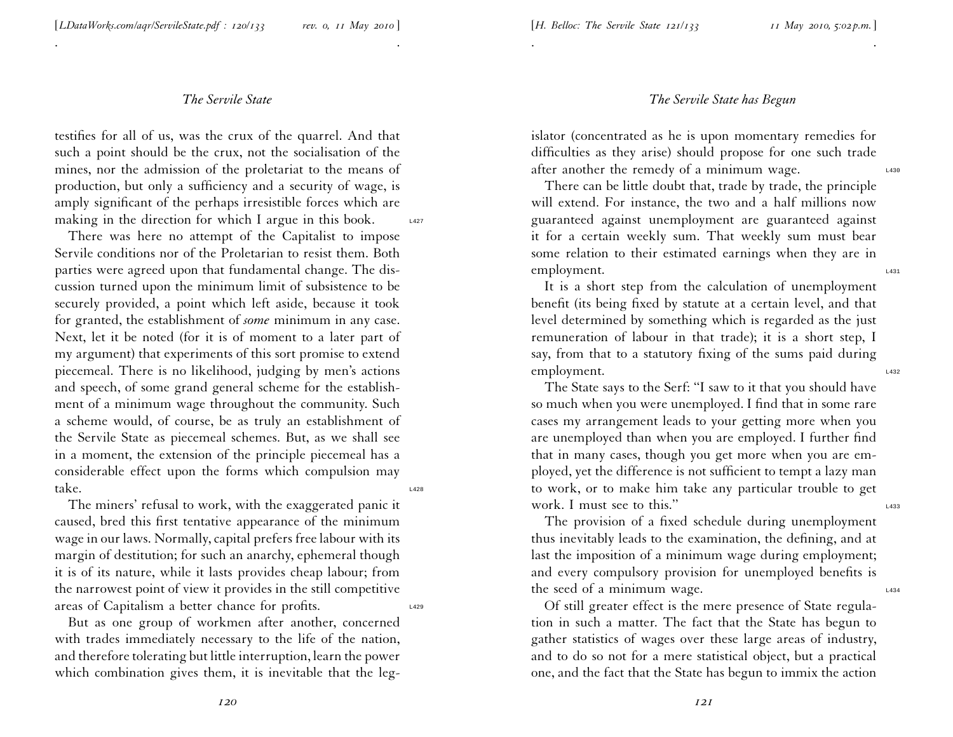. .

testifies for all of us, was the crux of the quarrel. And that such <sup>a</sup> point should be the crux, not the socialisation of the mines, nor the admission of the proletariat to the means of production, but only <sup>a</sup> sufficiency and <sup>a</sup> security of wage, is amply significant of the perhaps irresistible forces which are making in the direction for which I argue in this book.  $\qquad 1427$ 

There was here no attempt of the Capitalist to impose Servile conditions nor of the Proletarian to resist them. Both parties were agreed upon that fundamental change. The discussion turned upon the minimum limit of subsistence to be securely provided, <sup>a</sup> point which left aside, because it took for granted, the establishment of *some* minimum in any case. Next, let it be noted (for it is of moment to <sup>a</sup> later par<sup>t</sup> of my argument) that experiments of this sort promise to extend <sup>p</sup>iecemeal. There is no likelihood, judging by men's actions and speech, of some grand general scheme for the establishment of <sup>a</sup> minimum wage throughout the community. Such <sup>a</sup> scheme would, of course, be as truly an establishment of the Servile State as <sup>p</sup>iecemeal schemes. But, as we shall see in <sup>a</sup> moment, the extension of the principle <sup>p</sup>iecemeal has <sup>a</sup> considerable effect upon the forms which compulsion may take. The set of  $\sum_{1428}$ 

The miners' refusal to work, with the exaggerated panic it caused, bred this first tentative appearance of the minimum wage in our laws. Normally, capital prefers free labour with its margin of destitution; for such an anarchy, ephemeral though it is of its nature, while it lasts provides cheap labour; from the narrowest point of view it provides in the still competitive areas of Capitalism <sup>a</sup> better chance for profits. L429

But as one group of workmen after another, concerned with trades immediately necessary to the life of the nation, and therefore tolerating but little interruption, learn the power which combination <sup>g</sup>ives them, it is inevitable that the leg-

#### *The Servile State has Begun*

islator (concentrated as he is upon momentary remedies for difficulties as they arise) should propose for one such trade after another the remedy of a minimum wage.  $\frac{1430}{2}$ 

. .

There can be little doubt that, trade by trade, the principle will extend. For instance, the two and <sup>a</sup> half millions now guaranteed against unemployment are guaranteed against it for <sup>a</sup> certain weekly sum. That weekly sum must bear some relation to their estimated earnings when they are in employment.

It is <sup>a</sup> short step from the calculation of unemployment benefit (its being fixed by statute at <sup>a</sup> certain level, and that level determined by something which is regarded as the just remuneration of labour in that trade); it is <sup>a</sup> short step, <sup>I</sup> say, from that to <sup>a</sup> statutory fixing of the sums paid during employment.

The State says to the Serf: ''I saw to it that you should have so much when you were unemployed. <sup>I</sup> find that in some rare cases my arrangemen<sup>t</sup> leads to your getting more when you are unemployed than when you are employed. <sup>I</sup> further find that in many cases, though you ge<sup>t</sup> more when you are em<sup>p</sup>loyed, ye<sup>t</sup> the difference is not sufficient to tempt <sup>a</sup> lazy man to work, or to make him take any particular trouble to ge<sup>t</sup> work. I must see to this."

The provision of <sup>a</sup> fixed schedule during unemployment thus inevitably leads to the examination, the defining, and at last the imposition of <sup>a</sup> minimum wage during employment; and every compulsory provision for unemployed benefits is the seed of a minimum wage.  $\frac{1434}{2}$ 

Of still greater effect is the mere presence of State regulation in such <sup>a</sup> matter. The fact that the State has begun to gather statistics of wages over these large areas of industry, and to do so not for <sup>a</sup> mere statistical object, but <sup>a</sup> practical one, and the fact that the State has begun to immix the action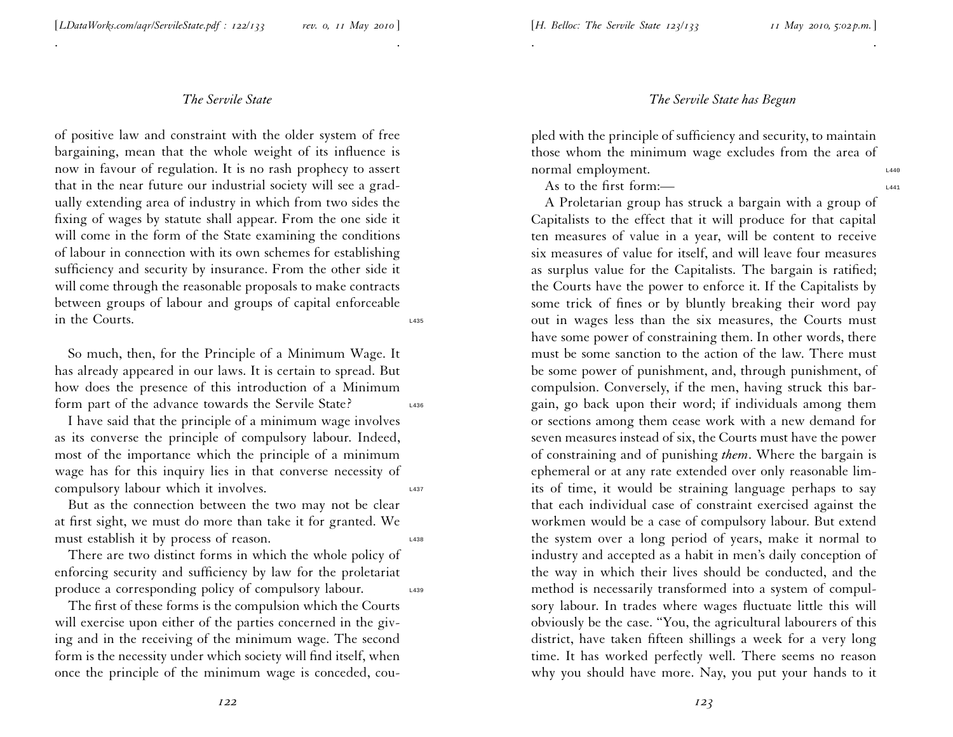. .

of positive law and constraint with the older system of free bargaining, mean that the whole weight of its influence is now in favour of regulation. It is no rash prophecy to assert that in the near future our industrial society will see <sup>a</sup> grad ually extending area of industry in which from two sides the fixing of wages by statute shall appear. From the one side it will come in the form of the State examining the conditions of labour in connection with its own schemes for establishing sufficiency and security by insurance. From the other side it will come through the reasonable proposals to make contracts between groups of labour and groups of capital enforceable in the Courts.

So much, then, for the Principle of <sup>a</sup> Minimum Wage. It has already appeared in our laws. It is certain to spread. But how does the presence of this introduction of <sup>a</sup> Minimum form part of the advance towards the Servile State?

<sup>I</sup> have said that the principle of <sup>a</sup> minimum wage involves as its converse the principle of compulsory labour. Indeed, most of the importance which the principle of <sup>a</sup> minimum wage has for this inquiry lies in that converse necessity of compulsory labour which it involves.

But as the connection between the two may not be clear at first sight, we must do more than take it for granted. We must establish it by process of reason.

There are two distinct forms in which the whole policy of enforcing security and sufficiency by law for the proletariat produce a corresponding policy of compulsory labour.

The first of these forms is the compulsion which the Courts will exercise upon either of the parties concerned in the <sup>g</sup>iv ing and in the receiving of the minimum wage. The second form is the necessity under which society will find itself, when once the principle of the minimum wage is conceded, cou-

#### *The Servile State has Begun*

<sup>p</sup>led with the principle of sufficiency and security, to maintain those whom the minimum wage excludes from the area of normal employment.

. .

As to the first form:—

A Proletarian group has struck <sup>a</sup> bargain with <sup>a</sup> group of Capitalists to the effect that it will produce for that capital ten measures of value in <sup>a</sup> year, will be content to receive six measures of value for itself, and will leave four measures as surplus value for the Capitalists. The bargain is ratified; the Courts have the power to enforce it. If the Capitalists by some trick of fines or by bluntly breaking their word pay out in wages less than the six measures, the Courts must have some power of constraining them. In other words, there must be some sanction to the action of the law. There must be some power of punishment, and, through punishment, of compulsion. Conversely, if the men, having struck this bargain, go back upon their word; if individuals among them or sections among them cease work with <sup>a</sup> new demand for seven measures instead of six, the Courts must have the power of constraining and of punishing *them*. Where the bargain is ephemeral or at any rate extended over only reasonable limits of time, it would be straining language perhaps to say that each individual case of constraint exercised against the workmen would be <sup>a</sup> case of compulsory labour. But extend the system over <sup>a</sup> long period of years, make it normal to industry and accepted as <sup>a</sup> habit in men's daily conception of the way in which their lives should be conducted, and the method is necessarily transformed into <sup>a</sup> system of compulsory labour. In trades where wages fluctuate little this will obviously be the case. ''You, the agricultural labourers of this district, have taken fifteen shillings <sup>a</sup> week for <sup>a</sup> very long time. It has worked perfectly well. There seems no reason why you should have more. Nay, you pu<sup>t</sup> your hands to it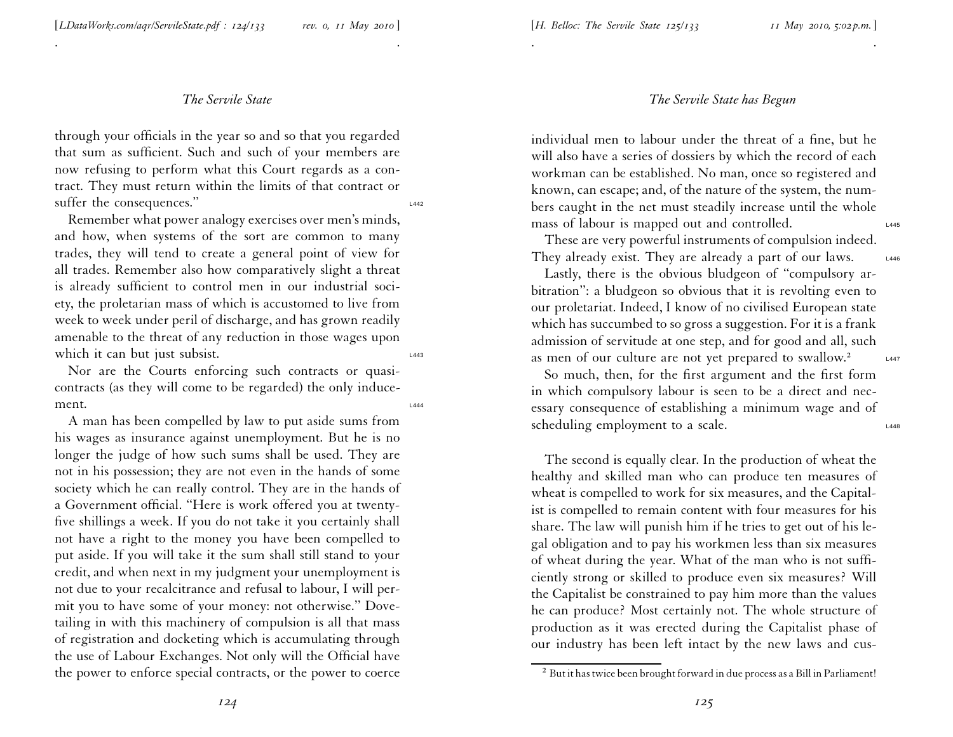. .

through your officials in the year so and so that you regarded that sum as sufficient. Such and such of your members are now refusing to perform what this Court regards as <sup>a</sup> contract. They must return within the limits of that contract or suffer the consequences."

Remember what power analogy exercises over men's minds, and how, when systems of the sort are common to many trades, they will tend to create <sup>a</sup> general point of view for all trades. Remember also how comparatively slight <sup>a</sup> threat is already sufficient to control men in our industrial society, the proletarian mass of which is accustomed to live from week to week under peril of discharge, and has grown readily amenable to the threat of any reduction in those wages upon which it can but just subsist.

Nor are the Courts enforcing such contracts or quasicontracts (as they will come to be regarded) the only induce $m$ ent.  $\frac{1}{4444}$ 

<sup>A</sup> man has been compelled by law to pu<sup>t</sup> aside sums from his wages as insurance against unemployment. But he is no longer the judge of how such sums shall be used. They are not in his possession; they are not even in the hands of some society which he can really control. They are in the hands of <sup>a</sup> Government official. ''Here is work offered you at twentyfive shillings <sup>a</sup> week. If you do not take it you certainly shall not have <sup>a</sup> right to the money you have been compelled to pu<sup>t</sup> aside. If you will take it the sum shall still stand to your credit, and when next in my judgment your unemployment is not due to your recalcitrance and refusal to labour, <sup>I</sup> will permit you to have some of your money: not otherwise.'' Dovetailing in with this machinery of compulsion is all that mass of registration and docketing which is accumulating throug h the use of Labour Exchanges. Not only will the Official have the power to enforce special contracts, or the power to coerce

## *The Servile State has Begun*

individual men to labour under the threat of <sup>a</sup> fine, but he will also have <sup>a</sup> series of dossiers by which the record of each workman can be established. No man, once so registered and known, can escape; and, of the nature of the system, the numbers caught in the net must steadily increase until the whole mass of labour is mapped out and controlled.

. .

These are very powerful instruments of compulsion indeed. They already exist. They are already a part of our laws.  $L_{446}$ 

Lastly, there is the obvious bludgeon of ''compulsory arbitration'': <sup>a</sup> bludgeon so obvious that it is revolting even to our proletariat. Indeed, <sup>I</sup> know of no civilised European state which has succumbed to so gross <sup>a</sup> suggestion. For it is <sup>a</sup> frank admission of servitude at one step, and for good and all, such as men of our culture are not yet prepared to swallow.<sup>2</sup> L447

So much, then, for the first argumen<sup>t</sup> and the first form in which compulsory labour is seen to be <sup>a</sup> direct and necessary consequence of establishing <sup>a</sup> minimum wage and of scheduling employment to a scale.

The second is equally clear. In the production of wheat the healthy and skilled man who can produce ten measures of wheat is compelled to work for six measures, and the Capitalist is compelled to remain content with four measures for his share. The law will punish him if he tries to ge<sup>t</sup> out of his legal obligation and to pay his workmen less than six measures of wheat during the year. What of the man who is not sufficiently strong or skilled to produce even six measures? Will the Capitalist be constrained to pay him more than the values he can produce? Most certainly not. The whole structure of production as it was erected during the Capitalist <sup>p</sup>hase of our industry has been left intact by the new laws and cus-

 $^2$  But it has twice been brought forward in due process as a Bill in Parliament!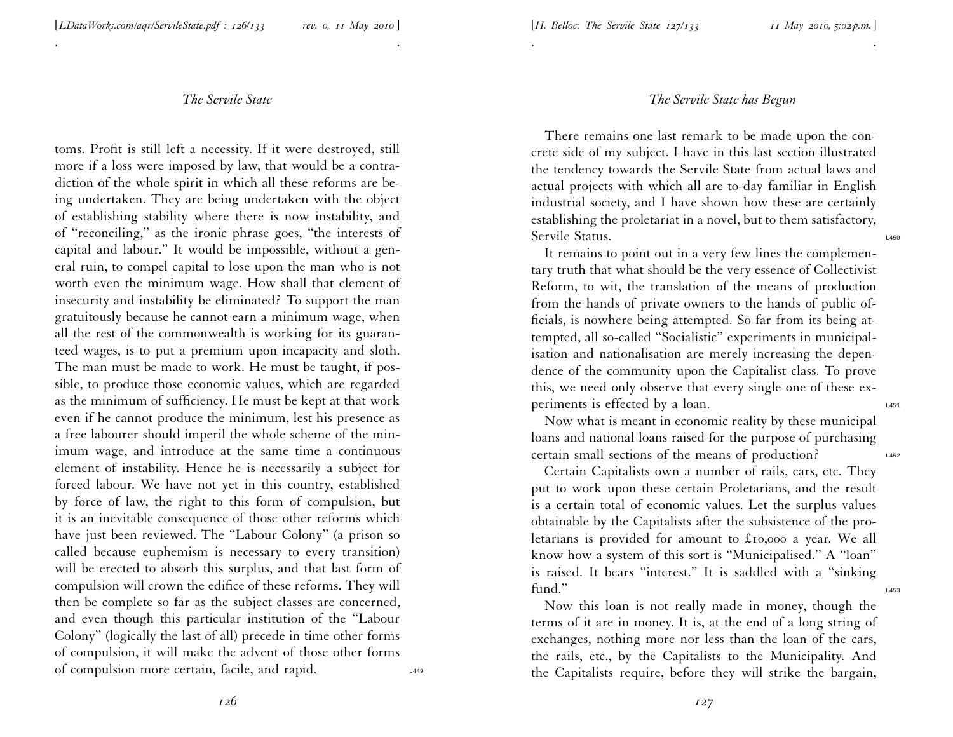. .

toms. Profit is still left <sup>a</sup> necessity. If it were destroyed, still more if <sup>a</sup> loss were imposed by law, that would be <sup>a</sup> contradiction of the whole spirit in which all these reforms are being undertaken. They are being undertaken with the object of establishing stability where there is now instability, and of ''reconciling,'' as the ironic <sup>p</sup>hrase goes, ''the interests of capital and labour.'' It would be impossible, without <sup>a</sup> general ruin, to compel capital to lose upon the man who is not worth even the minimum wage. How shall that element of insecurity and instability be eliminated? To suppor<sup>t</sup> the ma n gratuitously because he cannot earn <sup>a</sup> minimum wage, when all the rest of the commonwealth is working for its guaranteed wages, is to pu<sup>t</sup> <sup>a</sup> premium upon incapacity and sloth. The man must be made to work. He must be taught, if possible, to produce those economic values, which are regarded as the minimum of sufficiency. He must be kept at that work even if he cannot produce the minimum, lest his presence as <sup>a</sup> free labourer should imperil the whole scheme of the minimum wage, and introduce at the same time <sup>a</sup> continuous element of instability. Hence he is necessarily <sup>a</sup> subject for forced labour. We have not ye<sup>t</sup> in this country, established by force of law, the right to this form of compulsion, but it is an inevitable consequence of those other reforms which have just been reviewed. The ''Labour Colony'' (a prison so called because euphemism is necessary to every transition) will be erected to absorb this surplus, and that last form of compulsion will crown the edifice of these reforms. They will then be complete so far as the subject classes are concerned, and even though this particular institution of the ''Labour Colony'' (logically the last of all) precede in time other forms of compulsion, it will make the advent of those other forms of compulsion more certain, facile, and rapid. L449

### *The Servile State has Begun*

There remains one last remark to be made upon the concrete side of my subject. <sup>I</sup> have in this last section illustrated the tendency towards the Servile State from actual laws and actual projects with which all are to-day familiar in Englis h industrial society, and <sup>I</sup> have shown how these are certainly establishing the proletariat in <sup>a</sup> novel, but to them satisfactory, Servile Status. Latin and the status of the status of the status of the status of the status of the status of the status of the status of the status of the status of the status of the status of the status of the status of

. .

It remains to point out in <sup>a</sup> very few lines the complementary truth that what should be the very essence of Collectivist Reform, to wit, the translation of the means of production from the hands of private owners to the hands of public officials, is nowhere being attempted. So far from its being attempted, all so-called ''Socialistic'' experiments in municipalisation and nationalisation are merely increasing the dependence of the community upon the Capitalist class. To prove this, we need only observe that every single one of these experiments is effected by a loan.

Now what is meant in economic reality by these municipal loans and national loans raised for the purpose of purchasin g certain small sections of the means of production? L452

Certain Capitalists own <sup>a</sup> number of rails, cars, etc. They pu<sup>t</sup> to work upon these certain Proletarians, and the result is <sup>a</sup> certain total of economic values. Let the surplus values obtainable by the Capitalists after the subsistence of the proletarians is provided for amount to £<sup>10</sup>,<sup>000</sup> <sup>a</sup> year. We all know how <sup>a</sup> system of this sort is ''Municipalised.'' A ''loan'' is raised. It bears ''interest.'' It is saddled with <sup>a</sup> ''sinking  $\mathsf{fund."}$   $\blacksquare$ 

Now this loan is not really made in money, though the terms of it are in money. It is, at the end of <sup>a</sup> long string of exchanges, nothing more nor less than the loan of the cars, the rails, etc., by the Capitalists to the Municipality. And the Capitalists require, before they will strike the bargain,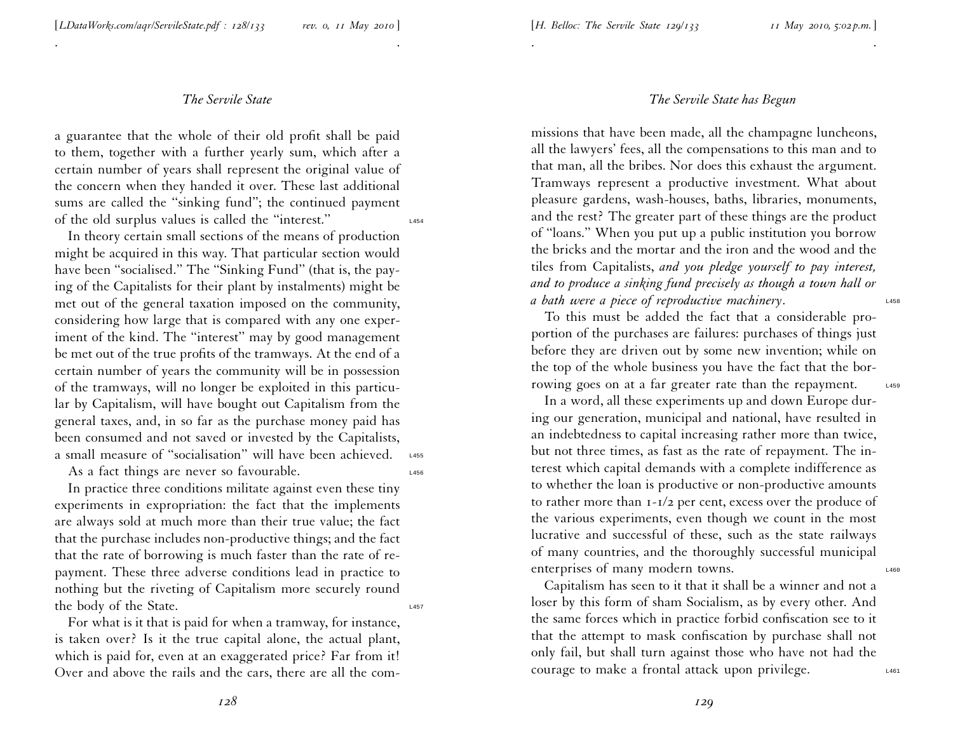. .

<sup>a</sup> guarantee that the whole of their old profit shall be paid to them, together with <sup>a</sup> further yearly sum, which after <sup>a</sup> certain number of years shall represen<sup>t</sup> the original value of the concern when they handed it over. These last additional sums are called the "sinking fund"; the continued payment of the old surplus values is called the ''interest.'' L454

In theory certain small sections of the means of production might be acquired in this way. That particular section would have been "socialised." The "Sinking Fund" (that is, the paying of the Capitalists for their <sup>p</sup>lant by instalments) might be met out of the general taxation imposed on the community, considering how large that is compared with any one experiment of the kind. The "interest" may by good management be met out of the true profits of the tramways. At the end of <sup>a</sup> certain number of years the community will be in possession of the tramways, will no longer be exploited in this particular by Capitalism, will have bought out Capitalism from the general taxes, and, in so far as the purchase money paid has been consumed and not saved or invested by the Capitalists, a small measure of "socialisation" will have been achieved. L455

As a fact things are never so favourable.

In practice three conditions militate against even these tiny experiments in expropriation: the fact that the implements are always sold at much more than their true value; the fact that the purchase includes non-productive things; and the fact that the rate of borrowing is much faster than the rate of repayment. These three adverse conditions lead in practice to nothing but the riveting of Capitalism more securely round the body of the State.

For what is it that is paid for when <sup>a</sup> tramway, for instance, is taken over? Is it the true capital alone, the actual <sup>p</sup>lant, which is paid for, even at an exaggerated price? Far from it! Over and above the rails and the cars, there are all the com-

## *The Servile State has Begun*

. .

missions that have been made, all the champagne luncheons, all the lawyers' fees, all the compensations to this man and <sup>t</sup> o that man, all the bribes. Nor does this exhaust the argument. Tramways represen<sup>t</sup> <sup>a</sup> productive investment. What about <sup>p</sup>leasure gardens, wash-houses, baths, libraries, monuments, and the rest? The greater par<sup>t</sup> of these things are the product of ''loans.'' When you pu<sup>t</sup> up <sup>a</sup> public institution you borrow the bricks and the mortar and the iron and the wood and the tiles from Capitalists, *and you pledge yourself to pay interest,* and to produce a sinking fund precisely as though a town hall or *<sup>a</sup> bath were <sup>a</sup> piece of reproductive machinery*. L458

To this must be added the fact that <sup>a</sup> considerable proportion of the purchases are failures: purchases of things just before they are driven out by some new invention; while on the top of the whole business you have the fact that the borrowing goes on at a far greater rate than the repayment. L459

In <sup>a</sup> word, all these experiments up and down Europe during our generation, municipal and national, have resulted i n an indebtedness to capital increasing rather more than twice, but not three times, as fast as the rate of repayment. The interest which capital demands with <sup>a</sup> complete indifference as to whether the loan is productive or non-productive amounts to rather more than <sup>1</sup>-<sup>1</sup>/<sup>2</sup> per cent, excess over the produce of the various experiments, even though we count in the most lucrative and successful of these, such as the state railways of many countries, and the thoroughly successful municipal enterprises of many modern towns.

Capitalism has seen to it that it shall be <sup>a</sup> winner and not <sup>a</sup> loser by this form of sham Socialism, as by every other. And the same forces which in practice forbid confiscation see to it that the attempt to mask confiscation by purchase shall not only fail, but shall turn against those who have not had the courage to make a frontal attack upon privilege.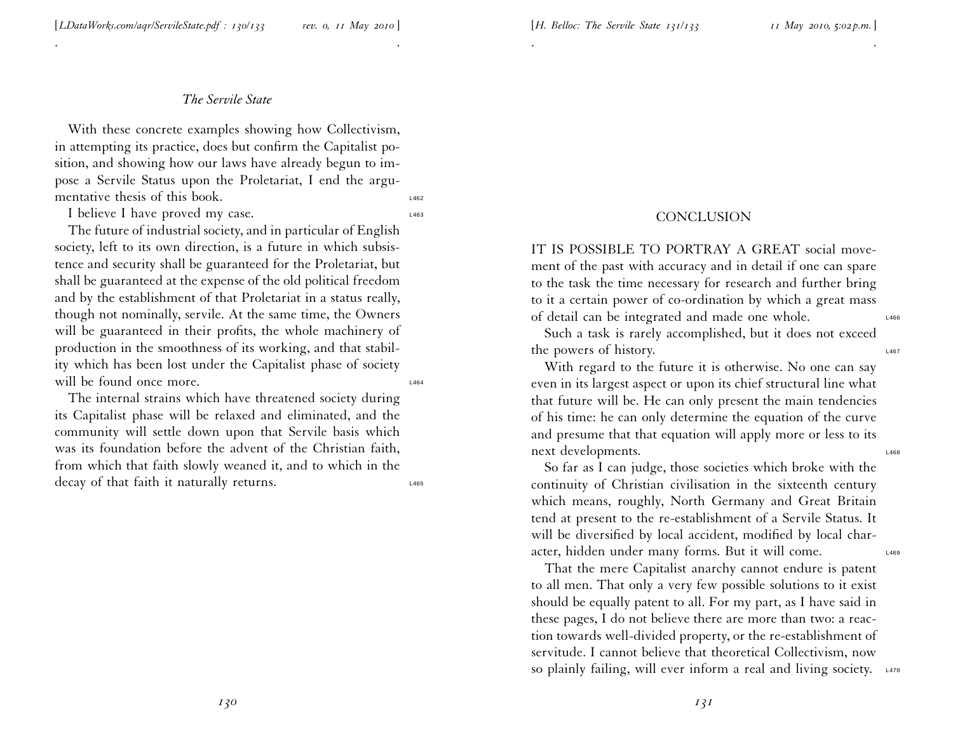. .

With these concrete examples showing how Collectivism, in attempting its practice, does but confirm the Capitalist position, and showing how our laws have already begun to impose <sup>a</sup> Servile Status upon the Proletariat, <sup>I</sup> end the argumentative thesis of this book.

I believe I have proved my case.

The future of industrial society, and in particular of English society, left to its own direction, is <sup>a</sup> future in which subsistence and security shall be guaranteed for the Proletariat, but shall be guaranteed at the expense of the old political freedom and by the establishment of that Proletariat in <sup>a</sup> status really, though not nominally, servile. At the same time, the Owners will be guaranteed in their profits, the whole machinery of production in the smoothness of its working, and that stabil ity which has been lost under the Capitalist <sup>p</sup>hase of society will be found once more.

The internal strains which have threatened society during its Capitalist <sup>p</sup>hase will be relaxed and eliminated, and the community will settle down upon that Servile basis which was its foundation before the advent of the Christian faith, from which that faith slowly weaned it, and to which in the decay of that faith it naturally returns.

#### **CONCLUSION**

. .

IT IS POSSIBLE TO PORTRAY A GREAT social movement of the pas<sup>t</sup> with accuracy and in detail if one can spare to the task the time necessary for research and further bring to it <sup>a</sup> certain power of co-ordination by which <sup>a</sup> grea<sup>t</sup> mass of detail can be integrated and made one whole.

Such <sup>a</sup> task is rarely accomplished, but it does not exceed the powers of history.

With regard to the future it is otherwise. No one can say even in its largest aspec<sup>t</sup> or upon its chief structural line what that future will be. He can only presen<sup>t</sup> the main tendencies of his time: he can only determine the equation of the curve and presume that that equation will apply more or less to its next developments.

So far as <sup>I</sup> can judge, those societies which broke with the continuity of Christian civilisation in the sixteenth century which means, roughly, North Germany and Great Britain tend at presen<sup>t</sup> to the re-establishment of <sup>a</sup> Servile Status. It will be diversified by local accident, modified by local character, hidden under many forms. But it will come.

That the mere Capitalist anarchy cannot endure is patent to all men. That only <sup>a</sup> very few possible solutions to it exist should be equally patent to all. For my part, as <sup>I</sup> have said in these pages, <sup>I</sup> do not believe there are more than two: <sup>a</sup> reaction towards well-divided property, or the re-establishment of servitude. I cannot believe that theoretical Collectivism, now so plainly failing, will ever inform a real and living society.  $\frac{1}{470}$ 

*130*